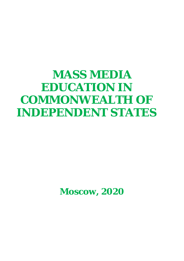# **MASS MEDIA EDUCATION IN COMMONWEALTH OF INDEPENDENT STATES**

**Moscow, 2020**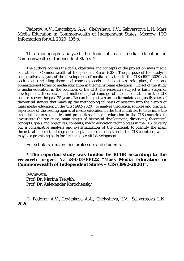Fedorov, A.V., Levitskaya, A.A., Chelysheva, I.V., Seliverstova L.N. Mass Media Education in Commonwealth of Independent States. Moscow: ICO Information for All, 2020, 105 p.

This monograph analyzed the topic of mass media education in Commonwealth of Independent States. \*

The authors address the goals, objectives and concepts of the project on mass media education in Commonwealth of Independent States (CIS). The purpose of the study: a comparative analysis of the development of media education in the CIS (1992-2020) at each stage (including theoretical concepts, goals and objectives, role, place, functions, organizational forms of media education in the mainstream education). Object of the study is media education in the countries of the CIS. The research's subject is basic stages of development, theoretical and methodological concept of media education in the CIS countries over the past 25 years. Research objectives are to formulate and justify a set of theoretical stances that make up the methodological basis of research into the history of mass media education in the CIS (1992-2020); to analyze theoretical sources and practical experience of the leading figures of media education in the CIS countries, to determine the essential features, qualities and properties of media education in the CIS countries, to investigate the structure, main stages of historical development, directions, theoretical concepts, goals and objectives, contents, media education technologies in the CIS; to carry out a comparative analysis and systematization of the material, to identify the main theoretical and methodological concepts of media education in the CIS countries, which may be a promising basis for further successful development.

For scholars, universities professors and students.

## *\** **The reported study was funded by RFBR according to the research project № 18-013-00022 "Mass Media Education in Commonwealth of Independent States – CIS (1992-2020)".**

Reviewers: Prof. Dr. Marina Tselykh, Prof. Dr. Aalexander Korochensky

© Fedorov A.V., Levitskaya A.A., Chelysheva, I.V., Seliverstova L.N., 2020.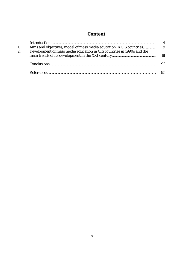## **Content**

| 1. | Aims and objectives, model of mass media education in CIS countries   | 9  |
|----|-----------------------------------------------------------------------|----|
| 2. | Development of mass media education in CIS countries in 1990s and the |    |
|    |                                                                       | 92 |
|    |                                                                       | 95 |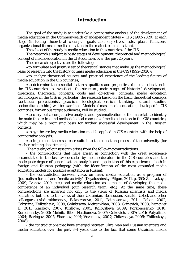### **Introduction**

*The goal of the study* is to undertake a comparative analysis of the development of media education in the Commonwealth of Independent States *–* CIS (1992-2020) at each stage (including theoretical concepts, goals and objectives, role, place, functions, organizational forms of media education in the mainstream education).

*The object of the study* is media education in the countries of the CIS.

*The research's subject* is basic stages of development, theoretical and methodological concept of media education in the CIS countries over the past 25 years.

*The research objectives* are the following:

• to formulate and justify a set of theoretical stances that make up the methodological basis of research into the history of mass media education in the CIS (1992-2020);

• to analyze theoretical sources and practical experience of the leading figures of media education in the CIS countries;

• to determine the essential features, qualities and properties of media education in the CIS countries, to investigate the structure, main stages of historical development, directions, theoretical concepts, goals and objectives, contents, media education technologies in the CIS; in particular, the research based on the basic theoretical concepts (aesthetic, protectionist, practical, ideological, critical thinking, cultural studies, sociocultural, ethics) will be examined. Models of mass media education, developed in CIS countries, for various target audiences, will be studied;

• to carry out a comparative analysis and systematization of the material, to identify the main theoretical and methodological concepts of media education in the CIS countries, which may be a promising basis for further successful development in the Russian contexts;

• to synthesize key media education models applied in CIS countries with the help of comparative analysis;

• to implement the research results into the education process of the university (for teacher training departments).

The novelty of our research arises from the following contradictions:

- the contradictions that have arisen in connection with the great experience accumulated in the last two decades by media educators in the CIS countries and the inadequate degree of generalization, analysis and application of this experience *–* both in foreign and Russian pedagogy (with the identification of the most grounded media education models for possible adaptation in Russia);

- the contradiction between views on mass media education as a program of "journalism for all" and "media activity" (Dzyaloshinsky, Pilgun, 2011, p. 353; Zhilavskaya, 2009; Ivanov, 2010, etc.) and media education as a means of developing the media competence of an individual (our research team, etc.). At the same time, these contradictions are inherent not only to the views of Russian scientists and media educators, but also to the views of their Ukrainian, Belarusian, Kazakh, Uzbek and other colleagues (Abdurakhmanov, Beknazarova, 2011; Beknazarova, 2011; Gabor, 2002; Galzyrina, Kolbysheva, 2009; Golubtsova, Meiramkhan, 2003; Grinevich, 2008; Ivanov et al, 2011; Kazakov, 2007; Kirillova, 2005; Kolbysheva, 2009; Korkonosenko, 2010; Korochensky, 2003; Melnik, 1996; Naidionova, 2007; Onkovich, 2007; 2011; Potyatinik, 2004; Razlogov, 2005; Sharikov, 1991; Vozchikov, 2007; Zhilavskaya, 2009; Zhilinskaya, 2008);

- the contradictions that have emerged between Ukrainian and Russian scientists and media educators over the past 3-4 years due to the fact that some Ukrainian media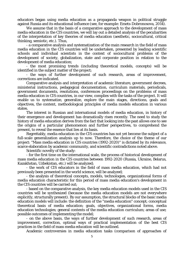educators began using media education as a propaganda weapon in political struggle against Russia and its educational influence (see, for example: Emets-Dobronosova, 2014).

We assume that in the basis of a comparative approach to the development of mass media education in the CIS countries, we will lay out a detailed analysis of the peculiarities of the interpretation of key theories of media education (aesthetic, sociocultural, critical thinking, semiotic, etc.). Thus,

- a comparative analysis and systematization of the main research in the field of mass media education in the CIS countries will be undertaken, presented by leading scientific schools and individual scientists in the context of sociocultural problems of the development of society, globalization, state and corporate position in relation to the development of media education;

- the most promising trends (including theoretical models, concepts) will be identified in the subject matter of the project;

- the ways of further development of such research, areas of improvement, corrections are indicated.

Comparative analysis and interpretation of academic literature, government decrees, ministerial instructions, pedagogical documentation, curriculum materials, periodicals, government documents, resolutions, conferences proceedings on the problems of mass media education in CIS countries, in our view, complies with the tasks of the project. It will enable us to systematize, generalize, explore the main stages, directions, goals and objectives, the content, methodological principles of media models education in various states.

The interest in Russian and international models of media education, in history of their emergence and development has dramatically risen recently. The need to study the history of media education derives from the fact that looking into the past allows one to see the origins of a particular phenomenon and further perspectives, to comprehend the present, to reveal the essence that lies at its basis.

Regrettably, media education in the CIS countries has not yet become the subject of a full-scale generalization analysis up to now. Therefore, the choice of the theme of our project: "Mass media education in CIS countries (1992-2020)" is dictated by its relevance, scarce elaboration by academic community, and scientific contradictions noted above.

Scientific novelty of the study:

- for the first time on the international scale, the process of historical development of mass media education in the CIS countries between 1992-2020 (Russia, Ukraine, Belarus, Kazakhstan, Uzbekistan, etc.) will be analyzed;

- the work of CIS educators in the field of mass media education, which had not previously been presented in the world science, will be analyzed;

- the analysis of theoretical concepts, models, technologies, organizational forms of media education characteristic for this period of mass media education's development in the CIS countries will be carried out;

- based on the comparative analysis, the key media education models used in the CIS countries will be synthesized (because the media education models are not everywhere explicitly, structurally present). By our assumption, the structural blocks of the basic media education models will include: the definition of the "media education" concept; conceptual theoretical basis of media education; goals, objectives, organizational forms, media education technologies; general contents of the media education curriculum; areas of use; possible outcomes of implementing the model;

- on the above basis, the ways of further development of such research, areas of improvement, correction, optimal ways of practical implementation of the best CIS practices in the field of mass media education will be outlined.

Academic controversies in media education tasks (comparison of approaches of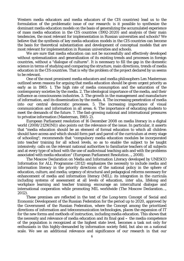Western media educators and media educators of the CIS countries) lead us to the formulation of the problematic issue of our research: is it possible to synthesize the dominant media education models on the basis of generalizing the accumulated experience of mass media education in the CIS countries (1992-2020) and analysis of their main tendencies, the most relevant for implementation in Russian universities and schools? We believe that the synthesis of key media education models in the CIS countries can become the basis for theoretical substantiation and development of conceptual models that are most relevant for implementation in Russian universities and schools.

We are sure that media education can not be successfully and effectively developed without systematization and generalization of its existing trends and processes in foreign countries, without a "dialogue of cultures". It is necessary to fill the gap in the domestic science in terms of studying and comparing the structure, main directions, trends of media education in the CIS countries. That is why the problem of the project declared by us seems to be relevant.

One of the most prominent media educators and media philosophers Len Masterman outlined seven reasons for arguing that media education should be given urgent priority as early as in 1985: 1. The high rate of media consumption and the saturation of the contemporary societies by the media. 2. The ideological importance of the media, and their influence as consciousness industries. 3. The growth in the management and manufacture of information, and its dissemination by the media. 4. The increasing penetration of media into our central democratic processes. 5. The increasing importance of visual communication and information in all areas. 6. The importance of educating students to meet the demands of the future. 7. The fast-growing national and international pressures to privatise information (Masterman, 1985: 2).

European Parliament resolution of 16 December 2008 on media literacy in a digital world (2008/2129(INI)) also points out the relevance of the issue. In particular, it asserts that "media education should be an element of formal education to which all children should have access and which should form part and parcel of the curriculum at every stage of schooling"; recommends that "compulsory media education modules be incorporated into teacher training for all school levels, so as to enable the subject to be taught intensively; calls on the relevant national authorities to familiarize teachers of all subjects and at every type of school with the use of audiovisual teaching aids and with the problems associated with media education" (European Parliament Resolution…, 2008).

The Moscow Declaration on Media and Information Literacy developed by UNESCO Information for ALL Programme (2012) emphasizes the necessity to include media and information literacy in the priority directions of the national policy in the sphere of education, culture, and media; urgency of structural and pedagogical reforms necessary for enhancement of media and information literacy (MIL); its integration in the curricula including systems of assessment at all levels of education, *inter alia*, lifelong and workplace learning and teacher training; encourage an intercultural dialogue and international cooperation while promoting MIL worldwide (The Moscow Declaration…, 2012).

These premises are reflected in the text of the Long-term Concept of Social and Economic Development of the Russian Federation for the period up to 2020, approved by the Government of the Russian Federation, where the Concept among the prioritized directions of information and telecommunication technologies, places the expansion of IT for the new forms and methods of instruction, including media education. This shows that the necessity and relevance of media education and its final goal *–* the media competence of the population is recognized at the highest state level, becomes a task not only for enthusiasts in this highly-demanded by information society field, but also on a national scale. We see an additional relevance and significance of our research in that our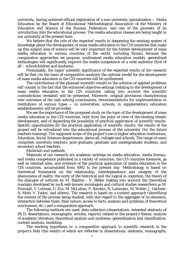university, having achieved official registration of a new university specialization *–* Media Education by the Board of Educational Methodological Association of the Ministry of Education and Science of the Russian Federation, was one of the pioneers of its introduction into the educational process. The media education classes are being taught in our university at the present time.

We believe that the role of the expected results in deepening the existing system of knowledge about the development of mass media education in the CIS countries that make up this subject area of science will be very important for the further development of mass media education in various countries of the world, including Russia, because the comparative approaches we propose, synthesized media education models, generalized technologies will significantly improve the media competence of a wide audience (first of all – schoolchildren and students).

Presumably, the major scientific significance of the expected results of the research will be that (on the basis of comparative analysis) the optimal model for the development of mass media education in the CIS countries will be synthesized.

The contribution of the planned scientific results to the solution of applied problems will consist in the fact that the enhanced objective-settings (relating to the development of mass media education in the CIS countries, taking into account the scientific contradictions revealed) will be presented. Moreover, original provisions characterizing new outcomes of the task solving (conclusions, recommendations for implementation in institutions of various types *–* in universities, schools, in supplementary education establishments) will be provided.

We see the importance of the proposed study on the topic of the development of mass media education in the CIS countries, both from the point of view of the existing trends' development, and of expanding the possibility of practical application of scientific results. Specific opportunities for the practical application of scientific results: the results of the project will be introduced into the educational process of the university (for the future teachers training). The supposed scope of the project's use is higher education institutions, Education, Social Sciences departments, above all; colleges and schools. The range of users comprises university teachers, post-graduate, graduate and undergraduate students, and secondary school teachers.

#### *Materials and methods*

Materials of our research are academic writings on media education, media literacy, and media competence published in a variety of countries, the CIS countries foremost, as well as Internet sites, and evidence of the practical application of media education in the CIS countries, accumulated from 1992 to the present day. Methodology is based on theoretical framework on the relationship, interdependence and integrity of the phenomena of reality, the unity of the historical and the logical in cognition, the theory of the dialogue of cultures by M. Bakhtin - V. Bibler (taking into account the theoretical concepts developed by such well-known sociologists and cultural studies researchers as M. Foucault, Y. Lotman, U. Eco, M. McLuhan, P. Sorokin, N. Luhmann, M. Weber, J. Gerbner, A. Mole, V. Yadov, and others). The research is based on a content approach (identifying the content of the process being studied, with due regard to the aggregate of its elements, interaction between them, their nature, access to facts, analysis and synthesis of theoretical conclusions, etc.) and a comparative approach.

The following methods are used: data collection (dissertations, extended abstracts of Ph.D. dissertations, monographs, articles, reports) related to the project's theme, analysis of academic literature, theoretical analysis and synthesis; generalization and classification; content analysis, modeling.

The working hypothesis is: a comparative approach to scientific research in the project's field (the results of which are reflected in dissertations, abstracts, monographs,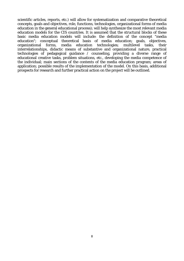scientific articles, reports, etc.) will allow for systematization and comparative theoretical concepts, goals and objectives, role, functions, technologies, organizational forms of media education in the general educational process); will help synthesize the most relevant media education models for the CIS countries. It is assumed that the structural blocks of these basic media education models will include: the definition of the concept "media education"; conceptual theoretical basis of media education; goals, objectives, organizational forms, media education technologies; multilevel tasks, their interrelationships, didactic means of substantive and organizational nature, practical technologies of pedagogical guidance / counseling, providing a diverse range of educational creative tasks, problem situations, etc., developing the media competence of the individual; main sections of the contents of the media education program; areas of application; possible results of the implementation of the model. On this basis, additional prospects for research and further practical action on the project will be outlined.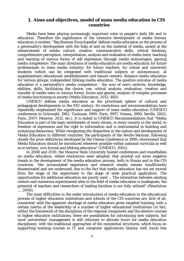### **1. Aims and objectives, model of mass media education in CIS countries**

Media have been playing increasingly important roles in people's daily life and in education. Therefore the significance of the intensive development of media literacy education is evident. "Big Russian Encyclopedia" defines media education as the process of a personality's development with the help of and on the material of media, aimed at the enhancement of media culture, creative, communicative skills, critical thinking, comprehensive perception, interpretation, analysis and evaluation of media texts; teaching and learning of various forms of self expression through media technologies; gaining media competence. The main directions of media education are media education for future professionals in mass media industry; for future teachers; for school and university students (which can be integrated with traditional subjects or autonomous); at supplementary educational establishments and leisure centers; distance media education for various groups; independent lifelong media education. The positive outcome of media education is a personality's media competence - the sum of one's motives, knowledge, abilities, skills, facilitating the choice, use, critical analysis, evaluation, creation and transfer of media texts in various forms, forms and genres, analysis of complex processes of media functioning in society (Media Education, 2012: 480).

UNESCO defines media education as the prioritized sphere of cultural and pedagogical developments in the XXI century. Its resolutions and recommendations have repeatedly emphasized the significance and support of mass media education (UNESCO conferences in Grünwald, 1982; Toulouse, 1990; Paris, 1997; Vienna, 1999; Seville, 2002, Paris, 2007; Moscow, 2012, etc.). It is stated in UNESCO Recommendations that "Media Education is part of the basic entitlement of every citizen, in every country in the world, to freedom of expression and the right to information and is instrumental in building and sustaining democracy. While recognizing the disparities in the nature and development of Media Education in different countries, the participants of the Seville Seminar, following closely the prior definitions developed by the Vienna Conference in 1999, recommend that Media Education should be introduced wherever possible within national curricula as well as in tertiary, non-formal and lifelong education" (UNESCO, 2002).

In 2008 and 2010, the Moscow State University hosted conferences and roundtables on media education, where resolutions were adopted, that pointed out some negative trends in the development of the media education process, both in Russia and in the CIS countries: "the accumulated experience and research results remain insufficiently disseminated and are underused, due to the fact that media education has not yet moved from the stage of the experiment to the stage of wide practical application. The opportunities for additional education are poorly used ... The interaction between existing centers and numerous experimental sites in the field of media education is inadequate, the potential of teachers and researchers of leading faculties is not fully utilized" (Resolution ..., 2008).

The main difficulties in the wider introduction of media education in the educational process of higher education institutions and schools of the CIS countries are, first of all, connected: with the apparent shortage of media educators given targeted training; with a certain inertia of the leadership of a number of higher educational institutions (in fact, within the framework of the disciplines of the regional component and the elective courses in higher education institutions, there are possibilities for introducing new subjects, but most universities' management is still reluctant to allocate hours for media education disciplines); with the traditional approaches of the ministerial structures, which focus on supporting training courses in IT and computer applications literacy with much less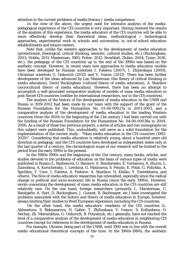attention to the current problems of media literacy / media competence.

In the view of the above, the urgent need for intensive analysis of the mediapedagogical experience of the CIS countries is very important. Having received the results of the analysis of this experience, the media educators of the CIS countries will be able to more effectively develop their theoretical ideas, methodological / technological approaches, experimental work in schools and universities, in out-of-school education establishments and leisure centers.

Note that, unlike the western approaches to the development of media education (protectionist, theological, critical thinking, semiotic, cultural studies, etc.) (Buckingham, 2003; Hobbs, 2011; Masterman, 1985; Potter, 2012; Siverblatt, Zlobin, 2004; Tyner, 2010, etc.), the pedagogy of the CIS countries up to the end of the 1990s was based on the aesthetic concept. However, in recent years new approaches to media education models have been developed by Russian scientists I. Fateeva (2007), I. Zhilavskaya (2009), Ukrainian scientists G. Onkovich (2013) and V. Ivanov (2013). There has been further development of the ideas advanced by Len Masterman (the theory of critical thinking in media education), David Buckingham (cultural theory of media education), A. Sharikov (sociocultural theory of media education). However, there has been no attempt to accomplish a well-grounded comparative analysis of models of mass media education in post-Soviet CIS countries (neither by international researchers, nor in the CIS countries).

The analysis of the history of the development of media education in the USSR and Russia in 1919-2002 had been made by our team with the support of the grant of the Russian Foundation for the Humanities No. 01-06-00027a in 2001-2003, and a comparative analysis of the development of media education in the leading Western countries (from the 1920s to the beginning of the 21st century ) had been carried out with the funding of the Russian Foundation for the Humanities No. 04-06-00038a in 2004- 2006. As a result of these two previous projects, a series of articles and two monographs on this subject were published. This, undoubtedly, will serve as a solid foundation for the implementation of the current study - "Mass media education in the CIS countries (1992- 2020)". Considering that media education is relatively young, about a hundred years old direction in pedagogy, and the CIS countries have developed as independent states only in the last quarter of a century, the chronological scope of our research will be limited to the period from the early 1990s to the present.

In the 1980s-1990s and the beginning of the 21st century, many books, articles, and studies devoted to the problems of education on the basis of various types of media were published in Russia (L. Bazhenova, O. Baranov, E. Bondarenko, E. Vartanova, A. Zhurin, L. Zaznobina, A. Korochensky, I. Levshina, G. Maximova, S. Penzin, E. Polat, G. Polichko, A. Spichkin, Y. Usov, I. Fateeva, A. Fedorov, A. Sharikov, N. Khilko, Y. Yastrebtseva, and others). The flow of media education researches has intensified, especially since the radical change in political and socio-economic life in Russia (since the early 1990s). However, works concerning the development of mass media education in the CIS countries are still relatively rare. On the one hand, foreign researchers (primarily L. Marsterman, C. Bazalgatte, A. Hart, D. Buckingham, J. Gonnet, B. Bachmayer, etc.) have investigated the problems associated with the history and theory of media education in Europe, however, always limiting their studies to West European experience, excluding the CIS countries.

On the other hand, the media educators- residents of the CIS countries (L. Akhmetova, S. Beknazarova, N. Gabor, T. Zhilinskaya, V. Ivanov, S. Kolbysheva, O. Nechay, Zh. Meiramkhan, G. Onkovich, B. Potyatinik, etc.) generally, have not reached the level of a comparative analysis of the development of media education in neighboring CIS countries (except for references to the development of media education in Russia).

For example, Ukraine, being part of the USSR, until 1992 was in line with the overall media educational theoretical concepts of the time. In the 1960s-1980s, the aesthetic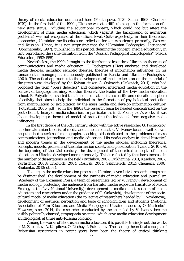theory of media education dominated here (Polikarpova, 1976, Silina, 1968, Chashko, 1979). In the first half of the 1990s, Ukraine was at a difficult stage in the formation of a new state status, including the educational context, which could not but affect the development of mass media education, which (against the background of numerous problems) was not recognized at the official level. Quite expectedly, in their theoretical approaches, Ukrainian media educators relied on foreign experience, primarily, Western and Russian. Hence, it is not surprising that the "Ukrainian Pedagogical Dictionary" (Goncharenko, 1997), published in this period, defining the concept "media education", in fact, reproduced the same definition from the "Russian Pedagogical Encyclopedia" (Media Education, 1993: 555).

Nevertheless, the 1990s brought to the forefront at least three Ukrainian theorists of communications and media education. G. Pocheptsov (Kiev) analyzed and developed media theories, including semiotic theories, theories of information influences, in his fundamental monographs, numerously published in Russia and Ukraine (Pocheptsov, 2001). Theoretical approaches to the development of media education on the material of the press were developed by the Kyivan citizen G. Onkovich (Onkovich, 2011), who had proposed the term "press didactics" and considered integrated media education in the context of language learning. Another theorist, the leader of the Lviv media education school, B. Potyatinik, asserted that "media education is a scientific and educational sphere of activity that aims to help the individual in the formation of psychological protection from manipulation or exploitation by the mass media and develop information culture" (Potyatinik, 2005, p.8), so in the 1990s the research team he headed concentrated on the protectionist theory of media education. In particular, as in G. Pocheptsov's works, it was about developing a theoretical model of protecting the individual from negative media influences.

In the first decade of the XXI century, along with the active researcher G. Pocheptsov, another Ukrainian theorist of media and a media educator, V. Ivanov became well-known, he published a series of monographs, teaching aids dedicated to the problems of mass communications, journalism and media education. His works analyze in detail historical and modern trends in the development of the media studies, including theoretical concepts, models, problems of the information society and globalization (Ivanov, 2010). At the beginning of the 21st century, the development of theoretical concepts of media education in Ukraine developed more intensively. This is reflected by the sharp increase in the number of dissertations in the field (Buzhikov, 2007; Dukhanina, 2011; Kazakov, 2007; Kurlischuk, 2008; Onkovich; 2004; Roslyak; 2004; Sakhnevich, 2012; Chemeris, 2008; Shubenko, 2010; other).

To date, in the media education process in Ukraine, several rival research groups can be distinguished: the development of the synthesis of media education and journalism (Academy of the Ukrainian Press: a team of researchers led by V. Ivanov); development of media ecology, protecting the audience from harmful media exposure (Institute of Media Ecology at the Lviv National University); development of media didactics (team of media educators and researchers under the guidance of G. Onkovich); development of the sociocultural model of media education (the collective of researchers headed by L. Naydenova); development of aesthetic perception and taste of schoolchildren and students (National Association of Film Educators and Media Pedagogy of Ukraine headed by O. Musienko). However, since 2014, the researches conducted by the team led by V. Ivanov became visibly politically charged, propaganda oriented, which gave media education development an ideological, at times anti-Russian coloring.

Among the works of Belarusian media educators it is possible to single out the works of M. Zhbankov, A. Karpilova, O. Nechay, I. Sukmanov. The leading theoretical concepts of Belarusian researchers in recent years have been the theory of critical thinking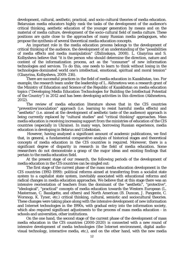development, cultural, aesthetic, practical, and socio-cultural theories of media education. Belarusian media educators highly rank the tasks of the development of the audience's critical thinking, aesthetic education of the younger generation by means and on the material of media culture, development of the socio-cultural field of media culture. These positions are quite close to the approaches of many Russian media pedagogues, who propose the synthesis of several theoretical media education concepts.

An important role in the media education process belongs to the development of critical thinking of the audience, the development of an understanding of the "possibilities of media effects and media manipulation" (Zhilinskaya, 2008). L. Glazyrina and S. Kolbysheva believe that "it is the person who should determine the direction, nature and content of the informatization process, act as the "consumer" of new information technologies and services. To do this, one needs to learn to think without losing in the technologies-dominated world one's intellectual, emotional, spiritual and moral tension" (Glazyrina, Kolbysheva, 2009: 216).

There are successful practices in the field of media education in Kazakhstan, too. For example, the research team under the leadership of L. Akhmetova won a research grant of the Ministry of Education and Science of the Republic of Kazakhstan on media education topics ("Developing Media Education Technologies for Building the Intellectual Potential of the Country") in 2012 and has been developing activities in this direction (Akhmetova, 2012).

The review of media education literature shows that in the CIS countries "preventive/inoculation" approach (i.e. learning to resist harmful media effects) and "aesthetic" (i.e. aimed at the development of aesthetic taste of the audience) approach is being currently replaced by "cultural studies" and "critical thinking" approaches. Mass media education is receiving increasing support from the ministries of education of the CIS countries (especially in Ukraine). In many ways, borrowing Russian experience, media education is developing in Belarus and Uzbekistan.

However, having analyzed a significant amount of academic publications, we find that, in general, a fundamental comparative analysis of historical stages and theoretical concepts of media education in the CIS countries is required. Moreover, there is a significant degree of disparity in research in the field of media education. Some researchers do not demonstrate a grasp of the major ideas and existing findings that pertain to the media education field.

At the present stage of our research, the following periods of the development of media education in the CIS countries can be singled out:

The first stage of the current phase of the mass media education development in the CIS countries (1992-1999): political reforms aimed at transferring from a socialist state system to a capitalist state system, inevitably associated with educational reforms and radical changes in media education approaches. We believe that at this stage there was an intensive reorientation of teachers from the dominant of the "aesthetic", "protective", "ideological", "practical" concepts of media education towards the Western European (L. Masterman, C. Bazalgette, and others) and North American (B. Duncan, J. Pangente, C. Worsnop, K. Tyner, etc.) critical thinking, cultural, semiotic and sociocultural theories. These changes were taking place along with the intensive development of new information and Internet technologies in the 1990s, with gradual entry into the information society, which also required significant adjustments to the process of mass media education - in schools and universities, other institutions.

On the one hand, the second stage of the current phase of the development of mass media education in the CIS countries (2000-2020) is connected with a new round of intensive development of media technologies (the Internet environment, digital audiovisual technology, interactive media, etc.), and on the other hand, with the new media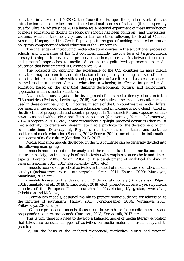education initiatives of UNESCO, the Council of Europe, the gradual start of mass introduction of media education in the educational process of schools (this is especially true for Ukraine, where since 2011 a large-scale national experiment of mass introduction of media education in dozens of secondary schools has been going on), and universities. Ukraine, which is the most vigorous in this direction, following the lead of Canada, Australia, Hungary and the Czech Republic, sets the goal of making media education an obligatory component of school education of the 21st century.

The challenges of introducing media education courses in the educational process of schools and universities of the CIS countries, include: the low level of targeted media literacy training of in-service and pre-service teachers, discrepancies between theoretical and practical approaches to media education, the politicized approaches to media education that have emerged in Ukraine since 2014.

The prospects for applying the experience of the CIS countries in mass media education may be seen in the introduction of compulsory training courses of media education into classical universities and pedagogical universities (and as a consequence in the broad introduction of media education in schools); in effective integrated media education based on the analytical thinking development, cultural and sociocultural approaches in mass media education.

As a result of our analysis of the development of mass media literacy education in the CIS countries (Fedorov, Levitskaya, 2018), we synthesized the media education model used in these countries (Fig. 1). Of course, in some of the CIS countries this model differs. For example, the model of mass media education used in Ukraine is now clearly tilted in the direction of propaganda and counter-propaganda (the search for and exposure of fake news, seasoned with a clear anti-Russian position (for example, Yemets-Dobronosova, 2014; Koropatnik, 2017, etc.). Some researchers highlight practical activities (they call it media activity) to create and disseminate media products for the development of civil communications (Działoszynski, Pilgun, 2011, etc.), others – ethical and aesthetic problems of media education (Baranov, 2002; Penzin, 2004), and others – the information component of media culture (Gendina, 2013; 2017, etc.).

Media education models developed in the CIS countries can be generally divided into the following main groups:

- models more focused on the analysis of the role and functions of media and media culture in society; on the analysis of media texts (with emphasis on aesthetic and ethical aspects: Baranov, 2002, Penzin, 2004, or the development of analytical thinking in general: Gendina, 2013; 2017; Korochensky, 2005, etc.);

- models focused on practical activities in the field of media culture (so-called media activity) (Beknazarova, 2011; Działoszynski, Pilgun, 2011; Zhurin, 2009; Muradyan, Manukyan, 2017, etc.);

- models focused on the ideas of a civil & democratic society (Działoszynski, Pilgun, 2011; Imankulov et al., 2018; Shturkhetsky, 2018, etc.), promoted in recent years by media agencies of the European Union countries in Kazakhstan, Kyrgyzstan, Azerbaijan, Uzbekistan and Moldova;

- Journalism models, designed mainly to prepare young audience for admission to the faculties of journalism (Jalilov, 2010; Korkonosenko, 2004; Vartanova, 2015; Zhilavskaya, 2008, etc.);

- Counter-propaganda models, focused on the search for fake media messages and propaganda / counter-propaganda (Bucataru, 2018; Koropatnik, 2017, etc.).

This is why there is a need to develop a balanced model of media literacy education that takes into account all types of activities on media material – from analytical to practical.

So, on the basis of the analyzed theoretical, methodical works and practical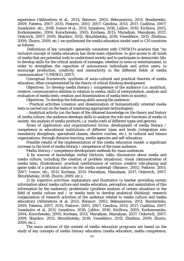experience (Akhmetova et al., 2013; Baranov, 2002; Beknazarova, 2011; Bondarenko, 2009; Fateeva, 2007; 2015; Fedorov, 2001; 2007; Gendina, 2013; 2017; Gudilina, 2007; Imankulov, etc., 2018; Ivanov et al., 2011; Izmailova, 2016; Jalilov, 2010; Kirillova, 2005; Korkonosenko, 2004; Korochensky, 2005; Kovbasa, 2013; Muradyan, Manukyan, 2017; Onkovich, 2007; 2009; Sharikov, 2012; Shturkhetsky, 2018; Venediktov, 2015; Zhizhina, 2009; Zhurin, 2009, etc.) we synthesized the media education model used in CIS countries as follows:

*Definitions of key concepts:* generally consistent with UNESCO's position that "An inclusive concept of media education has three main objectives: to give access to all kinds of media that are potential tools to understand society and to participate in democratic life; to develop skills for the critical analysis of messages, whether in news or entertainment, in order to strengthen the capacities of autonomous individuals and active users; to encourage production, creativity and interactivity in the different fields of media communication" (UNESCO, 2007).

*Conceptual framework:* synthesis of socio-cultural and practical theories of media education, often complemented by the theory of critical thinking development.

*Objectives:* To develop media literacy / competence of the audience (i.e. analytical, creative, communicative abilities in relation to media, skills of interpretation, analysis and evaluation of media texts, creation and dissemination of media texts in society).

*Objectives:* To develop the following skills among the audience:

- Practical activities (creation and dissemination of humanistically oriented media texts is carried out on the basis of mastering appropriate technologies);

- Analytical activity (on the basis of the obtained knowledge on the theory and history of media culture, the audience develops skills to analyze the role and functions of media in society, the analysis of media products, i.e. media texts of different types and genres);

*Areas of application and organizational forms*: development of media literacy / competence in educational institutions of different types and levels (integration into mandatory disciplines, specialized classes, elective courses, etc.), in cultural and leisure organizations, through distance learning, media agencies and self-education;

*Possible results of the implementation of this media education model*: a significant increase in the level of media literacy / competence of the mass audience.

*Media literacy / competence development methods for mass audiences:*

1) *by sources of knowledge*: verbal (lectures, talks, discussions about media and media culture, including the creation of problem situations); visual (demonstration of media texts, illustrations); practical (performance of various creative role-playing and game tasks of a practical nature on the media material) (Baranov, 2002; Fedorov, 2001; 2007; Ivanov, etc., 2011; Kovbasa, 2013; Muradyan, Manukyan, 2017; Onkovich, 2007; Shturkhetsky, 2018, Zhurin, 2009, etc.);

2) *by cognitive activities*: explanatory and illustrative (a teacher providing certain information about media culture and media education, perception and assimilation of this information by the audience); problematic (problem analysis of certain situations in the field of media culture and / or media texts to develop analytical thinking); research (organization of research activities of the audience related to media culture and media education) (Akhmetova et al, 2013; Baranov, 2002; Beknazarova, 2011; Bondarenko, 2009; Fateeva, 2007; 2015; Fedorov, 2001; 2007; Gendina, 2013; 2017; Gudilina, 2007; Imankulov et al, 2011; Izmailova, 2016; Jalilov, 2010; Kirillova, 2005; Korkonosenko, 2004; Korochensky, 2005; Kovbasa, 2013; Muradyan, Manukyan, 2017; Onkovich, 2007; 2009; Sharikov, 2012; Shturkhetsky, 2018; Venediktov, 2015; Zhizhina, 2009; Zhurin, 2009, etc.).

*The main sections of the content of media education programs* are based on the study of key concepts of media literacy education (media education, media competence,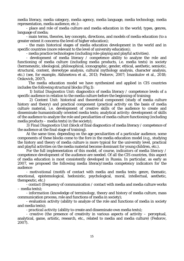media literacy, media category, media agency, media language, media technology, media representation, media audience, etc.):

- place and role of media culture and media education in the world; types, genres, language of media;

- main terms, theories, key concepts, directions, and models of media education (to a greater extent it concerns the level of higher education);

- the main historical stages of media education development in the world and in specific countries (more relevant to the level of university education);

- media practice technologies (including role-playing and playful activities).

- development of media literacy / competence ability to analyze the role and functioning of media culture (including media products, i.e. media texts) in society (hermeneutic, ideological, philosophical, iconographic, gender, ethical, aesthetic, semiotic, structural, content, stereotype analysis, cultural mythology analysis, character analysis, etc.) (see, for example, Akhmetova et al., 2013; Fedorov, 2007; Imankulov et al., 2018; Onkovich, 2007).

The media education model we have synthesized and applied in CIS countries includes the following structural blocks (Fig.1):

1) *Initial Diagnostics Unit*: diagnostics of media literacy / competence levels of a specific audience in relation to the media culture before the beginning of training;

2) *Content Unit:* historical and theoretical component (study of media culture history and theory) and practical component (practical activity on the basis of media culture material, i.e. development of creative skills of the audience to create and disseminate humanistically oriented media texts; analytical activity: development of skills of the audience to analyze the role and peculiarities of media culture functioning (including media products – media texts) in the society);

3) *Final Diagnostics Unit* (block of final diagnostics of media literacy / competence of the audience at the final stage of training).

At the same time, depending on the age peculiarities of a particular audience, some components of these blocks come to the fore in the media education model (e.g., studying the history and theory of media culture is more typical for the university level, practical and playful activities on the media material become dominant for young children, etc.).

For the full implementation of this model, of course, *indicators of media literacy / competence development of the audience* are needed. Of all the CIS countries, this aspect of media education is most consistently developed in Russia. In particular, as early as 2007, we proposed the following media literacy/media competency indicators for the audience

- *motivational* (motifs of contact with media and media texts: genre, thematic, emotional, epistemological, hedonistic, psychological, moral, intellectual, aesthetic, therapeutic, etc.)

- *contact* (frequency of communication / contact with media and media culture works – media texts);

- *information* (knowledge of terminology, theory and history of media culture, mass communication process, role and functions of media in society);

- evaluation activity (ability to analyze of the role and functions of media in society and media texts);

- *practical activity* (ability to create and disseminate own media texts);

- *creative* (the presence of creativity in various aspects of activity – perceptual, analytical, game, artistic, research, etc., related to media and media culture) (Fedorov, 2007).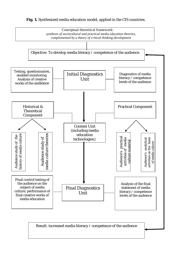## **Fig. 1.** Synthesized media education model, applied in the CIS countries.

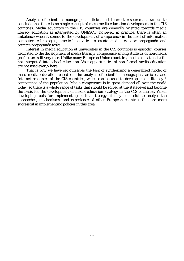Analysis of scientific monographs, articles and Internet resources allows us to conclude that there is no single concept of mass media education development in the CIS countries. Media educators in the CIS countries are generally oriented towards media literacy education as interpreted by UNESCO, however, in practice, there is often an imbalance when it comes to the development of competence in the field of information computer technologies, practical activities to create media texts or propaganda and counter-propaganda tasks.

Interest in media education at universities in the CIS countries is episodic: courses dedicated to the development of media literacy/ competence among students of non-media profiles are still very rare. Unlike many European Union countries, media education is still not integrated into school education. Vast opportunities of non-formal media education are not used everywhere.

That is why we have set ourselves the task of synthesizing a generalized model of mass media education based on the analysis of scientific monographs, articles, and Internet resources of the CIS countries, which can be used to develop media literacy / competence of the population. Media competence is in great demand all over the world today, so there is a whole range of tasks that should be solved at the state level and become the basis for the development of media education strategy in the CIS countries. When developing tools for implementing such a strategy, it may be useful to analyze the approaches, mechanisms, and experience of other European countries that are more successful in implementing policies in this area.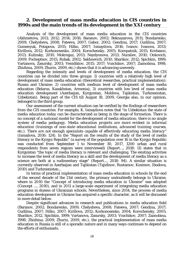### **2. Development of mass media education in CIS countries in 1990s and the main trends of its development in the XXI century**

Analysis of the development of mass media education in the CIS countries (Akhmetova, 2011; 2012; 2014; 2016; Baranov, 2002; Beknazarova, 2011; Bondarenko, 2009; Chelysheva, 2008; Fateeva, 2007; Gabor, 2002; Gendina, 2017; Gudilina, 2007; Gumenyuk, Potapova, 2015; Hilko, 2007; Ismayilova, 2016; Ivanov, Ivanova, 2013; Kirillova, 2012; Korkonosenko, 2004; Korochensky, 2005; Koropatnik, 2015; Kovbasco, 2013; Kulinsky, 2010; Mokroguz, 2013; Naydyonova, 2013; Nuraliev, 2010; Onkovich, 2009; Pocheptsov, 2015; Robak, 2002; Sakhnevich, 2010; Sharikov, 2012; Spichkin, 1999; Vartanova, Zasursky, 2003; Venidiktov, 2015; 2017; Vozchikov, 2007; Zaznobina, 1998; Zhizhina, 2009; Zhurin, 2009, etc.) shows that it is advancing unevenly.

Regarding the intensity and levels of development of media education, the CIS countries can be divided into three groups: 1) countries with a relatively high level of development of mass media education (theoretical researches, practical implementation): Russia and Ukraine; 2) countries with medium level of development of mass media education (Belarus, Kazakhstan, Armenia), 3) countries with low level of mass media education development (Azerbaijan, Kyrgyzstan, Moldova, Tajikistan, Turkmenistan, Uzbekistan). Being part of the CIS till August 18, 2009, Georgia also, in our opinion, belonged to the third group.

Our assessment of the current situation can be verified by the findings of researchers from the CIS countries. For example, K. Ismayilova notes that "*in Uzbekistan the state of media education today can be characterized as being in the stage of formation. There is no concept of a national model for the development of media education; there is no single system of media pedagogy. Media education projects are more evident in informal education (trainings of non-state educational institutions, advanced training courses, etc.). There are not enough specialists capable of effectively educating media literacy*" (Ismailova, 2016: 124). In the "Report on the results of the study of the level of media literacy in the Kyrgyz Republic" (a survey of the population over 16 in the Kyrgyz Republic was conducted from September 1 to November 30, 2017, 1200 urban and rural respondents from seven regions were interviewed) (Report…, 2018: 11) states that in Kyrgyzstan "the topic of media literacy is relevant and challenging. The existing activities to increase the level of media literacy as a skill and the development of media literacy as a science are both at a rudimentary stage" (Report..., 2018: 94). A similar situation is currently observed in Azerbaijan and Tajikistan (Tajidinov, Rustamov, Kosimov, Ibodova, 2010) and Turkmenistan...

In terms of practical implementation of mass media education in schools by the end of the second decade of the 21st century, the primacy undoubtedly belongs to Ukraine, where in 2010 the "Concept of introducing media education in Ukraine" was adopted (Concept ..., 2010), and in 2011 a large-scale experiment of integrating media education programs in dozens of Ukrainian schools. Nevertheless, since 2014, the process of media education development in Ukraine has acquired a specific character, as it will be discussed in more detail below.

Despite significant advances in research and publications in media education field (Baranov, 2002; Bondarenko, 2009; Chelysheva, 2008; Fateeva, 2007; Gendina, 2017; Gudilina, 2007; Hilko, 2007; Kirillova, 2012; Korkonosenko, 2004; Korochensky, 2005; Sharikov, 2012, Spichkin, 1999; Vartanova, Zasursky, 2003; Vozchikov, 2007; Zaznobina, 1998; Zhizhina, 2009; Zhurin, 2009, etc.), the practical implementation of mass media education in Russia is still of a sporadic nature and in many ways continues to depend on the efforts of enthusiasts.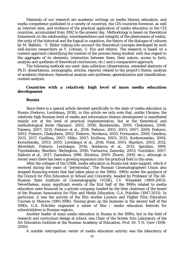Materials of our research are academic writings on media literacy education, and media competence published in a variety of countries, the CIS countries foremost, as well as Internet sites, and evidence of the practical application of media education in the CIS countries, accumulated from 1992 to the present day. Methodology is based on theoretical framework on the relationship, interdependence and integrity of the phenomena of reality, the unity of the historical and the logical in cognition, the theory of the dialogue of cultures by M. Bakhtin - V. Bibler (taking into account the theoretical concepts developed by such well-known researchers as Y. Lotman, U. Eco and others). The research is based on a content approach (identifying the content of the process being studied, with due regard to the aggregate of its elements, interaction between them, their nature, access to facts, analysis and synthesis of theoretical conclusions, etc.) and a comparative approach.

The following methods are used: data collection (dissertations, extended abstracts of Ph.D. dissertations, monographs, articles, reports) related to the project's theme, analysis of academic literature, theoretical analysis and synthesis; generalization and classification; content analysis.

#### *Countries with a relatively high level of mass media education development*

#### *Russia*

Since there is a special article devoted specifically to the state of media education in Russia (Fedorov, Levitskaya, 2018), in this article we only note that, unlike Ukraine, the relatively high Russian level of media and information literacy development is manifested mainly not at the level of practical implementation, but at the theoretical and methodological levels (Baranov, 2002; 2008; Bondarenko, 2009; Chelysheva, 2008; Fateeva, 2007; 2015; Fedorov et al., 2014; Fedorov, 2001; 2003; 2007; 2009; Fedorov, 2003; Fedorov, Chelysheva, 2002; Fedorov, Novikova, 2005; Fortunatov, 2009; Gendina, 2013; 2017; Gudilina, 2007; Hilko, 2007; Kirillova, 2005; 2012; Korkonosenko, 2004; Korochensky, 2003; 2005; Levitskaya et al., 2016; Polat, 2001; Sharikov, 2005; 2012; Silverblatt, Fedorov, Levitskaya, 2016; Soldatova et al., 2013; Spichkin, 1999; Tsymbalenko, Sharikov, Shcheglova, 2006; Vartanova, Zasursky, 2003; Vozchikov, 2007; Zadorin et al., 2017; Zaznobina, 1998; Zhizhina, 2009; Zhurin, 2009, etc.), although in recent years there has been a growing expansion into the practical field in this area.

After the collapse of the USSR, media education in Russia lost state support, which it received during the years of "perestroika". The Russian Cinematographers Union also stopped financing events that had taken place in the 1960s -1980s under the guidance of the Council for Film Education in School and University, headed by Professor of The All-Russian State Institute of Cinematography (VGIK), I.V. Weissfeld (1909-2003). Nevertheless, many significant events of the first half of the 1990s related to media education were financed by a private company headed by the then chairman of the board of the Russian Association for Film and Media Education, G.A. Polichko (1947-2013). In particular, it was the activity of the film studies Lyceum and Higher Film Education Courses in Moscow (1991-1996). Having given up the business in the second half of the 1990s, G.A. Polichko organized a series of film / media education festivals for schoolchildren in Russian regions.

Another leader of mass media education in Russia in the 1990s, but in the field of research and curriculum design at school, was Chair of the Screen Arts Laboratory of the Art Education Institute at the Russian Academy of Education, Prof. Dr. Y.N. Usov (1936- 2000).

A notable metropolitan center of media education activity was the laboratory of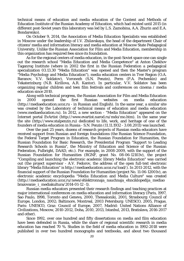technical means of education and media education of the Content and Methods of Education Institute of the Russian Academy of Education, which had existed until 2015 (in different post-Soviet years this laboratory was led by L.S. Zaznobina, A.A. Zhurin and E.A. Bondarenko).

On October 9, 2014, the Association of Media Education Specialists was established in Moscow under the leadership of I.V. Zhilavskaya, the head of the department Chair of citizens' media and information literacy and media education at Moscow State Pedagogical University. Unlike the Russian Association for Film and Media Education, membership in this organization has required fees since its foundation.

As for the regional centers of media education, in the post-Soviet space one can single out the research school "Media Education and Media Competence" at Anton Chekhov Taganrog Institute (where in 2002 the first in the Russian Federation a pedagogical specialization 03.13.30 "Media Education" was opened and then the Master's program "Media Psychology and Media Education"), media education centers in Tver Region (O.A. Baranov, V.V. Soldatov), Voronezh (S.N. Penzin), Perm (P.A. Pechenkin) and Yekaterinburg (N.B. Kirillova, A.R. Kantor). In particular, V.V. Soldatov has been organizing regular children and teen film festivals and conferences on cinema / media education since 2010.

Along with technical progress, the Russian Association for Film and Media Education in 2000 opened the first Russian websites on media education (http://mediaeducation.ucoz.ru - in Russian and English). In the same year, a similar site was created by the Laboratory of technical means of education and media education (www.mediaeducation.ru). In 2012, a new section - "Media Education" appeared on the Internet portal EvArtist (http://www.evartist.narod.ru/mdo/mo.htm). In the same year the site (http://www.stalpenzin.ru) dedicated to life, work, and heritage of one of the founders of media education in Russia - S.N. Penzin (11.11.1932 - 3.08.2011) was launched.

Over the past 25 years, dozens of research projects of Russian media educators have received support from Russian and foreign foundations (the Russian Science Foundation, the Federal Target Program in Education, the Russian Foundation for Humanities, the Russian Foundation for Basic Research, the Presidential Program "Support to Leading Research Schools in Russia", the Ministry of Education and Science of the Russian Federation, Fulbright, DAAD, etc.). For example, in 2008-2009, with the support of the Russian Foundation for Humanities (RGNF, grant No. 08-06-12103v), the project "Compiling and launching the electronic academic library *Media Education*" was carried out (the project supervisor - A.V. Fedorov, the address of the open full-text electronic library "Media Education" is http://mediaeducation.ucoz.ru/load/). In 2011-2012, with the financial support of the Russian Foundation for Humanities (project No. 11-06-12001v), an electronic academic encyclopedia "Media Education and Media Culture" was created (http://mediaeducation.ucoz.ru/news/ehlektronnaja\_nauchnaja\_ehnciklopedija\_mediao brazovanie\_i\_mediakultura/2014-01-12 -1).

Russian media educators presented their research findings and teaching practices at major international conferences on media education and information literacy (Paris, 1997, Sao Paulo, 1998, Toronto and Geneva, 2000, Thessaloniki, 2001, Strasbourg: Council of Europe, London, 2002; Baltimore, Montreal, 2003 Petersburg: UNESCO, 2005, Prague, Paris: UNESCO, Graz: Council of Europe, 2007, Madrid: United Nations Alliance of Civilizations, Moscow, 2010-2012, Doha, 2010, 2013, Istanbul, 2013, Bratislava, 2016-2017 and other).

Since 1992, over one hundred and fifty dissertations on media and film education have been defended in Russia, while the share of regional scientific research in media education has reached 70 %. Studies in the field of media education in 1992-2018 were published in over two hundred monographs and textbooks, and about two thousand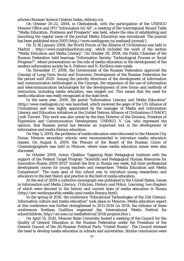articles (Russian Science Citation Index, elibrary.ru).

On October 20-22, 2004, in Chelyabinsk, with the participation of the UNESCO Moscow Office and IPO "Information for All", a meeting of the Interregional Round Table "Media Education: Problems and Prospects" was held, where the idea of establishing and launching the regular issue of the journal *Media Education* was introduced. The journal has been published since 2005 (http://www.mediagram.ru/mediaed/journal/).

On 15-16 January 2008, the World Forum of the Alliance of Civilizations was held in Madrid - http://www.madridaocforum.org/, which included the work of the section "Media Education and Media Literacy". On October 29, 2008, the Public Chamber of the Russian Federation held hearings "Information Society: Technological Process or Social Progress?", where presentations on the role of media education in the development of the modern information society by A. Fedorov and N. Kirillova were made.

On November 17, 2008, the Government of the Russian Federation approved the Concept of Long-Term Social and Economic Development of the Russian Federation for the period until 2020. Among the priority directions of the development of information and communication technologies in the Concept, the expansion of the use of information and telecommunication technologies for the development of new forms and methods of instruction, including media education, was singled out. This meant that the need for media education was really recognized at the state level.

In the same year, 2008, the portal "Information Literacy and Media Education" (http://www.mediagram.ru) was launched, which received the aegis of the UN Alliance of Civilizations and was highly appreciated by the manager of Media and Information Literacy and Education initiatives at the United Nations Alliance of Civilizations (UNAOC) Jordi Torrent. This work was also noted by the then Director of the Division, Freedom of Expression and Communication Development, UNESCO, V. Gai, who expressed the opinion, that Russian portal has become an important tool in the development of information and media literacy education.

On May 5, 2009, the problems of media education were discussed in the Moscow City Duma: Moscow secondary schools were recommended to introduce media education classes. On August 6, 2009, the Plenum of the Board of the Russian Union of Cinematographers was held in Moscow, where mass media education issues were also discussed.

In October 2009, Anton Chekhov Taganrog State Pedagogical Institute with the support of the Federal Target Program "Scientific and Pedagogical Human Resources for Innovative Russia 2009-2013" hosted the first in Russia one week, full-time professional development course for young teachers and researchers "Media Education and Media Competence". The main goal of this school was to introduce young researchers and educators to the best theory and practice in the field of media education.

At the end of 2009 a collective monograph was published in the United States: *Issues in Information and Media Literacy. Criticism, History and Policy. Learning*, two chapters of which were devoted to the history and current state of media education in Russia (http://net-workingworlds.weebly.com/media-literacy.html).

In the spring of 2010, the conference "Educational Technologies of the 21st Century. Information culture and media education" took place in Moscow. Media education aspect at this conference was further strengthened in 2011-2014 (in 2014, the initiator of these conferences Svetlana Gudilina organized the International Media Festival for schoolchildren, http://art.ioso.ru/mediafestival/2014/projects.htm ).

On April 15, 2010, Moscow State University hosted a meeting of the Council for the Quality of General Education in the Russian Federation under the Presidium of the General Council of the All-Russian Political Party "United Russia". The Council stressed the need to develop media education in schools and universities. Similar conclusions were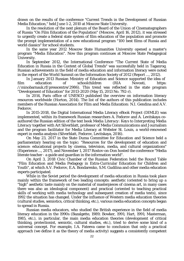drawn on the results of the conference "Current Trends in the Development of Russian Media Education," held June 1-2, 2010 at Moscow State University.

In the resolution of the next plenum of the Board of the Union of Cinematographers of Russia "On Film Education of the Population" (Moscow, April 16, 2012), it was stressed to urgently create a federal state system of film education of the population and promote the prompt implementation of a new educational program "100 best films of Russia and world classics" for school students.

In the same year 2012 Moscow State Humanities University opened a master's program "Media Education". Now this program continues at Moscow State Pedagogical University.

In September 2012, the International Conference "The Current State of Media Education in Russia in the Context of Global Trends" was successfully held in Taganrog. Russian achievements in the field of media education and information literacy were noted in the report of the World Summit on the Information Society of 2012 (Report ..., 2012).

In January 2013 Russian Ministry of Education and Science supported the idea of film education of schoolchildren (RIA Novosti, https: //minobarnauk.rf/presscentre/2986). This trend was reflected in the state program "Development of Education" for 2013-2020 (May 15, 2013 No. 792-r).

In 2014, Paris office of UNESCO published the overview on information literacy resources worldwide (Horton, 2014). The list of the authors of this publication includes members of the Russian Association for Film and Media Education: N.I. Gendina and A.V. Fedorov.

In 2015-2018, the Digital International Media Literacy eBook Project (DIMLE) was implemented, within its framework Russian researchers A. Fedorov and A. Levitskaya coauthored the Russian edition of the text book *Media Literacy: Keys to Interpreting Media Literacy* together with Art Silverblatt, professor of Media Communications and Journalism and the program facilitator for Media Literacy at Webster St. Louis, a world-renowned expert in media analysis (Silverblatt, Fedorov, Levitskaya, 2016).

On May 23, 2017 in the State Duma Committee for Education and Science held a parliamentary hearing on the topic: "Resources for the development of education and science: educational projects by cinema, television, media, and cultural organizations" (Experience ..., 2017), and November 1, 2017 Rostov-on-Don hosted the conference "Media literate teacher - a guide and guardian in the information world".

On April 3, 2018 Civic Chamber of the Russian Federation held the Round Table "Film Education and Media Pedagogy in Extra-Curricular Education for Children and Youth", at which A.V. Fedorov, E.A. Bondarenko, S.M. Gudilina and other media education experts participated.

While in the Soviet period the development of media education in Russia took place mainly within the framework of two leading concepts: aesthetic (oriented to bring up a "high" aesthetic taste mainly on the material of masterpieces of cinema art, in many cases there was also an ideological component) and practical (oriented to teaching practical skills of working with media technology and subsequent creation of media texts), since 1992 the situation has changed. Under the influence of Western media education theories (cultural studies, semiotics, critical thinking, etc.), various media education concepts began to spread in Russia.

Russian media educators, who studied the British experience in the field of media literacy education in the 1990s (Bazalgette, 1989; Bowker, 1991; Hart, 1991; Masterman, 1985, etc.), in particular, the main media education theories (development of critical thinking, protectionist, semiotic, cultural studies, etc.), tried to derive some kind of a universal concept. For example, I.A. Fateeva came to conclusion that only a practical approach (we define it as the theory of media activity) suggests a consistently competent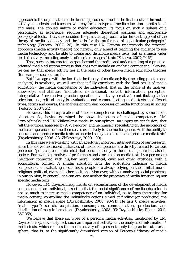approach to the organization of the learning process, aimed at the final result of the mutual activity of students and teachers, whereby for both types of media education - professional and mass. The applied nature of media education, its focus on such a sphere of a personality, as experience, requires adequate theoretical positions and appropriate pedagogical tools. Thus, she considers the practical approach to be the starting point of the theory of media pedagogy and the basis for the preference of a particular pedagogical technology (Fateeva, 2007: 26). In this case I.A. Fateeva understands the practical approach (media activity theory) not narrow, only aimed at teaching the audience to use media technology and be able to create and distribute media texts, but as a much wider field of activity, including analysis of media messages / texts (Fateeva, 2007; 2015).

True, such an interpretation goes beyond the traditional understanding of a practiceoriented media education process that does not include an analytic component. Likewise, we can say that media activity lies at the basis of other known media education theories (for example, sociocultural).

But if we agree with the fact that the theory of media activity (including practice and analytics) is synthetic, we will see that it fully correlates with the final result of media education - the media competence of the individual, that is, the whole of its motives, knowledge, and abilities, (indicators: motivational, contact, information, perceptual, interpretative / evaluative, practice-operational / activity, creative), contributing to the selection, use, critical analysis, evaluation, and communicating media texts in different types, forms and genres, the analysis of complex processes of media functioning in society (Fedorov, 2007: 54).

However, this interpretation of "media competence" is challenged by some media educators. So, having examined the above indicators of media competence, I.M. Dzyaloshinsky and I.V. Zhilavskaya made, in our opinion, an unproven conclusion, that "all the authors, analyzed by A.V. Fedorov, and he himself, speculating on the indicators of media competence, confine themselves exclusively to the media sphere. As if the ability to consume and produce media texts are needed solely to consume and produce media texts" (Dzyaloshinsky, 2008: 88; Zhilavskaya, 2009: 109).

In this case we are dealing with an absolutely incorrect interpretation of our research, since the above-mentioned indicators of media competence are directly related to various processes (political, economic, etc.) that occur not only in the media sphere but also in society. For example, motives of preferences and / or creation media texts by a person are inevitably connected with his/her moral, political, civic and other attitudes, with a sociocultural context. A similar situation with the evaluation indicator of media competence, as evaluating media texts, people are always relying on their initial moral, religious, political, civic and other positions. Moreover, without analyzing social problems, in our opinion, in general, one can evaluate neither the processes of media functioning nor specific media texts.

However, I.M. Dzyaloshinsky insists on secondariness of the development of media competence of an individual, asserting that the social significance of media education is not so much to increase media competence of an individual, as to form the setting for media activity, controlling the individual's actions aimed at finding (or producing) the information in media space (Dzyaloshinsky, 2008: 90-91). He lists 6 media activities' "main types": search, acquisition, consumption, communication, production, and distribution of mass information" (Dzyaloshinsky, 2008: 93; Dzyaloshinsky, Pilgun, 2011: 357-358).

We believe that these six types of a person's media activities, mentioned by I.M. Dzyaloshinsky, obviously lack such an important activity as the analysis of information / media texts, which reduces the media activity of a person to only the practical-utilitarian sphere, that is, to the significantly diminished version of Fateeva's "theory of media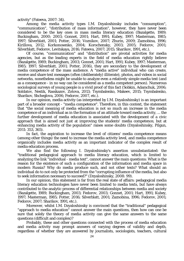activity" (Fateeva, 2007: 34).

Among the media activity types I.M. Dzyaloshinsky includes "consumption", "communication", "distribution of mass information", however, they have never been considered to be the key ones in mass media literacy education (Bazalgette, 1989; Buckingham, 2000; 2003; Gonnet, 2001; Hart, 1991; Kubey, 1997; Masterman, 1985; 1997; Silverblatt, 2001; Potter, 2016; Voznikov, 2007; Zhurin, 2009; Zaznobina, 1996; Kirillova, 2012; Korkonosenko, 2004; Korochensky, 2003; 2005; Fedorov, 2001; Silverblatt, Fedorov, Levitskaya, 2016; Fateeva, 2007; 2015; Sharikov, 1991, etc.).

Of course, "communication" and "distribution" are pivotal activities for media agencies, but as the leading experts in the field of media education rightly believe (Bazalgette, 1989; Buckingham, 2003; Gonnet, 2001; Hart, 1991; Kubey, 1997; Masterman, 1985; 1997; Silverblatt, 2001; Potter, 2016), they are secondary to the development of media competence of the mass audience. A "media active" individual who can create, receive and share text messages (often (deliberately) illiterate), photos, and videos in social networks, nonetheless might be unable to analyze even a relatively simple media text (and as a consequence - in no way can be considered as a media competent person). Numerous sociological surveys of young people is a vivid proof of this fact (Sobkin, Adamchuk, 2006; Soldatov, Nestik, Rasskazov, Zotova, 2013; Tsymbalenko, Makeev, 2015; Tsymbalenko, Sharikov, Shcheglova, 2006; Fedorov, 2007, etc.).

In our opinion, media activity (as interpreted by I.M. Dzyaloshinsky) is an important part of a broader concept - "media competence". Therefore, in this context, the statement that "the social meaning of media education is not so much an increase in the media competence of an individual as in the formation of an attitude toward media activity, ... the further development of media education is associated with the development of a civic approach that is aimed not just at improving the students' media competence, but at enhancing media activity of the population" raises some doubts (Dzyaloshinsky, Pilgun, 2011: 353, 365).

In fact, the aspiration to increase the level of citizens' media competence means (among other things) the need to increase the media activity level, and media competence organically includes media activity as an important indicator of the complex result of media education process.

We also find the following I. Dzyaloshinsky's assertion unsubstantiated: the "traditional pedagogical approach to media literacy education, which is limited to analyzing the link "individual - media text", cannot answer the main questions: What is the reason for the existence of such a configuration of the information and media space in modern Russia? Why do media produce such, and not other texts? What should an individual do to not only be protected from the "corrupting influence of the media, but also to seek information necessary to succeed?" (Dzyaloshinsky, 2008: 99).

In our opinion, this statement is far from the real state of affairs: pedagogical media literacy education technologies have never been limited to media texts, but have always contributed to the analytic process of differential relationships between media and society (Bazalgette, 1989; Buckingham, 2003; Fedorov, 2003; Gonnet, 2001; Hart, 1991; Kubey, 1997; Masterman, 1985; Potter, 2016; Silverblatt, 2001; Zaznobina, 1996; Fedorov, 2001; Fedorov, 2007; Sharikov, 1991, etc.).

Moreover, whilst I.M. Dzyaloshinsky is convinced that the "traditional" pedagogical "approach to media education" cannot answer the main questions, then how can one be sure that solely the theory of media activity can give the same answers to the same questions (difficult and complex)?

Probably, these and other questions connected with the process of media education and media activity may prompt answers of varying degrees of validity and depth, regardless of whether they are answered by journalists, sociologists, teachers, cultural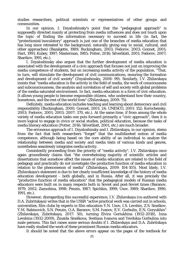studies researchers, political scientists or representatives of other groups and communities.

In our opinion, I. Dzyaloshinsky's point that the "pedagogical approach" is supposedly directed mainly at protecting from media influences and does not touch upon the topic of finding the information necessary to succeed in life (in fact, the "protectionist/inoculatory" approach is just one of the branches of media education that has long since retreated to the background, naturally giving way to social, cultural, and other approaches) (Bazalgette, 1989; Buckingham, 2003; Fedorov, 2003; Gonnet, 2001; Hart, 1991; Kubey, 1997; Masterman, 1985; Potter, 2016; Silverblatt, 2001; Fedorov, 2007; Sharikov, 1991, etc.).

I. Dzyaloshinsky also argues that the further development of media education is associated with the development of a civic approach that focuses not just on improving the media competence of students, but on increasing media activity of the population. "That, in turn, will stimulate the development of civil communications, ensuring the formation and development of civil society" (Dzyaloshinsky, 2008: 99). Similarly, I.V. Zhilavskaya insists that "media education is the activity in the field of media, the work of consciousness and subconsciousness, the analysis and correlation of self and society with global problems of the media-saturated environment. In fact, media education is a form of civic education. It allows young people to become responsible citizens, who understand how their country, hometown, and the rest of the world lives" (Zhilavskaya, 2009: 75).

Definitely, media education includes teaching and learning about democracy and civil responsibility (Buckingham, 2000; Gonnet, 2001: 24; UNESCO, 2001: 152; Korochensky, 2003; Fedorov, 2001; 2003; 2007: 370, etc.). At the same time, if from among the whole variety of media education tasks one puts forward primarily a "civic approach", then it is more logical to engage in civics or social studies, political education, because the tasks of media literacy education (Potter, 2016; Silverblatt, 2001, etc.) are much broader.

The erroneous approach of I. Dzyaloshinsky and I. Zhilavskaya, in our opinion, stems from the fact that both researchers "forget" that the multifaceted notion of media competence, although being based on the core ability of an individual to analyze the relationship between media and society and media texts of various kinds and genres, nonetheless seamlessly integrates media activity.

Consistently proceeding from the priority of "media activity", I.V. Zhilavskaya once again groundlessly claims that "the overwhelming majority of scientific articles and dissertations that somehow affect the issues of media education are related to the field of pedagogy and practically do not investigate the productive function of media education in relation to the phenomenon of media" (Zhilavskaya, 2009: 104-105). Most likely, I.V. Zhilavskaya's statement is due to her clearly insufficient knowledge of the history of media education development - both globally, and in Russia. After all, it was precisely the "productive function of media education" that the pedagogical models of Russian media educators were built on in many respects both in Soviet and post-Soviet times (Baranov, 1979; 2002; Zaznobina, 1998; Penzin, 1987; Spichkin, 1999; Usov, 1989; Sharikov, 1990; 1991, etc.).

However, disregarding this successful experience, I.V. Zhilavskaya (co-authored with D.A. Zubritskaya) writes that in the USSR "active practical work was carried out in schools, universities, film clubs by experts in film education Y.N. Usov, I.S. Levshin, Z.S. Smelkov, Y.M. Rabinovich, S.N. Penzin, O.A. Baranov, S.M. Ivanov, E.V. Gorbulin, E.N. Goryukhin" (Zhilavskaya, Zubritskaya, 2017: 50), turning Elvira Goriukhina (1932-2018), Inna Levshina (1932-2009), Zinaida Smelkova, Svetlana Ivanova and Yevdokia Gorbulina into male persons. This fact raises some serious doubts if I. Zhilavskaya and D.A. Zubritskaya have really studied the work of these prominent Russian media educators.

It should be noted that the above errors appear on the pages of the textbook for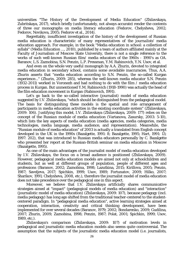universities "The History of the Development of Media Education" (Zhilavskaya, Zubritskaya, 2017), which briefly (unfortunately, not always accurate) render the contents of three our monographs on media literacy education (Fedorov, Chelysheva, 2002; Fedorov, Novikova, 2005; Fedorov et al., 2014).

Regrettably, insufficient investigation of the history of the development of Russian media education is characteristic of many representatives of the *journalists'* media education approach. For example, in the book "Media education in school: a collection of syllabi" (Media Education ..., 2010), published by a team of authors affiliated mainly at the Faculty of Journalism of Moscow State University, there is not a single reference to the works of such well-known Russian film/ media educators of the 1960s - 1990's as OA. Baranov, L.S. Zaznobina, S.N. Penzin, L.P. Pressman, Y.M. Rabinovich, Y.N. Usov, et al.

And even on the whole very useful monograph by A.A. Zhurin, devoted to integrated media education in secondary school, contains some avoidable inaccuracies. Thus, A.A. Zhurin asserts that "media education according to S.N. Penzin, the so-called Kurgan experience..." (Zhurin, 2009: 285), whereas the well-known media educator S.N. Penzin (1932-2011) worked in Voronezh and had nothing to do with the film / media education process in Kurgan. But unmentioned Y.M. Rabinovich (1918-1990) was actually the head of the film education movement in Kurgan (Rabinovich, 1991).

Let's go back to the so-called interactive (journalist) model of media education suggested by I.V. Zhilavskaya, "which should be distinguished from the pedagogical model. The basis for distinguishing these models is the spatial and role arrangement of participants in media education activities in the existing coordinate system" (Zhilavskaya, 2009: 106). Justifying this model, I.V. Zhilavskaya (Zhilavskaya, 2009: 177) relies on the concept of the *Russian module of media education* (Vartanova, Zasursky, 2003: 5-10), which lists the key aspects of media education (media agencies, media categories, media technologies, media language, media audience, and representation). Meanwhile, the "Russian module of media education" of 2003 is actually a translated from English concept developed in the UK in the 1990s (Bazalgette, 1991: 8; Bazalgette, 1995; Hart, 1991: 13; 1997: 202), that was introduced to Russian media educators personally by C. Bazalgette who presented her report at the Russian-British seminar on media education in Moscow (Bazalgette, 1995).

As one of the main advantages of the journalist model of media education developed by I.V. Zhilavskaya, the focus on a broad audience is positioned (Zhilavskaya, 2009). However, pedagogical media education models are aimed not only at schoolchildren and students, but as well at different groups of population, people of different ages and professions (Baranov, 2002; Zaznobina, 1998; Lazutkina, 2015; Kirillova, 2005; Penzin, 1987; Saveljeva, 2017; Spichkin, 1999; Usov, 1989; Fortunatov, 2009; Hilko, 2007; Sharikov, 1991; Chelysheva, 2008, etc.), therefore the journalist model of media education does not take precedence over the pedagogical one in this aspect.

Moreover, we believe that I.V. Zhilavskaya artificially shares communicative strategies aimed at "impact" (pedagogical models of media education) and "interaction" (journalistic model of media education) (Zhilavskaya, 2009: 107), because pedagogy (incl. media pedagogy) has long ago shifted from the traditional teacher-centered to the studentcentered paradigm. In "pedagogical media education", active learning strategies aimed at cooperation, interaction, creativity and critical thinking development, have been implemented for over several decades (Baranov, 1979; 2002; Bondarenko, 2009; Gudilina, 2007; Zhurin, 2009; Zaznobina, 1998; Penzin, 1987; Polat, 2001; Spichkin, 1999; Usov, 1989, etc.).

Zhilavskaya's comparison (Zhilavskaya, 2009: 107) of motivation levels in pedagogical and journalistic media education models also seems quite controversial. The assumption that the subjects of the journalistic media education model (i.e. journalists,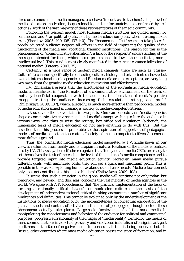directors, camera men, media managers, etc.) have (in contrast to teachers) a high level of *media education* motivation, is questionable, and, unfortunately, not confirmed by real actions / work of the vast majority of these representatives of the media community.

Following the western model, most Russian media structures are guided mainly by commercial and / or political goals, not by media education goals, when creating media texts (Sharikov, 2005: 100-105, 137-140). The "boomerang effect" seems to take place: "a poorly educated audience negates all efforts in the field of improving the quality of the functioning of the media and vocational training institutions. The reason for this is the phenomenon of "communicative aberration", a lack of the recipients' understanding of the messages intended for them, which forces professionals to lower their aesthetic, moral, intellectual level. This trend is most clearly manifested in the current commercialization of national media" (Fateeva, 2007: 35).

Certainly, in a wide range of modern media channels, there are such as "Russia-Culture" (a channel specifically broadcasting culture, history and arts-oriented shows) but overall, international media agencies (and Russian media are not exception), are very long way away from the genuine media education motivation and effectiveness.

I.V. Zhilavskaya asserts that the effectiveness of the journalistic media education model is manifested in "the formation of a communicative environment on the basis of mutually beneficial cooperation with the audience, the formation of media's positive image, attracting the audience, increasing their circulation, ratings, and profit" (Zhilavskaya, 2009: 107), which, allegedly, is much more effective than pedagogical models of media education aimed at creating a "society of media-competent citizens".

Let us divide the above claim in two parts. One can concede that "media agencies shape a communicative environment" and media's image, wishing to lure the audience in various ways, and thus to raise the ratings, box office and circulation (although, the humanistic tasks of media education do not have anything to do with this). But the assertion that this process is preferable to the aspiration of supporters of pedagogical models of media education to create a "society of media competent citizens" seems on more dubious ground.

Thus, the journalistic media education model suggested by I.V. Zhilavskaya, in our view, is rather far from reality and is utopian in nature. Idealism of the model is realized also by I.V. Zhilavskaya herself, she recognizes that "today not all media CEOs are ready to set themselves the task of increasing the level of the audience's media competence and to provide targeted input into media education activity. Moreover, many media pursue different goals: with minimized costs, they will get a quick and maximum profit. This is possible in the case of exploiting human weaknesses and basic needs. Media education not only does not contribute to this, it also hinders" (Zhilavskaya, 2009: 108).

It seems that such a situation in the global media will continue not only today, but tomorrow, and beyond, and this, alas, concerns the vast majority of media agencies in the world. We agree with A.P. Korochensky that "the practical implementation of the tasks of forming a rationally critical citizens' communication culture on the basis of the development of independent rational-critical thinking encounters a number of significant hindrances and difficulties. This cannot be explained only by the underdevelopment of the institutions of media education or by the incompleteness of conceptual elaboration of the goals, methods and content of activities in this field of pedagogy (although both of these phenomena actually take place). Large-scale "achievements" of the mass media in manipulating the consciousness and behavior of the audience for political and commercial purposes; progressive irrationality of the images of "media reality" formed by the means of mass communication; intellectual passivity and emotional infantilism of a significant part of citizens in the face of negative media influences - all this is being observed both in Russia, other countries where mass media education passes the stage of formation, and in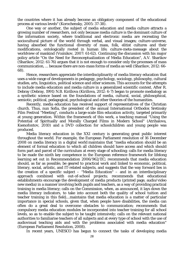the countries where it has already become an obligatory component of the educational process at various levels" (Korochensky, 2005: 37-38).

One way or another, the subject of media education and media culture attracts a growing number of researchers, not only because media culture is the dominant culture of the information society, where traditional and electronic media are recreating the sociocultural picture of the world through verbal, and visual images; culture-universe, having absorbed the functional diversity of mass, folk, elitist cultures and their modifications, ontologically rooted in human life; culture-meta-message about the worldview of mankind (Voznikov, 2007: 61-62). Continuing the discussion with his major policy article "On the Need for Reconceptualization of Media Education", A.V. Sharikov (Sharikov, 2012: 61-76) argues that it is not enough to consider only the processes of mass communication, ... because there are non-mass forms of media as well (Sharikov, 2012: 66- 68).

Hence, researchers appreciate the interdisciplinarity of media literacy education that uses a wide range of developments in pedagogy, psychology, sociology, philosophy, cultural studies, arts, linguistics, political science and other sciences. This accounts for the attempts to include media education and media culture in a generalized scientific context. After R. Debray (Debray, 1991) N.B. Kirillova (Kirillova, 2012: 6-7) began to promote medialogy as a synthetic science based on the foundations of media, cultural, social, philosophical, semiotic, political, pedagogical, psychological and other theories of the humanities.

Recently, media education has received support of representatives of the Christian church. Thus, nun Sofia, the president of the annual International Orthodox Sretinsky Film Festival "Meeting", conducts a large-scale film education activity, targeted primarily at young generation. Within the framework of this work, a teaching manual "Using the Potential of Spiritually and Morally Charged Films in Modern School" (Atrihalova, Ksenofontov, 2010) and a DVD collection for schoolchildren and young people was produced.

Media literacy education in the XXI century is generating great public interest throughout the world. For example, the European Parliament resolution of 16 December 2008 on media literacy in a digital world maintains that "media education should be an element of formal education to which all children should have access and which should form part and parcel of the curriculum at every stage of schooling; calls for media literacy to be made the ninth key competence in the European reference framework for lifelong learning set out in Recommendation 2006/962/EC; recommends that media education should, as far as possible, be geared to practical work and linked to economic, political, literary, social, artistic, and IT-related subjects, and suggests that the way forward lies in the creation of a specific subject – "Media Education" – and in an interdisciplinary approach combined with out-of-school projects; recommends that educational establishments encourage the development of media products (printed page, audio/video new media) in a manner involving both pupils and teachers, as a way of providing practical training in media literacy; calls on the Commission, when, as announced, it lays down the media literacy indicators, to take into account both the quality of school tuition and teacher training in this field;...maintains that media education is a matter of particular importance in special schools, given that, when people have disabilities, the media can often do a great deal to overcome obstacles to communication; recommends that compulsory media education modules be incorporated into teacher training for all school levels, so as to enable the subject to be taught intensively; calls on the relevant national authorities to familiarise teachers of all subjects and at every type of school with the use of audiovisual teaching aids and with the problems associated with media education" (European Parliament Resolution, 2008).

In recent years, UNESCO has begun to connect the tasks of developing media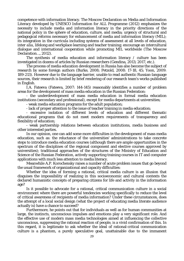competence with information literacy. The Moscow Declaration on Media and Information Literacy developed by UNESCO Information for ALL Programme (2012) emphasizes the necessity to include media and information literacy in the priority directions of the national policy in the sphere of education, culture, and media; urgency of structural and pedagogical reforms necessary for enhancement of media and information literacy (MIL); its integration in the curricula including systems of assessment at all levels of education, *inter alia*, lifelong and workplace learning and teacher training; encourage an intercultural dialogue and international cooperation while promoting MIL worldwide (The Moscow Declaration…, 2012).

The synthesis of media education and information literacy / culture has been investigated in dozens of articles by Russian researchers (Gendina, 2013; 2017, etc.).

The process of media education development in Russia has also become the subject of research by some foreign authors (Burke, 2008; Petzold, 2008: 17-18, 45; Yoon, 2009: 189-213). However due to the language barrier, unable to read authentic Russian-language sources, their research is limited by brief rendering of our research team's works published in English.

I.A. Fateeva (Fateeva, 2007: 144-145) reasonably identifies a number of problem areas for the development of mass media education in the Russian Federation:

- the underdevelopment of mass media education in formal media education institutions (secondary and professional), except for media departments at universities;

- weak media education programs for the adult population;

- lack of proper attention to the issue of teacher training in media education;

excessive isolation of different levels of education and different thematic educational programs that do not meet modern requirements of transparency and flexibility of education;

- weak partnership relations between education institutions, media business and other interested parties.

In our opinion, one can add some more difficulties in the development of mass media education, such as: the reluctance of the universities' administrations to take concrete steps to introduce media education courses (although there are ample opportunities in the spectrum of the disciplines of the regional component and elective courses approved by universities); traditional approaches of the structures of the Ministry of Education and Science of the Russian Federation, actively supporting training courses in IT and computer applications with much less attention to media literacy.

Meanwhile A.P. Korochensky raises a number of acute problem issues that go beyond the usual framework of organizational and capacity difficulties:

Whether the idea of forming a rational, critical media culture is an illusion that disguises the impossibility of realizing in this socioeconomic and cultural contexts the declared humanistic concepts of preparing citizens for life and activity in the information age?

Is it possible to advocate for a rational, critical communication culture in a social environment where there are powerful tendencies working specifically to reduce the level of critical awareness of recipients of media information? Under these circumstances, does the attempt of a local social design (what the project of educating media literate audience actually is) have a chance to succeed?

Furthermore, he points out that for individuals as well as for human communities at large, the instincts, unconscious impulses and emotions play a very significant role. And the effective use of modern mass media technologies aimed at influencing the collective unconscious, suppressing the rational reaction of people, is a vivid confirmation of this. In this regard, it is legitimate to ask whether the ideal of rational-critical communication culture is a phantom, a purely speculative goal, unattainable due to the immanent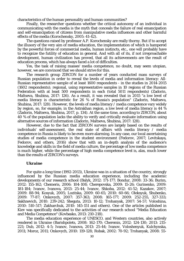characteristics of the human personality and human communities?

Finally, the researcher questions whether the critical autonomy of an individual in communicating with the media is the myth that conceals the failure of real emancipation and self-emancipation of citizens from manipulative media influences and other harmful effects of the media (Korochensky, 2005: 41-42).

The questions raised by professor A.P. Korochensky are really thorny. But if to accept the illusory of the very aim of media education, the implementation of which is hampered by the powerful forces of commercial media, human instincts, etc., one will probably have to recognize the futility of education in general. And with all of its, if not irreproachable development, human civilization has proved, that all its achievements are the result of education process, which has always faced a lot of difficulties.

Yes, the task of raising masses' media competence, no doubt, may seem utopian, however, we are convinced that we should strive for this.

The research group ZIRCON for a number of years conducted mass surveys of Russian population in order to reveal the levels of media and information literacy: All-Russian representative sample of at least 1600 respondents - in the studies in 2014-2015 (1602 respondents); regional, using representative samples in 10 regions of the Russian Federation with at least 500 respondents in each (total 5011 respondents) (Zadorin, Maltseva, Shubina, 2017: 126). As a result, it was revealed that in 2015 "a low level of media literacy is characteristic for 26 % of Russia's population" (Zadorin, Maltseva, Shubina, 2017: 128). However, the levels of media literacy / media competence vary widely by region, so, for example, in the Astrakhan region, a low level of media literacy is 44 % (Zadorin, Maltseva, Shubina, 2017, p. 134). At the same time, according to ZIRCON, about 40 % of the population lacks the ability to verify and critically evaluate information using alternative sources of information (Zadorin, Maltseva, Shubina, 2017: 128).

However, due to the fact that ZIRCON surveys are largely based on the results of individuals' self-assessment, the real state of affairs with media literacy / media competence in Russia is likely to be even more alarming. In any case, our local ascertaining studies of media competence in the student environment (Fedorov, 2007; Levitskaya, Fedorov, and others, 2016) show that with an in-depth analysis of the audience's knowledge and skills in the field of media culture, the percentage of low media competence is much higher, while the percentage of high media competence level is, alas, much lower than the results of ZIRCON's surveys.

#### *Ukraine*

For quite a long time (1992-2013), Ukraine was in a situation of the country, strongly influenced by the Russian media education experience, including the academic developments of our research school (Balyk, 2012: 171-177; Bondur, 2008: 33-36; Burim, 2012: 155-162; Chemeris, 2006: 104-108; Cherepovska, 2009: 15-26; Gurinenko, 2009: 181-184; Ivanov, Ivanova, 2013: 25-44; Ivanov, Shkoba, 2012: 41-52; Kazakov, 2007; 2009: 88-94; Kosyuk, 2005; Lozitska, 2009: 60-65; 2010: 60-66; Oleksyuk, Shubenko, 2009: 77-87; Onkovych, 2007: 357-363; 2008: 165-177; 2009: 252-255, 327-333; Sakhnevich, 2010: 239-242; Sheguta, 2013: 10-12; Trohanyak, 2007: 54-57; Voloshina, 2010: 510-517; Zakharchuk, 2010: 145-151 and others). One of the articles published in Kiev was specifically dedicated to the activities of our research school "Media Education and Media Competence" (Kovbasko, 2013: 210-218).

The media education experience of UNESCO, and Western countries, also actively rendered in Ukraine (Barishpolets, 2008: 162-170; Cheremis, 2012: 124-130; 2013: 215- 221; Dub, 2012: 4-5; Ivanov, Ivanova, 2013: 25-44; Ivanov, Voloshenyuk, Kulchynska, 2011; Moroz, 2011; Onkovych, 2010: 119-128; Robak, 2002: 70-92; Trohanyak, 2008: 55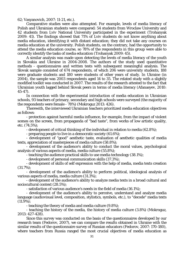62; Vasyanovich, 2007: 11-21, etc.).

Comparative studies were also attempted. For example, levels of media literacy of Polish and Ukrainian students were compared: 54 students from Wroclaw University and 42 students from Lviv National University participated in the experiment (Trohanyak 2009: 41). The findings showed that 71% of Lviv students do not know anything about media education, identifying it with distant education; they did not take any courses on media education at the university. Polish students, on the contrary, had the opportunity to attend the media education course, so 78% of the respondents in this group were able to correctly identify the tasks of media education (Trohanyak 2009: 45).

A similar analysis was made upon detecting the levels of media literacy of the youth in Slovakia and Ukraine in 2004-2008. The authors of the study used quantitative methods - questionnaires and written tests with subsequent meaningful analysis. The Slovak sample consisted of 674 respondents, of which 206 were university students, 188 were graduate students and 180 were students of other years of study. In Ukraine (in 2004), the sample was 2003 respondents aged 14 to 35. The related study with a slightly modified toolkit was conducted in 2007. The results of the research attested to the fact that Ukrainian youth lagged behind Slovak peers in terms of media literacy (Afanasyev, 2010: 45-47).

In connection with the experimental introduction of media education in Ukrainian schools, 93 teachers of primary, secondary and high schools were surveyed (the majority of the respondents were female - 78%) (Mokroguz 2013: 426).

Therewith, the interviewed Ukrainian teachers prioritized media education objectives as follows:

- protection against harmful media influence, for example, from the impact of violent scenes on the screen, from propaganda of "bad taste", from works of low artistic quality, etc. (74.5%);

- development of critical thinking of the individual in relation to media (62.8%);

- preparing people to live in a democratic society (61.6%);

- development of "good" aesthetic taste, evaluation of aesthetic qualities of media texts, appreciation of masterpieces of media culture (58.8%);

- development of the audience's ability to conduct the moral values, psychological analysis of various aspects of media, media culture (55.8%);

- teaching the audience practical skills to use media technology (38.1%);

- development of personal communication skills (37.3%);

- development of skills of self expression with the help of media, media texts creation (31.7%);

- development of the audience's ability to perform political, ideological analysis of various aspects of media, media culture (31.3%);

- development of the audience's ability to analyze media texts in a broad cultural and sociocultural context (28.5%);

- satisfaction of various audience's needs in the field of media (16.1%);

- development of the audience's ability to perceive, understand and analyze media language (audiovisual level, composition, stylistics, symbols, etc.), to "decode" media texts (11.9%);

- teaching the theory of media and media culture (9.8%);

- teaching the history of the media, the history of media culture (3.8%) (Mokroguz, 2013: 427-428).

Since this survey was conducted on the basis of the questionnaires developed by our research team (Fedorov, 2007), we can compare the results obtained in Ukraine with the similar results of the questionnaire survey of Russian educators (Fedorov, 2007: 170-180), where teachers from Russia ranged the most crucial objectives of media education as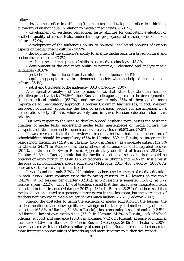follows:

- development of critical thinking (the main task is: development of critical thinking, autonomy of an individual in relation to media / media texts) - 63.2%;

- development of aesthetic perception, taste, abilities for competent evaluation of aesthetic quality of media texts, understanding; propaganda of masterpieces of media culture - 57.9%;

- development of the audience's ability to political, ideological analysis of various aspects of media / media culture - 50.9%;

- development of the audience's ability to analyze media texts in a broad cultural and sociocultural context - 43.8%;

- teaching the audience practical skills to use media technology - 43.8%;

- development of the audience's ability to perceive, understand and analyze media languages - 36.8%;

- protection of the audience from harmful media influence - 35.1%;

- equipping people to live in a democratic society with the help of media / media culture- 35.1%;

- satisfying the needs of the audience - 33.3% (Fedorov, 2007).

A comparative analysis of the opinions shows that while the Ukranian teachers prioritize protective tasks (74.5%), their Russian colleagues appreciate the development of students' critical thinking (63.2%), and meanwhile only 35% of them attach more importance to innoculatory approach. However Ukrainian teachers (as, in fact, Western European countries) appreciate the task of preparation people for participation in a democratic society (61.6%), whereas only one in three Russian educators share this priority.

But with respect to the need to develop a good aesthetic taste, assess the aesthetic qualities of media texts; understand media texts, masterpieces of media culture, the viewpoints of Ukrainian and Russian teachers are very close (58.8% and 57.8%).

It was revealed that the interviewed teachers believe that media education of schoolchildren should be compulsory (65% in Ukraine, 63% in Russia) as integrated in basic school disciplines (44.9% in Ukraine, 45.6% in Russia), as a separate subject (32.3% in Ukraine, 24.5% in Russia) or as the synthesis of autonomous and integrated lessons (20.2% in Ukraine, 50.8% in Russia). Approximately one third of teachers (28.8% in Ukraine, 34.8% in Russia) think that the media education of schoolchildren should be optional or extra-curricular. Only 3.6% of teachers - in Ukraine and 14% - in Russia resist the idea of schoolchildren's media education (Mokroguz, 2013: 430; Fedorov, 2007). As one can see, there are very similar trends.

It was found that only 3.2% of Ukrainian teachers used elements of media education in each lesson. More common were the following answers: at 1-2 lessons on the topic (24.2%), at 1-2 lessons per quarter (32.3%), at 1-2 lessons a semester (16.4%), at 1 -2 lessons a year (22.2%). Only 1.7% of teachers stated that they have never integrated media education in their lessons (Mokroguz 2013, p. 434). In Russia, 28.2% of teachers said that media education is used to a greater or lesser extent in the classroom, but the percentage of teachers not involved in media education was much higher - 25.6% (Fedorov, 2007).

Among the obstacles to using the elements of media education in the lessons, the teacher mentioned the following: little knowledge on the theory and methodology of media education (65.8% in Ukraine, 54.3% in Russia), time consuming lesson planning (42.5% in Ukraine), lack of own media skills (33.1% in Ukraine, 24.5% in Russia), lack of school officials' support and guidance (28.3% in Ukraine, 77.2% in Russia), absence of financial incentives (3,6% - in Ukraine, - 89,4% in Russia) (Mokroguz, 2013: 435; Fedorov, 2007). As we can see, with the relative similarity of some points, Russian teachers demonstrated more interest in opportunities of fundrising and more sensitive to authorities' impact.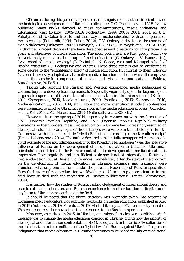Of course, during this period it is possible to distinguish some authentic scientific and methodological developments of Ukrainian colleagues: G.G. Pocheptsov and V.F. Ivanov published many works devoted to mass communications, media influences and information wars (Ivanov, 2009-2010; Pocheptsov, 1999; 2000; 2001; 2011, etc.). B. Potiatynik and N. Gabor tried to find their way in media education with an emphasis on media ecology (Potiatinik, 2004; Gabor, 2002), G.V. Onkovych developed the concept of media didacticts (Onkovych, 2009; Onkovych, 2013: 79-89; Onkovych et al., 2013). Thus, in Ukraine in recent decades there have developed several directions for interpreting the goals and objectives of media education. The most prominent are Kiev group, which we conventionally refer to as the group of "media didactics" (G. Onkovych, V. Ivanov, etc.), Lviv school of "media ecology" (B. Potiatinik, N. Gabor, etc.) and Mariupol school of "media criticism" (G. Pocheptsov and others). These three centers can be attributed to some degree to the "enlightening effect" of media education. In contrast to them, Kharkiv National University adopted an alternative media education model, in which the emphasis is on the aesthetic component of media and visual communications (Bakirov, Starodubtseva, 2013: 51).

Taking into account the Russian and Western experience, media pedagogues of Ukraine began to develop teaching manuals (especially vigorously upon the beginning of a large-scale experimental introduction of media education in Ukrainian schools) (Basics..., 2014; Cherepovska, 2010; Media culture..., 2009; Practical ..., 2013; Sakhnevich, 2010; Меdia education ..., 2012; 2014, etc.). More and more scientific-methodical conferences were organized to involve Ukrainian educators in the media education process (Collection of ..., 2013; 2015; 2017; Materials..., 2013; Medіа culture..., 2008, etc.).

However, since the spring of 2014, especially in connection with the formation of DNR (Donetsk People's Republic) and LNR (Lugansk People's Republic) military operations on their borders, mass media education in Ukraine has increasingly assumed an ideological color. The early signs of these changes were visible in the article by Y. Emets-Dobrnosova with the eloquent title "Media Education" according to the Kremlin's recipe" (Emets-Dobronosova, 2014). The author declared substantially unsupported claims that "*a vivid example of the multidimensionality of the Kremlin's technologies" was the "negative influence" of Russia on the development of media education in Ukraine: "Ukrainian scientists' embeddidness in the Russian context of the development of media education is impressive. They regularly and in sufficient scale speak not at international forums on media education, but at Russian conferences. Immediately after the start of the program on the development of media education in Ukraine, seminars and trainings were launched, with only one nuance - under the paternal leadership of Russian specialists. Even the history of media education worldwide most Ukrainian pioneer scientists in this field have studied with the mediation of Russian publications*" (Emets-Dobronosova, 2014).

It is unclear how the studies of Russian acknowledgement of international theory and practice of media education, and Russian experience in media education in itself, can do any harm to Ukranian researchers in the field.

It should be noted that the above criticism was promptly taken into account by Ukrainian media educators. For example, textbooks on media education, published in Kiev in 2017 (Authors' ..., 2017; Parents..., 2017; Media Literacy..., 2017), are mostly based on Western resources, they have almost no references to the Russian experience.

Moreover, as early as in 2015, in Ukraine, a number of articles were published which message was to change the media education concept in Ukraine, giving now the priority of ideological and information confrontation. So M. Koropatnik in the article "Peculiarities of media education in the conditions of the "hybrid war" of Russia against Ukraine" expresses indignation that media education in Ukraine "*continues to be based mainly on traditional*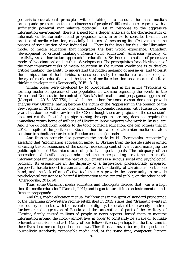*positivistic educational principles without taking into account the mass media's propaganda pressure on the consciousness of people of different age categories with a sufficiently powerful manipulative potential. But in response to the aggressive information environment, there is a need for a deeper analysis of the characteristics of information, disinformation and propaganda wars in order to consider them in the practice of media education, especially in terms of increasing its effectiveness in the process of socialization of the individual. ... There is the basis for this - the Ukrainian model of media education that integrates the best world experience: Canadian (development of critical thinking), French (civic education), American (priority of creativity vs. authoritarian approach in education), British (combination of protective model of "vaccination" and aesthetic development). The prerequisites for achieving one of the most important tasks of media education in the current conditions is to develop critical thinking, the ability to understand the hidden meaning of messages, and to resist the manipulation of the individual's consciousness by the media-create an ideological theory of media education and the theory of media education as a means of critical thinking development*" (Koropatnik, 2015: 18-21).

Similar ideas were developed by M. Koropatnik and in his article "Problems of forming media competence of the population in Ukraine regarding the events in the Crimea and Donbass in the context of Russia's information and propaganda aggression" (Koropatnik, 2015: 357-372), in which the author for some reason does not provide analysis why Ukraine, having become the victim of the "aggressor" in the opinion of the Kiev regime in 2014, has not only maintained diplomatic relations with Russia for four years, but does not withdraw from the CIS (although there are projects of the cessession), does not cut the "hostile" gas pipe passing through its territory; does not require the immediate return home of millions of Ukrainian labor migrants who work in Russia, etc. And if we go back from politics to the topic of media education, one can witness that in 2018, in spite of the position of Kiev's authorities; a lot of Ukrainian media educators continue to submit their articles to Russian academic journals.

Anti-Russian attitude also permeats the article by N. Cherepovska, categorically asserting that "*information aggression aimed at Ukraine from the hostile state is aimed at ceizing the consciousness of the society, exercising control over it and managing the*  public opinion of Ukrainians according to its imperial goals. The adequacy of the *perception of hostile propaganda and the corresponding resistance to media informational influences on the part of our citizens is a serious social and psychological problem. Its essence lies in the disparity of a large-scale, professionally prepared, purposeful hostile indoctrination as an attack on the identity of Ukrainians, on the one hand, and the lack of an effective tool that can provide the opportunity to provide psychological resistance to harmful information to the general public, on the other hand*" (Cherepovska, 2015: 60).

Thus, some Ukrainian media educators and ideologists decided that "war is a high time for media education" (Dorosh, 2014) and began to turn it into an instrument of anti-Russian propaganda.

And thus, media education manual for librarians in the spirit of standard propaganda of the Ukrainian pro-Western regime established in 2014, states that "*dramatic events in our country connected with the revolution of dignity, the death of the heavenly hundred,*  further armed aggression of Russia and the annexation of part of the territory of *Ukraine, firmly riveted millions of people to news reports, forced them to monitor information around the clock - almost live, in order to constantly be aware of, to make relevant conclusions and act. Many of our fellow citizens, perhaps for the first time in their lives, became so dependent on news. Therefore, as never before, the question of journalistic standards, responsible media and, at the same time, competent, literate*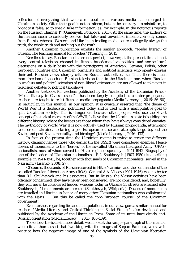*reflection of everything that we learn about from various media has emerged in Ukrainian society. Often their goal is not to inform, but on the contrary - to misinform, to broadcast false, so to speak, fake information, as, for example, in the notorious reports on the Russian Channel 1*" (Gumenyuk, Potapova, 2015). At the same time, the authors of the manual seem to seriously believe that false and unverified information only comes from Russia, whereas Western and Ukrainian leading media sources allegedly always the truth, the whole truth and nothing but the truth...

Another Ukrainian publication exhibits the similar approach: "Media literacy of citizens. The teaching manual for coaches" (Training ..., 2015).

Needless to say, Russian media are not perfect, however, at the present time almost every central television channel in Russia broadcasts live political and sociocultural discussions on a daily basis with the participants of American, German, Polish, other European countries and Ukrainian journalists and political scientists who openly express their anti-Russian views, sharply criticize Russian authorities, etc. Thus, there is much more freedom of speech on Russian television than in the Ukrainian one, where Russian journalists and political scientists of non-liberal orientation are not allowed to take part in television debates or political talk shows.

Another textbook for teachers published by the Academy of the Ukrainian Press - "Media literacy in Civics lessons" - has been largely compiled as counter-propaganda: teachers are taught to resist Russian media propaganda (Media Literacy..., 2016: 56-60). In particular, in this manual, in our opinion, it is cynically asserted that "*the theme of World War II is deliberately politicized today and is used with a manipulative goal to split Ukrainian society. This is dangerous, because often people, who use the Soviet concept of historical memory of the WWII, believe that the Ukrainian state is building the different history, where the heroes are those whom they have always considered enemies. The mythology of World War II is now actively used by Russian propaganda, attempting to discredit Ukraine, declaring a pro-European course and attempts to go beyond the Soviet and post-Soviet mentality and ideology*" (Media Literacy..., 2016: 133).

In fact, at the present time the Ukrainian regime is trying to create the different history, claiming heroes those who earlier (in the USSR) were considered enemies. Hence dozens of monuments to the "heroes" of the so-called Ukrainian Insurgent Army (UPA) nationalists, most of whom served the Hitler regime, especially in 1941-1942. Biography of one of the leaders of Ukrainian nationalists - R.I. Shukhevych (1907-1950) is a striking example: in 1941-1942, he, together with thousands of Ukrainian nationalists, served in the Nazi army (Lisenko, 2008: 27).

Of course, thousands of Russians served in Hitler's armies, and the commander of the so-called Russian Liberation Army (ROA), General A.A. Vlasov (1901-1946) was no better than R.I. Shukhevych and his associates. But in Russia, the Vlasov activities have been officially condemned, they have never been considered, are not considered, and, hopefully, they will never be considered heroes; whereas today in Ukraine 35 streets are named after Shukhevych, 11 monuments are erected (Shukhevych, Wikipedia). Dozens of monuments are installed in Ukraine in honor of many other Ukrainian nationalists who collaborated with the Nazis ... Can this be called the "pro-European course" of the Ukrainian government?

Even further, regarding lies and manipulations, in our view, goes a similar manual for teachers "Media Literacy and Critical Thinking in Social Studies", also developed and published by the Academy of the Ukrainian Press. Some of its units have clearly anti-Russian orientation (Media Literacy..., 2016: 106-109).

To address the issue in more detail, we'll look at the sample paragraph of this manual, where its authors assert that "*working with the images of Stepan Bandera, we saw in practice how the negative image of one of the symbols of the Ukrainian liberation*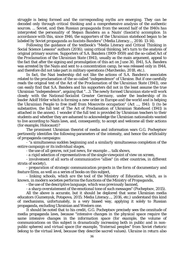*struggle is being formed and the corresponding myths are emerging. They can be decoded only through critical thinking and a comprehensive analysis of the authentic sources. ... Soviet, and then Russian propaganda from the second half of the 1940s has interpreted the personality of Stepan Bandera as a Nazis' (fascist's) accomplice. In accordance with this, since 1946, the supporters of the Ukrainian statehood began to be labeled by Soviet propaganda as fascists-Bandera*" (Media Literacy..., 2016: 13-14).

Following the guidance of the textbook's "Media Literacy and Critical Thinking in Social Science Lessons" authors (2016); using critical thinking, let's turn to the analysis of original primary sources. Supporters of S.A. Bandera (1909-1959) and the so-called *Act of the Proclamation of the Ukrainian State* (1941), usually as the main argument, appeal to the fact that after the signing and promulgation of this act on June 30, 1941, S.A. Bandera was arrested by the Nazis and sent to a concentration camp, he was released only in 1944, and therefore did not take part in military operations (Marchenko, 2018, etc.).

In fact, the Nazi leadership did not like the actions of S.A. Bandera's associates related to the proclamation of the so-called "independence" of Ukraine. But if one carefully reads the original text of the *Act of the Proclamation of the Ukrainian State* (1941), one can easily find that S.A. Bandera and his supporters did not in the least assume the true Ukrainian "independence", arguing that *"…3. The newly formed Ukrainian state will work closely with the National-Socialist Greater Germany, under the leadership of its leader Adolf Hitler which is forming a new order in Europe and the world and is helping the Ukrainian People to free itself from Moscovite occupation*" (Act ..., 1941: 1) (to be substantive, the full text of The Act of Proclamation of Ukrainian Statehood (1941) is attached in the annex). I wonder if the full text is provided by Ukrainian teachers to their students and whether they are ashamed to acknowledge the Ukrainian nationalists wanted to live according to Nazis laws, and, consequently, to accept and welcome all their actions (for example, Holocaust)?

The prominent Ukrainian theorist of media and information wars G.G. Pocheptsov pertinently identifies the following parameters of the intensity, and hence the artificiality of propaganda campaigns:

- "*a simultaneous sudden beginning and a similarly simultaneous completion of the entire campaign or its individual stages,*

*- the use of all genres, not just news, for example ... talk shows,*

*- a rigid selection of representatives of the single viewpoint of view on screen,*

*- involvement of all sorts of communicative "allies" (in other countries, in different strata of society),*

*- preparation of strategic communication projects in the form of documentary and feature films, as well as a series of books on this subject,*

*- linking schools, which are the tool of the Ministry of Education, which, as is known, in modern societies performs the functions of the Ministry of Propaganda,*

*- the use of the descriptive language, which was previously banned,*

*- a sharp overstatement of the emotional tone of such messages*" (Pocheptsov, 2015).

All the above is accurate, but it should be deplored that some Ukrainian media educators (Gumenyuk, Potapova, 2015; Media Literacy..., 2016, etc.) understand this kind of mechanisms, unfortunately, is a very biased way, applying it solely to Russian propaganda, excluding Ukrainian and Western one.

It should be noted that to his credit, G.G. Pocheptsov precisely sees the omnitude of media propaganda laws, because "*intensive changes in the physical space require the same intensive changes in the information space (for example, the volume of communications on this subject is dramatically increasing both in public and in nonpublic spheres) and virtual space (for example, "fraternal peoples" from Soviet rhetoric belong to the virtual level, because they describe sacred values). Ukraine in return also*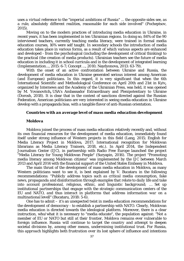*uses a virtual reference to the "imperial ambitions of Russia" ... the opposite sides see, as a rule, absolutely different realities, reasonable for each side involved*" (Pocheptsov, 2015).

Moving on to the modern practices of introducing media education in Ukraine, in recent years, it has been implemented in ten Ukrainian regions. In doing so, 84% of the 90 interviewed teachers, currently teaching media literacy, were trained in formal media education courses, 16% were self taught. In secondary schools the introduction of media education takes place in various forms, as a result of which various aspects are enhanced and developed - from the psychological (including the development of critical thinking) to the practical (the creation of media products). Ukrainian teachers see the future of media education in including it in school curricula and in the development of integrated learning (*Implementation.*.., 2015: 6-7; Concept ..., 2010; Naydyonova, 2013: 63-79).

With the onset of an active confrontation between Ukraine and Russia, the development of media education in Ukraine generated serious interest among American (and European) politicians. In this regard, it is very significant that when the 6th International Scientific and Methodological Conference on April 20th and 21st in Kyiv**,**  organized by Internews and the Academy of the Ukrainian Press, was held, it was opened by M. Yovanovitch**,** USA's Ambassador Extraordinary and Plenipotentiary to Ukraine (Dorosh, 2018). It is clear that in the context of sanctions directed against the Russian Federation, American politicians are very interested in seeing media education in Ukraine develop with a propaganda bias, with a tangible flavor of anti-Russian orientation.

### *Countries with an average level of mass media education development*

## *Moldova*

Moldova joined the process of mass media education relatively recently and, without its own financial resources for the development of media education, immediately found itself under strong influence of Western projects in this field (Lang, 2015; English for Media Literacy Project in Moldova, 2017; International recognition for Moldovan librarians as Media Literacy Trainers, 2018, etc.). In April 2014, the Independent Journalism Center (IJC), in partnership with Radio Free Europe launched the project "Media Literacy for Young Moldovan People" (Suryapin, 2016). The project "Promoting media literacy among Moldovan citizens" was implemented by the IJC between March 2013 and April 2014 with the financial support of the United States Embassy in Moldova.

The main thrust of the development of mass media education in Moldova, as many Western politicians want to see it, is best explained by V. Bucataru in the following recommendations: "*Publicly address topics such as critical media consumption, fake news, propaganda and disinformation through examples that relate to daily life and take into account professional, religious, ethnic, and linguistic background; … Set up institutional partnerships that engage with the strategic communication centers of the EU and NATO, and thus interact in platforms that address information war on a multinational levell*" (Bucataru, 2018: 5-6).

One has to admit – it's an unexpected twist in media education recommendations for the development of democracy - to establish a partnership with NATO. Clearly, Moldovan media education is directed towards the ideological platform. Moreover, there is a clear instruction, who/what it is necessary to "media educate", the population against: "*Not a member of EU or NATO but still at their frontier, Moldova remains ever vulnerable to foreign influence. Russia will continue to target the country and attempt to deepen societal divisions by, among other means, undermining institutional trust. For Russia, this approach highlights both frustration over its lost sphere of influence and intentions*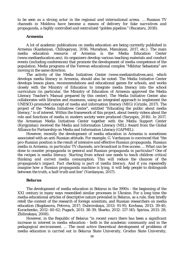*to be seen as a strong actor in the regional and international arena. … Russian TV channels in Moldova have become a means of delivery for fake narratives and propaganda, a highly controlled and centralized "golden pipeline.*" (Bucataru, 2018).

### *Armenia*

A lot of academic publications on media education are being currently published in Armenia (Kazdanyan, Chilingaryan, 2016; Muradyan, Manukyan, 2017, etc.). The main media education resource of Armenia is the Media Education Center (www.mediaeducation.am); its organizers develop various teaching materials and conduct events (including conferences) that promote the development of media competence of the population. Media programs of the Yerevan educational complex "Mkhitar Sebastatsi" are moving in the same direction.

The activity of the Media Initiatives Center (www.mediainitiatives.am), which develops media literacy in Armenia, should also be noted. The Media Initiative Center develops lesson plans, recommendations and educational games for schools, and works closely with the Ministry of Education to integrate media literacy into the school curriculum (in particular, the Ministry of Education of Armenia approved the Media Literacy Teacher's Manual prepared by this center). The Media Initiative Center also collaborates with libraries and museums, using an integrated approach to implement the UNESCO-promoted concept of media and information literacy (MIG) (Grizzle, 2017). The project of the "Media Initiatives Center", entitled "Educating the public about media literacy," is of interest. Within the framework of this project, about twenty videos about the role and functions of media in modern society were produced (Suryapin, 2016). In 2017, the Armenian Media Initiatives Center together with the Media Support Center (Kyrgyzstan) received the Media and Information Literacy (MIL) Award from the Global Alliance for Partnership on Media and Information Literacy (GAPMIL).

However, recently the development of media education in Armenia is sometimes associated with an anti-Russian attitude. For example, G. Vardanyan is convinced that "*the pro-Russian position is the result of intensive and effective Russian propaganda. Russian media in Armenia, in particular TV channels, are broadcast in free access. ... What can be done to counter propaganda in general and Russian propaganda in particular? One of the recipes is media literacy. Starting from school one needs to teach children critical thinking and correct media consumption. This will reduce the chances of the propaganda's impact. Fact checking is part of media literacy. And if you repeatedly imagine how a Russian propaganda machine is lying, it will help people to distinguish between the truth, a half-truth and lies*" (Vardanyan, 2017).

### *Belarus*

The development of media education in Belarus in the 1990s - the beginning of the XXI century in many ways resembled similar processes in Ukraine. For a long time the media-educational articles of descriptive nature prevailed in Belarus, as a rule, they briefly retell the content of the research of foreign scientists, and Russian researchers on media education (Bogdanova, Petrova, 2017; Dubrovskaya, 2013: 91-95; Kovbasa, 2013: 39-40; Kurachenko, 2012: 60-62; Pugach, 2011: 38-39; Sharko, 2012: 137-145; Spirina, 2013: 28; Zhilinskaya, 2008).

However, in the Republic of Belarus "*in recent years there has been a significant increase in interest in media education - both in the academic community and in the pedagogical environment. ... The most active theoretical development of problems of media education is carried out in Belarus State University, Grodno State University,*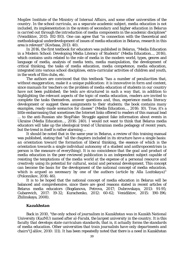*Mogilev Institute of the Ministry of Internal Affairs, and some other universities of the country. In the school curricula, as a separate academic subject, media education is not included, its implementation in the system of secondary and higher education in Belarus is carried out through the introduction of media components in the academic disciplines*" (Venidiktov, 2015: 192-193). One can agree that "in connection with the theoretical and methodological underdevelopment of issues of media education in Belarus, research in this area is relevant" (Kovbasa, 2013: 40).

In 2016, the first textbook for educators was published in Belarus, "Media Education in a Modern School: Developing Media Literacy of Students" (Media Education..., 2016), which contains units related to the role of media in the modern world, types, genres and language of media, analysis of media texts, media manipulation, the development of critical thinking, the tasks of media education, media competence, media education, integrated into various school disciplines, extra-curricular activities of children and youth, in the work of film clubs, etc.

The authors are convinced that this textbook "*has a number of peculiarities that, without exaggeration, make it a unique publication: it is innovative in form and content, since manuals for teachers on the problem of media education of students in our country have not been published; the texts are structured in such a way that, in addition to highlighting the relevant aspects of the topic of media education, readers are invited to complete the tasks themselves, answer questions and, thus, experience media literacy development or suggest these assignments to their students; the book contains many examples, ready-made scenarios for classes*" (Media Education..., 2016: 10). True, it's a little embarrassing that sometimes the Internet links offered to readers of this manual lead ... to the anti-Russian site StopFake: Struggle against fake information about events in Ukraine (Media Education..., 2016: 240). I would not want to think that Belarus media educators will take up the ideological trend of Ukrainian media pedagogy of recent years, but the trend in itself is rather alarming ...

It should be noted that in the same year in Belarus, a review of this training manual was published, stating that "*all the chapters included in its structure have a single basis: an orientation toward the formation of liberal thinking, the essence of which is the orientation towards a single individual autonomy of a student and anthropocentrism (a person is the measure of everything). It is no coincidence that the goal and product of media education in the peer-reviewed publication is an independent subject capable of resisting the temptations of the media world at the expense of a personal resource and creatively using its potential for cultural, social and personal development. This concept can become the basis for the development of the national concept of media education, which is argued as necessary by one of the authors (article by Alla Lozitskaya)*" (Polonnikov, 2016: 46).

It is to be hoped that the national concept of media education in Belarus will be balanced and comprehensive, since there are good reasons stated in recent articles of Belarus media educators (Bogdanova, Petrova, 2017; Dubrovskaya, 2013: 91-95; Gubarevich, 2017: 19-32; Kurachenko, 2012: 60-62; Venidiktov, 2015: 190-196; Zhilinskaya, 2008).

## *Kazakhstan*

Back in 2010, "*the only school of journalism in Kazakhstan was in Kazakh National University (KazNU) named after al-Farabi, the largest university in the country. It is this faculty that develops state curriculum standards, that is, it actually forms the standards of media education. Other universities that train journalists have only departments and chairs*"(Jalilov, 2010: 111). It has been repeatedly noted that there is a need in Kazakhstan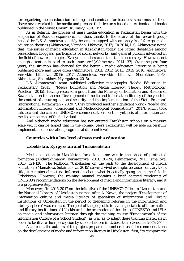for organizing media education trainings and seminars for teachers, since most of them "have never worked in the media and prepare their lectures based on textbooks and books published in the Soviet Union" (Kulinsky, 2010: 159).

As in Belarus, the process of mass media education in Kazakhstan began with the adaptation of Russian experience, but then, thanks to the efforts of the research group headed by L.S. Akhmetova, quickly became equipped with an analysis of foreign media education theories (Akhmetova, Verevkin, Lifanova, 2017). In 2014, L.S. Akhmetova noted that "*the issues of media education in Kazakhstan today are rather debatable among researchers, bloggers, participants of social networks, and general publich advanced in the field of new technologies. Everyone understands that this is necessary. However, not enough attention is paid to such issues yet*"(Akhmetova, 2014: 37). Over the past four years, the situation has changed for the better - media education literature is being published more and more often (Akhmetova, 2011; 2012; 2013; 2014; 2016; Akhmetova, Verevkin, Lifanova, 2015; 2017; Akhmetova, Verevkin, Lifanova, Shorokhov, 2013; Akhmetova, Shorokhov, Niyazgulova, 2015).

L.S. Akhmetova's team published collective monographs "Media Education in Kazakhstan" (2013), "Media Education and Media Literacy: Theory, Methodology, Practice" (2015). Having received a grant from the Ministry of Education and Science of Kazakhstan on the theme "Development of media and information literacy of the youth in the context of ensuring national security and the implementation of the State Program" Informational Kazakhstan - 2020 ", they produced another significant work - "Media and Information Literacy: Conceptual and Methodological Foundations" (2017), which took into account the current UNESCO recommendations on the synthesis of information and media competence of the individual.

And although media education has not entered Kazakhstan schools on a massive scale yet, it can be hoped that in the coming years Kazakhstan will be able successfully implement media education programs at different levels.

# *Countries with a low level of mass media education*

## *Uzbekistan, Kyrgyzstan and Turkmenistan*

Media education in *Uzbekistan* for a long time was in the phase of protracted formation (Abdurakhmanov, Beknazarova, 2011: 20-24; Beknazarova, 2011; Ismailova, 2016: 121-126). The textbook "Uzbekistan on the path to the development of media education" (Mamatova, Sulaimanova, 2015) serves a vivid example, because, contrary to its title, it contains almost no information about what is actually going on in the field in Uzbekistan. However, the training manual contains a brief adapted rendering of UNESCO's recommendations on the development of media and information literacy, and it is a progressive step.

Moreover, "*in 2015-2017 on the initiative of the UNESCO Office in Uzbekistan and the National Library of Uzbekistan named after A. Navoi, the project "Development of information culture and media literacy of specialists of information and library institutions of Uzbekistan in the period of deepening reforms in the information and library sphere" was realized. The goal of the project is to train specialists of information and library institutions of Uzbekistan in the promotion of the ideas of UNESCO and IFLA on media and information literacy through the training course "Fundamentals of the Information Culture of a School Student", as well as to adapt these training materials in order to facilitate their perception by schoolchildren in Uzbekistan*" (Gendina, 2017: 37).

As a result, the authors of the project prepared a number of useful recommendations on the development of media and information literacy in Uzbekistan: first, "*to compare the*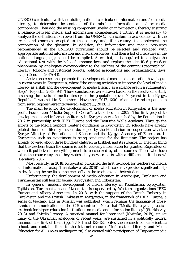*UNESCO curriculum with the existing national curricula on information and / or media literacy, to determine the contents of the missing information and / or media components. Then add the missing component (media or information), thereby ensuring a balance between media and information competencies. Further, it is necessary to analyze the definitions borrowed from the UNESCO curriculum in accordance with the terms and concepts accepted in the country and, if necessary, to supplement the composition of the glossary. In addition, the information and media resources recommended in the UNESCO curriculum should be selected and replaced with appropriate national information and media resources, and then a list of literature in the national language (s) should be compiled. After that, it is required to analyze the educational text with the help of ethnomarkers and replace the identified precedent phenomena by analogues corresponding to the realities of the country (geographical, literary, folklore and historical objects, political associations and organizations, laws, etc.*)" (Gendina, 2017: 41).

Active processes that promote the development of mass media education have begun in recent years in *Kyrgyzstan*, where "the existing activities to improve the level of media literacy as a skill and the development of media literacy as a science are in a rudimentary stage" (Report..., 2018: 94). These conclusions were drawn based on the results of a study assessing the levels of media literacy of the population (over 16 years) in the Kyrgyz Republic. It was held in September - November, 2017, 1200 urban and rural respondents from seven regions were interviewed (Report ..., 2018: 11).

The main lever for the development of media education in Kyrgyzstan is the nonprofit Foundation "Media Support Center", established in 2002. The first project to develop media and information literacy in Kyrgyzstan was launched by the Foundation in 2012 in partnership with IREX Europe and the Deutsche Welle Academy. Through the efforts of the Media Support Center Foundation in Kyrgyzstan, 25 schools have already piloted the media literacy lessons developed by the Foundation in cooperation with the Kyrgyz Ministry of Education and Science and the Kyrgyz Academy of Education. In Kyrgyzstan such an experiment is being conducted for the first time. The project has already covered about three hundred children in Bishkek and its suburbs. ... The first thing that the teachers teach the course is not to take any information for granted. Regardless of where it publicized - everything needs to be checked by other sources. Those who have taken the course say that they watch daily news reports with a different attitude now" (Begalieva, 2017).

Most recently, in 2018, Kyrgyzstan published the first textbook for teachers on media and information literacy (Imankulov et al., 2018), which, seems to provide significant help in developing the media competence of both the teachers and their students.

Unfortunately, the development of media education in *Azerbaijan, Tajikistan* and *Turkmenistan* still lags far behind *Kyrgyzstan* and *Uzbekistan*.

In general, modern development of media literacy in Kazakhstan, Kyrgyzstan, Tajikistan, Turkmenistan and Uzbekistan is supervised by Western organizations IREX Europe and Albany Associates. In 2018, with the support of the British Embassy in Kazakhstan and the British Embassy in Kyrgyzstan, in the framework of IREX Europe, a series of teaching aids in Russian was published (which remains the language of crossethnical communication of the CIS countries). Note that "Media literacy: a practical textbook for higher education institutions on media and information literacy" (Sturkhezky, 2018) and "Media literacy. A practical manual for librarians" (Kozitska, 2018), unlike many of the Ukrainian analogues of recent years, are sustained in a politically neutral manner. The first of them (pp. 97-101 and 133-135) cites the research of our scientific school, and contains links to the Internet resource "Information Literacy and Media Education for All" (www.mediagram.ru) also created with participation of Taganrog media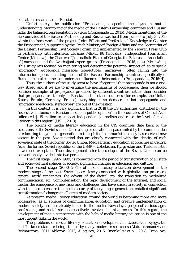education research team (Russia).

Unfortunately, the publication "Propaganda, deepening the abyss in mutual understanding. Monitoring of the media of the Eastern Partnership countries and Russia" lacks the balanced representation of views (Propaganda ..., 2016). Media monitoring of the six countries of the Eastern Partnership and Russia was held from June 6 to July 3, 2016 within the framework of the project "Joint Efforts and Professional Knowledge to Counter the Propaganda", supported by the Czech Ministry of Foreign Affairs and the Secretariat of the Eastern Partnership Civil Society Forum and implemented by the Yerevan Press Club in partnership with Internews Ukraine, MEMO 98 (Slovakia), Independent Journalism Center (Moldova), the Charter of Journalistic Ethics of Georgia, the Belarusian Association of Journalists and the Azerbaijani expert group" (Propaganda ..., 2016, p. 4). Meanwhile, "this study was focused on monitoring and detecting the potential impact of, so to speak, "migrating" propaganda messages (stereotypes, narratives), often falling into the information space, including media of the Eastern Partnership countries, specifically of Russian federal channels or under the influence of their content" (Propaganda ..., 2016: 4).

Thus, the authors of the study seem to have "forgotten" that propaganda is not a oneway street, and if we are to investigate the mechanisms of propaganda, then we should consider examples of propaganda produced by different countries, rather than consider that propaganda exists only in Russia, and in other countries (for example, the United States, Britain, Germany, France) everything is so democratic that propaganda and "migrating ideological stereotypes" are out of the question.

In this context, it is very significant that in 2018 the US authorities, disturbed by the "excessive influence of Russian media on public opinion" in the countries of Central Asia, "allocated \$ 15 million to support independent journalists and raise the level of media literacy in this region" (US ..., 2018).

The origins of media literacy education in the CIS countries date back to the traditions of the Soviet school. Once a single educational space united by the common idea of educating the younger generation in the spirit of communist ideology has received new vectors in the post–Soviet period that are closely connected with the identity of each sovereign state of the former Soviet Union. Media literacy education approaches in Central Asia, the former Soviet republics of the USSR – Uzbekistan, Kyrgyzstan and Turkmenistan – were no exception. Their development after the collapse of the Soviet Union can be conventionally divided into two periods.

The first stage (1992–1999) is connected with the period of transformation of all state and socio–cultural spheres of society, significant changes in education and culture.

The second stage (2000–2019) of media literacy education development is the modern stage of the post–Soviet space closely connected with globalization processes, general world tendencies: the advent of the digital era, the transition to medialized communication, etc. Computerization, the rapid development of the Internet, and social media, the emergence of new risks and challenges that have arisen in society in connection with the need to ensure the media security of the younger generation, entailed significant transformational changes in all areas of modern society.

At present, media literacy education around the world is becoming more and more widespread, as all spheres of communication, education, and creative implementation of modern society are inextricably linked to the media. Nowadays, people of various ages, professions, and social strata are actively involved in this process. In this regard, the development of media competence with the help of media literacy education is one of the most urgent tasks in the world.

The problems of media literacy education development in Uzbekistan, Kyrgyzstan and Turkmenistan are being studied by many modern researchers (Abdurakhmanov and Beknazarova, 2011; Ablazov, 2013; Allagurov, 2016; Imankulov et al., 2018; Izmailova,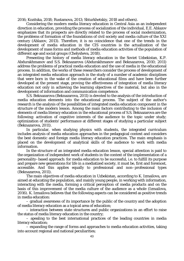2016; Kozitska, 2018; Rustamova, 2013; Shturkhetskiy, 2018 and others).

Considering the modern media literacy education in Central Asia as an independent direction in education, providing the process of socialization of the individual, E.E. Ablazov emphasizes that its prospects are directly related to the process of social modernization, the problems of formation of the foundations of civil society and media culture of the XXI century (Ablazov, 2013). Therefore, it is no coincidence that one of the trends in the development of media education in the CIS countries is the actualization of the development of mass forms and methods of media education activities of the population of different age and social groups (Chelysheva, 2018).

Presenting the history of media literacy education in the Soviet Uzbekistan, K.P. Abdurakhmanov and S.S. Beknazarova (Abdurakhmanov and Beknazarova, 2010; 2011) address the problems of practical media education and the use of media in the educational process. In addition, the works of these researchers consider the process of development of an integrated media education approach in the study of a number of academic disciplines that were born in the wake of the creation of educational films and have been further developed at the present stage, proving the effectiveness of integration of media literacy education not only in achieving the learning objectives of the material, but also in the development of information and communication competence.

S.S. Beknazarova (Beknazarova, 2011) is devoted to the analysis of the introduction of media education elements into the educational process. The subject of the author's research is the analysis of the possibilities of integrated media education component in the structure of the modern lesson. Among the main factors contributing to the inclusion of elements of media literacy education in the educational process of S.S. Beknazarova are the following: activation of cognitive interests of the audience to the topic under study; optimization of students' performance at different stages of studying a particular subject (Beknazarova, 2011).

In particular, when studying physics with students, the integrated curriculum includes analysis of media education approaches in the pedagogical context and considers the best domestic and foreign media literacy education practices. The main emphasis is placed on the development of analytical skills of the audience to work with media information.

In the structure of an integrated media education lesson, special attention is paid to the organization of independent work of students in the context of the implementation of a personality–based approach: for media education to be successful, i.e. to fulfill its purpose and prepare new generations for life in a mediatized society, it must be, first and foremost, accessible. And this applies equally to professional and non–professional types (Beknazarova, 2011).

The main objectives of media education in Uzbekistan, according to K. Izmailova, are aimed at educating the population, and mainly young people, in working with information, interacting with the media, forming a critical perception of media products and on the basis of this improvement of the media culture of the audience as a whole (Izmailova, 2016). K. Izmailova believes that the following aspects can be considered as positive trends in media education:

– gradual awareness of its importance by the public of the country and the adoption of media literacy education as a topical area of education;

– interaction between state structures and public organizations in an effort to raise the status of media literacy education in the country;

– apealing to the best international practices of the leading countries in media literacy education;

– expanding the range of forms and approaches to media education activities, taking into account regional and national peculiarities;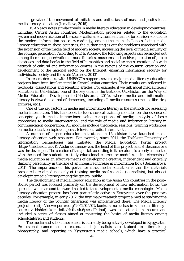– growth of the movement of initiators and enthusiasts of mass and professional media literacy education (Ismailova, 2016).

E.E. Ablazov notes similar trends in media literacy education in developing countries, including Central Asian countries. Modernization processes related to the education system and modernization of the socio–cultural environment cannot be considered outside the modern information space. Accordingly, among the main challenges facing media literacy education in these countries, the author singles out the problems associated with the expansion of the media field of modern society, increasing the level of media security of the younger generation. According to E.E. Ablazov, the following aspects can be singled out among them: computerization of mass libraries, museums and archives; creation of public databases and data banks in the field of humanities and social sciences; creation of a wide network of cultural and information centres in the regions of the country; creation and development of the national sector on the Internet; ensuring information security for individuals, society and the state (Ablazov, 2013).

In recent decades, with UNESCO's support, several major media literacy education projects have been implemented in Central Asian countries. Their results are reflected in textbooks, dissertations and scientific articles. For example, if we talk about media literacy education in Uzbekistan, one of the key ones is the textbook *Uzbekistan on the Way of Media Education Development* (*Uzbekistan…,* 2015), where media and information literacy is viewed as a tool of democracy, including all media resources (media, libraries, archives, etc.).

One of the key factors in media and information literacy is the methods for assessing media information. This handbook includes several training modules on the essence of concepts; youth–media interactions; value conceptions of media; analysis of basic approaches to media interpretation; and the role of media and information literacy in communication cooperation. All modules include theoretical sessions, training workshops on media education topics on press, television, radio, Internet, etc.

A number of higher education institutions in Uzbekistan have launched media literacy education web resources. For example, since 2011, the Tashkent University of Information Technologies has initiated the Media Education Portal project [\(http://mediaedu.uz\)](http://mediaedu.uz/). K. Abdurakhmanov was the head of this project, and S. Beknazarova was the developer. The creation of this portal, according to its creators, is closely connected with the need for students to study educational courses or modules, using elements of media education as an effective means of developing a creative, independent and critically thinking personality in the face of an intensive increase in information flow (Beknazarova, 2011). The importance of this portal for mass media education is that the materials presented are aimed not only at training media professionals (journalists), but also at developing media literacy among the general public.

The development of media literacy education in the Asian CIS countries in the post– Soviet period was focused primarily on the development of new information flows, the spread of which around the world has led to the development of media technologies. Media literacy education process has been particularly active in Kyrgyzstan over the past two decades. For example, in early 2012, the first major research project aimed at studying the media literacy of the younger generation was implemented there. The Media Literacy project (http://newreporter.org/2012/05/07/konkurs–na–uchastie–v–media–literacy– cource–v–bishkekskom–lofte/#sthash.6pscociP.dpuf) was educational in nature and included a series of classes aimed at mastering the basics of media literacy among schoolchildren and students.

The media and school movement is currently being actively developed in Kyrgyzstan. Professional cameramen, directors, and journalists are trained in filmmaking, photography, and reporting in Kyrgyzstan's media schools, which have a practical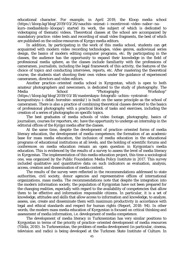educational character. For example, in April 2019, the Kloop media school (https://kloop.kg/blog/2019/03/26/nauchis–snimat–i–montirovat–video–nabor–na– kurs–mediashkoly–kloopa/) started its work, the subject of which is dedicated to videotaping of thematic videos. Theoretical classes at the school are accompanied by mandatory practice: video tests and recording of small video fragments, the best of which are published on the online resources of Kyrgyz media editors.

In addition, by participating in the work of this media school, students can get acquainted with modern video recording technologies, video genres, audiovisual series design, the basics of modern editing computer programs, etc. By participating in the classes, the audience has the opportunity to expand their knowledge in the field of professional media sphere, as the classes include familiarity with the professions of cameramen, journalists, including the legal framework of this activity, the features of the choice of topics and conducting interviews, reports, etc. After mastering the theoretical course, the students start shooting their own videos under the guidance of experienced cameramen, directors and video editors.

Another practice–oriented media school in Kyrgyzstan, which is open to both amateur photographers and newcomers, is dedicated to the study of photography. The Media School "Photography Workshop"

(https://kloop.kg/blog/2019/03/18/masterskaya–fotografii–uchim–vystraivat–

kompozitsiyu–i–delat–horoshie–snimki/) is built on the same principle as the school of cameramen. There is also a practice of combining theoretical classes devoted to the basics of professional photography with a practical block of tasks and exercises, including the creation of a series of photographs on specific topics.

The best graduates of media schools of video footage, photography, basics of journalism, courses for reporters, etc. have the opportunity to undergo an internship in the editorial offices of the Kyrgyz media after the classes.

At the same time, despite the development of practice–oriented forms of media literacy education, the development of media competence, the formation of an academic base for mass media education, the inclusion of media education in the educational programs of educational institutions at all levels, and the holding of scientific forums and conferences on media education remain an open question in Kyrgyzstan's media education. This is evidenced by the results of a survey to assess the level of media literacy in Kyrgyzstan. The implementation of this media education project, this time a sociological one, was organized by the Public Foundation Media Policy Institute in 2017. This survey included qualitative and quantitative data on such indicators as evaluation, analysis, access, creation and dissemination of media content.

The results of the survey were reflected in the recommendations addressed to state authorities, civil society, donor agencies and representative offices of international organizations, mass media. The recommendations note that despite the integration into the modern information society, the population of Kyrgyzstan have not been prepared for the changing realities, especially with regard to the availability of competencies that allow them to be effective and information responsible citizens. In particular, it is a set of knowledge, attitudes and skills that allow access to information and knowledge, to analyze, assess, use, create and disseminate them with maximum productivity in accordance with legal and ethical standards and respect for human rights (Report, 2018: 94). In other words, the modern mass media education of Kyrgyzstan is focused on critical thinking and assessment of media information, i.e. development of media competence.

The development of media literacy in Turkmenistan has very similar positions to Kyrgyzstan in terms of the priority of practice–oriented development of media resources (Yildiz, 2010). In Turkmenistan, the problem of media development (in particular, cinema, television and radio) is being developed at the Turkmen State Institute of Culture. In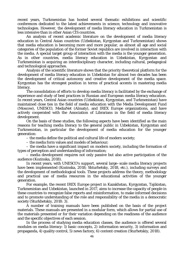recent years, Turkmenistan has hosted several thematic exhibitions and scientific conferences dedicated to the latest achievements in science, technology and innovative technologies. However, the development of media literacy education in Turkmenistan is less intensive than in other Asian CIS countries.

An analysis of recent academic literature on the development of media literacy education in Central Asian countries (Uzbekistan, Kyrgyzstan and Turkmenistan) shows that media education is becoming more and more popular, as almost all age and social categories of the population of the former Soviet republics are involved in interaction with the media. A special target group of interaction with the media is the younger generation. As in other countries, media literacy education in Uzbekistan, Kyrgyzstan and Turkmenistan is acquiring an interdisciplinary character, including cultural, pedagogical and technological approaches.

Analysis of the scientific literature shows that the priority theoretical platform for the development of media literacy education in Uzbekistan for almost two decades has been the development of critical autonomy and creative development of the media space. Kyrgyzstan has the strongest position in terms of practical accents in mastering media literacy.

The consolidation of efforts to develop media literacy is facilitated by the exchange of experience and study of best practices in Russian and European media literacy education. In recent years, Central Asian countries (Uzbekistan, Kyrgyzstan, and Turkmenistan) have maintained close ties in the field of media education with the Media Development Fund (Moscow), UNESCO, MediaNet (Almaty), and IREX Europe organizations, and have actively cooperated with the Association of Librarians in the field of media literacy development.

On the basis of these studies, the following aspects have been identified as the main reasons for teaching media literacy to the general public in Uzbekistan, Kyrgyzstan and Turkmenistan, in particular the development of media education for the younger generation:

– the media define the political and cultural life of modern society;

– the media form values and models of behaviour;

– the media have a significant impact on modern society, including the formation of types of perception and understanding of information;

– media development requires not only passive but also active participation of the audience (Kozinska, 2018).

In recent years, with UNESCO's support, several large–scale media literacy projects have been implemented (Kozinska, 2018; Shturhetsky, 2018, etc.), including surveys and the development of methodological tools. These projects address the theory, methodology and practical use of media resources in the educational activities of the younger generation.

For example, the recent IREX Europe project in Kazakhstan, Kyrgyzstan, Tajikistan, Turkmenistan and Uzbekistan, launched in 2017, aims to increase the capacity of people in these countries to recognize false reports and misinformation, to make informed decisions and to promote understanding of the role and responsibility of the media in a democratic society (Sturkhetskiy, 2018: 3).

A number of training manuals have been published on the basis of the project materials. These manuals are presented in a modular form, which allows for partial use of the materials presented or for their variation depending on the readiness of the audience and the specific objectives of each session.

In the process of studying media education classes, the audience is offered several modules on media literacy: 1) basic concepts, 2) information security, 3) information and propaganda, 4) quality control, 5) news factory, 6) content creation (Sturhetskiy, 2018).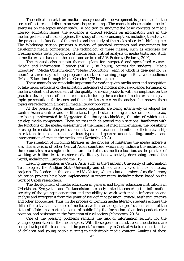Theoretical material on media literacy education development is presented in the series of lectures and discussion workshops/trainings. The manuals also contain practical exercises on the topics under study. In addition to studying the basic concepts of media literacy education issues, the audience is offered sections on information wars in the media, problems of media hygiene, the study of media consumption, including the study of the propaganda function of the media and the study of the basics of critical thinking, etc. The Workshop section presents a variety of practical exercises and assignments for developing media competence. The technology of these classes, such as exercises for creating media texts, perception of media texts, critical analysis of media texts, and study of media texts, is based on the books and articles of A.V. Fedorov (Fedorov, 2001).

The manuals also contain thematic plans for integrated and specialized courses: "Media and Information Literacy (MIL)" (108 hours); courses for students: "Media Expertise", "Media Consumption", "Media Production" (each of which is designed for 72 hours); a three–day training program; a distance learning program for a wide audience "Media Education through Media Creation" (72 hours), etc.

These manuals are especially important for working with media texts and recognition of fake news, problems of classification indicators of modern media audience, formation of media content and assessment of the quality of media products with an emphasis on the practical development of media resources, including the creation of media texts on a given topic, presentations for lessons and thematic classes, etc. As the analysis has shown, these topics are reflected in almost all media literacy programs.

At the present stage, media literacy segments are being intensively developed for Central Asian countries and for librarians. In particular, training courses on media literacy are being implemented in Kyrgyzstan for library stockholders, the aim of which is to develop media competence. These courses include several main sections: familiarity with the functions of the media; assessment of the impact of media information; the possibility of using the media in the professional activities of librarians; definition of their citizenship in relation to media texts of various types and genres; understanding, analysis and interpretation of texts in the media, etc. (Kozinska, 2018).

The situation of involving libraries in the process of mastering the media sphere is also characteristic of other Central Asian countries, which may indicate the inclusion of these countries in a single socio–cultural field of mass media education, as the practice of working with libraries to master media literacy is now actively developing around the world, including in Europe and the CIS.

Leading universities in Central Asia, such as the Tashkent University of Information Technologies, the Andijan State University and others, are involved in media literacy projects. The leaders in this area are Uzbekistan, where a large number of media literacy education projects have been implemented in recent years, including those based on the work of Uzbek researchers.

The development of media education in general and higher education institutions in Uzbekistan, Kyrgyzstan and Turkmenistan is closely linked to ensuring the information security of the younger generation and the ability to work with media information and analyse and interpret it from the point of view of civic position, critical, aesthetic, creative and other approaches. Thus, in the process of forming media literacy, students acquire the skills of effective and safe use of media, as well as an adequate, professional vision of the state of affairs in a particular area of public life, the formation of an independent civic position, and assistance in the formation of civil society (Mamatova, 2015).

One of the pressing problems remains the task of information security for the younger generation in the media space. With these goals in mind, recommendations are being developed for teachers and the parents' community in Central Asia to reduce the risk of children and young people turning to undesirable media content. Analysis of these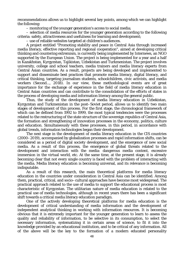recommendations allows us to highlight several key points, among which we can highlight the following:

– monitoring of the younger generation's access to social media;

– selection of media resources for the younger generation according to the following criteria: safety, attractiveness and usefulness for learning and development;

– use of reliable websites targeted at children's audiences.

A project entitled "Promoting stability and peace in Central Asia through increased media literacy, effective reporting and regional cooperation", aimed at developing critical thinking and countering extremism, is currently being implemented by Internews, an NGO supported by the European Union. The project is being implemented for a year and a half in Kazakhstan, Kyrgyzstan, Tajikistan, Uzbekistan and Turkmenistan. The project involves university, college and school teachers, media trainers and media literacy experts from Central Asian countries. As a result, projects are being developed and implemented to support and disseminate best practices that promote media literacy, digital literacy, and critical thinking, targeting journalism students, schoolchildren, civic activists, and media workers (Second..., 2018). In our view, these methodological events are of great importance for the exchange of experience in the field of media literacy education in Central Asian countries and can contribute to the consolidation of the efforts of states in the process of developing media and information literacy among the general public.

Thus, the study of the development of media literacy education in Uzbekistan, Kyrgyzstan and Turkmenistan in the post–Soviet period, allows us to identify two main stages of development of this process. For the first stage, the chronological framework of which can be defined from 1992 to 1999, the most typical tendencies were the processes related to the restructuring of the state structure of the sovereign republics of Central Asia, the formation and strengthening of innovation processes in the economy, politics, culture and education. Simultaneously with these processes, in this period, in accordance with global trends, information technologies began their development.

The next stage in the development of media literacy education in the CIS countries (2000–2019), accompanied by globalization processes and rapid information shifts, can be considered as a period of digital society development, and the emergence of new social media. As a result of this process, the emergence of global threats related to the development and interaction with the media: dangerous media content, excessive immersion in the virtual world, etc. At the same time, at the present stage, it is already becoming clear that not every single country is faced with the problem of interacting with the media. Media literacy education is becoming universal, and its relevance is becoming indisputable.

As a result of this research, the main theoretical platforms for media literacy education in the countries under consideration in Central Asia can be identified. Among them, practical, critical, and socio–cultural approaches have become most widespread. The practical approach related to the use of media to support the educational process is most characteristic of Kyrgyzstan. The utilitarian nature of media education is related to the practical use of media technologies, although in recent years there has been a significant shift towards a critical media literacy education paradigm.

One of the actively developing theoretical platforms for media education is the development of critical understanding of media information and the development of independent analytical thinking in working with information resources. It is becoming obvious that it is extremely important for the younger generation to learn to assess the quality and reliability of information, to be selective in its consumption, to select the necessary information, systematizing it in certain areas of science, to fit it into the knowledge provided by an educational institution, and to be critical of any information. All of the above will be the key to the formation of a modern educated personality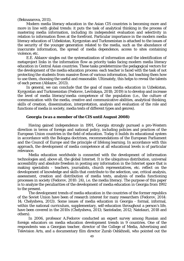(Beknazarova, 2011).

Modern media literacy education in the Asian CIS countries is becoming more and more in line with global trends: it puts the task of analytical thinking in the process of mastering media information, including its independent evaluation and selectivity in relation to information flows at the forefront. Particular importance in the modern media literacy education of Uzbekistan, Kyrgyzstan and Turkmenistan is attached to the issues of the security of the younger generation related to the media, such as the abundance of inaccurate information, the spread of media dependence, access to sites containing violence, etc.

E.E. Ablazov singles out the systematization of information and the identification of metaproject links in the information flow as priority tasks facing modern media literacy education in Central Asian countries. These tasks predetermine the pedagogical vectors for the development of the media education process: each teacher is faced with the task of not protecting the students from massive flows of various information, but teaching them how to use them, choosing the useful and reasonable. Ultimately, this helps to reveal the talents of each person (Ablazov, 2013).

In general, we can conclude that the goal of mass media education in Uzbekistan, Kyrgyzstan and Turkmenistan (Fedorov, Levitskaya, 2018; 2019) is to develop and increase the level of media literacy/media competence of the population (i.e., the culture of communication with the media, creative and communicative abilities, analytical thinking, skills of creation, dissemination, interpretation, analysis and evaluation of the role and functions of media in society, media texts of different types and genres).

# *Georgia (was a member of the CIS until August 2008)*

Having gained independence in 1991, Georgia strongly pursued a pro-Western direction in terms of foreign and national policy, including policies and practices of the European Union countries in the field of education. Today it builds its educational system in accordance with the Bologna doctrines, recommendations of the European Parliament and the Council of Europe and the principle of lifelong learning. In accordance with this approach, the development of media competence at all educational levels is of particular relevance.

Media education worldwide is connected with the development of information technologies and, above all, the global Internet. It is the ubiquitous distribution, universal accessibility and absolute freedom in posting any information in the Internet space that is making specialists - teachers, journalists, church representatives, etc. reflect on the development of knowledge and skills that contribute to the selection, use, critical analysis, assessment, creation and distribution of media texts, analysis of media functioning processes in society (Fedorov, 2010: 24), i.e. the media literacy. The purpose of this paper is to analyze the peculiarities of the development of media education in Georgia from 1992 to the present.

The development trends of media education in the countries of the former republics of the Soviet Union have been of research interest for many researchers (Fedorov, 2014: 14; Chelysheva, 2013). Some issues of media education in Georgia - formal, informal, within the national curriculum, supplementary, self-education throughout a person's life, have been covered in the 2010s (Chelysheva, 2013; Santeladze, 2012; Natelauri, 2018 and others).

In 2006, professor A.Fedorov conducted an expert survey among Russian and foreign educators on media education development trends in 9 countries. One of the respondents was a Georgian teacher, director of the College of Media, Advertising and Television Arts, and a documentary film director Zurab Oshkhneli, who pointed out the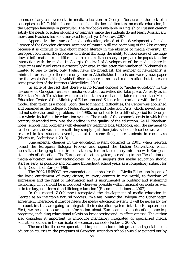absence of any achievements in media education in Georgia "because of the lack of a concept as such". Oshkhneli complained about the lack of literature on media education, in the Georgian language in particular. The few books available in English or Russian cannot satisfy the needs of either students or teachers, since the students do not learn Russian any more, and teachers have not mastered English yet (Fedorov, 2007).

Apparently, the issues of media education, aimed at the development of media literacy of the Georgian citizens, were not relevant up till the beginning of the 21st century because it is difficult to talk about media literacy in the absence of media diversity. In European countries, the problems of critical thinking, the ability to make sense of the huge flow of information from different sources make it necessary to prepare the population for interaction with the media. In Georgia, the level of development of the media sphere in large cities and rural areas is drastically diverse. In the latter, the number of TV channels is limited to one to three, only Tbilisi news are broadcast, the number of newsagents' is minimal, for example, there are only four in Akhaltsikhe, there is one weekly newspaper for the whole Samtskhe-Javakheti district, there is no local radio station but there are some providers of the Internet (Mchedlidze, 2010).

In spite of the fact that there was no formal concept of "media education" in the discourse of Georgian teachers, media education activities did take place. As early as in 1989, the Youth Television was created on the state channel, later renamed the Media Education Center of the Ministry of Education and Science in accordance with the Israeli model, then taken as a model. Soon, due to financial difficulties, the Center was abolished and renamed as the College of Media, Advertising and Television Arts, which, nevertheless, did not solve the funding problem. The 1990s turned out to be a difficult period for Georgia as a whole, including the education system. The result of the economic crisis in which the country descended into, was the decline in the quality of the education. As N. Natelauri notes, schools had problems with elementary teaching aids, textbooks, etc., the payment to teachers went down, as a result they simply quit their jobs, schools closed down, which resulted in less students overall, but at the same time, more students in each class (Natelauri, Saghirishvili, 2018).

Fundamental changes in the education system occurred in 2005, when Georgia joined the European Bologna Process and signed the Lisbon Convention, which necessitated bringing the entire education system in the country into line with European standards of education. The European education system, according to the "Resolution on media education and new technologies" of 1989, suggests that media education should start as early as possible and continue throughout school years as a compulsory subject for study (Council of Europe, 1989).

The 2002 UNESCO recommendations emphasize that "Media Education is part of the basic entitlement of every citizen, in every country in the world, to freedom of expression and the right to information and is instrumental in building and sustaining democracy. ..., it should be introduced wherever possible within national curricula as well as in tertiary, non-formal and lifelong education" (Recommendations…, 2002).

In this regard, Z.Oshkhneli recognized the development of media education in Georgia as an inevitable natural process: "We are joining the Bologna and Copenhagen agreement. Therefore, if Europe needs the media education system, it will be necessary for all countries that are going to integrate their education system into the European one. First, we need to accumulate information about European media education, practice, programs, including educational television broadcasting and its effectiveness". The author also considers it important to introduce mandatory integrated or specialized media education courses in the curricula of secondary schools (Fedorov, 2007).

The need for the development and implementation of integrated and special media education courses in the programs of Georgian secondary schools was also pointed out by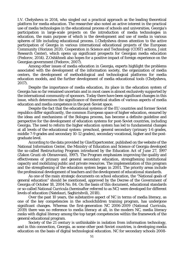I.V. Chelysheva in 2014, who singled out a practical approach as the leading theoretical platform for media education. The researcher also noted an active interest in the practical use of media technologies in the educational process of schools and universities, Georgia's participation in large-scale projects on the introduction of media technologies in education, the main purpose of which is the development and use of media in various spheres of life including educational process. I.Chelysheva draws attention to the active participation of Georgia in various international educational projects of the European Community (Horizon 2020, Cooperation in Science and Technology (COST) actions, Joint Research Center), which opens up significant prospects for Georgian media education (Fedorov, 2014). Z.Oshkhneli also hopes for a positive impact of foreign experience on the Georgian government (Fedorov, 2007).

Among other issues of media education in Georgia, experts highlight the problems associated with the development of the information society, the organization of media centers, the development of methodological and technological platforms for media education models, and the further development of media educational tools (Chelysheva, 2017).

Despite the importance of media education, its place in the education system of Georgia has so far remained uncertain and in most cases is almost exclusively supported by the international community of sponsors. Today there have been significant changes in this issue, which determines the significance of theoretical studies of various aspects of media education and media competence in the post-Soviet space.

Despite the fact that the educational systems of the EU countries and former Soviet republics differ significantly, the common European space of higher education, ensured by the ideas and mechanisms of the Bologna process, has become a definite guideline and perspective for the development of education systems for post-Soviet countries, including Georgia. The need to reform the higher education system has led to fundamental changes at all levels of the educational system: preschool, general secondary (primary 1-6 grades, middle 7-9 grades and secondary 10-12 grades), secondary vocational, higher and the postgraduate level.

According to the data provided by GlavExpertcenter, published on the website of the National Information Center, the Ministry of Education and Science of Georgia developed the so-called Restructuring Program introduced by the Education Act of June 27, 1997 (Zakon Gruzii ob Obrazovanii, 1997). The Program emphasizes improving the quality and effectiveness of primary and general secondary education, strengthening institutional capacity and mobilizing public and private resources. The implementation of this program and the strengthening of the education system began in 2001. The priority areas include the professional development of teachers and the development of educational standards.

As one of the main strategic documents on school education, the "National goals of general education" should be mentioned, approved by the Decree of the Government of Georgia of October 18, 2004 No. 84. On the basis of this document, educational standards or so-called National Curricula (hereinafter referred to as NC) were developed for different levels of education (Natelauri, Saghirishvili, 2018).

Over the past 10 years, the substantive aspect of NC in terms of media literacy, as one of the key competencies in the schoolchildren training program, has undergone significant changes. Whereas the first-generation NC 2006-2009 (National Curricula, 2019) there was no reference to media literacy at all, in the modern NC, media literacy ranks with digital literacy among the top target competencies within the framework of the general educational program.

Society of the 21 century is unthinkable in isolation from information technology, and in this connection, Georgia, as some other post-Soviet countries, is developing media education on the basis of digital technological education. NC for secondary schools 2008-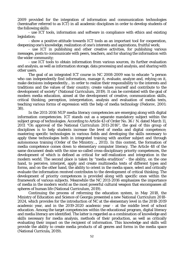2009 provided for the integration of information and communication technologies (hereinafter referred to as ICT) in all academic disciplines in order to develop students of the following skills:

- use ICT tools, information and software in compliance with ethics and existing legislation;

- show a positive attitude towards ICT tools as an important tool for cooperation, deepening one's knowledge, realization of one's interests and aspirations, fruitful work;

- use ICT in publishing and other creative activities, for publishing various messages, posts to communicate with peers, teachers, and for sharing the information with the wider community;

- use ICT tools to obtain information from various sources, its further evaluation and analysis, as well as information storage, data processing and analysis, and sharing with other users.

The goal of an integrated ICT course in NC 2008-2009 was to educate "a person who can independently find information, manage it, evaluate, analyze and, relying on it, make decisions independently... in order to realize their responsibility to the interests and traditions and the values of their country; create values yourself and contribute to the development of society" (National Curriculum, 2019). It can be correlated with the goal of modern media education, aimed at the development of creative, communication skills, critical thinking, perception, interpretation, analysis and evaluation of media texts, teaching various forms of expression with the help of media technology (Fedorov, 2001: 38).

In the 2011-2016 NUP media literacy competencies are emerging along with digital information competencies. ICT stands out as a separate mandatory subject within the subject group of technologies. According to Article 43 of Order No. 36 / N. dated March 11, 2011 "On approval of the National Curriculum 2011-2016", the goal of this group of disciplines is to help students increase the level of media and digital competence; mastering specific technologies in various fields and developing the skills necessary to apply these technologies both in integrated training with another subject and through autonomous training (Order of the Ministry…, 2011). In this context, the formation of media competence comes down to elementary computer literacy. The Article 48 of the same document deals with the nine so-called cross-disciplinary priority competences, the development of which is defined as critical for self-realization and integration in the modern world. The second place is taken by "media erudition" - the ability, on the one hand, to perceive, interpret, apply and create multimedia texts of different types and forms, and on the other hand, the ability to orient in the media space, select and critically evaluate the information received contributes to the development of critical thinking. The development of priority competences is provided along with specific ones within the framework of various subjects. Meanwhile the NC 2011-2016 emphasizes the importance of media in the modern world as the most powerful cultural weapon that encompasses all spheres of human life (National Curriculum, 2019).

Continuing the process of reforming the education system, in May 2018, the Ministry of Education and Science of Georgia presented a new National Curriculum 2018- 2024, which provides for the introduction of NC at the elementary level in the 2018-2019 academic year, and in the 2019-2020 academic year - at the middle level of school education. Among the target competencies within the educational program, digital literacy and media literacy are identified. The latter is regarded as a combination of knowledge and skills necessary for media analysis, methods of their production, as well as critically evaluating their impact on the recipient of information. This knowledge and skills will provide the ability to create media products of all genres and forms in the media space (National Curricula, 2019).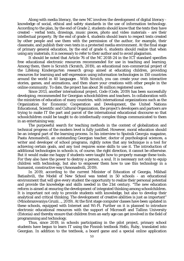Along with media literacy, the new NC involves the development of digital literacy knowledge of social, ethical and safety standards in the use of information technology. According to the plan, by the end of Grade 2, students should know that the texts they have created - verbal texts, drawings, music pieces, photo and video materials - are their intellectual property. By the end of grade 4, students should learn to respect texts created by other people and use them with the permission of the author, for example, their classmate, and publish their own texts in a protected media environment. At the final stage of primary general education, by the end of grade 6, students should realize that when using any materials, it is necessary to refer to their author and to avoid plagiarism.

It should be noted that Article 76 of the NC 2018-24 in the ICT standard specifies free educational electronic resources recommended for use in teaching and learning. Among them, there is *Scratch* (Scratch, 2019), an educational non-commercial project of the *Lifelong Kindergarten* research group aimed at educating children, providing resources for learning and self-expression using information technologies in 150 countries around the world in 40 languages . With *Scratch*, you can create your own interactive stories, games, and animations, and then share your creations with other people in the online community. To date, the project has about 36 million registered users.

Since 2013, another international project, *Code* (Code, 2019) has been successfully developing, recommended for Georgian schoolchildren and teachers. In collaboration with the ministries of education of many countries, with international organizations such as the Organization for Economic Cooperation and Development, the United Nations Educational, Scientific and Cultural Organization, the project's developers and partners are trying to make IT the part and parcel of the international educational discourse so that schoolchildren could be taught to do intellectually complex things communicated to them in an entertaining way.

The purposeful search for teaching methods in the context of globalization and technical progress of the modern level is fully justified. However, moral education should be an integral part of the learning process. In his interview to *Sputnik Georgia* magazine, Paata Amonashvili, an outstanding Georgian teacher, doctor of psychological sciences, a writer and developer of school programs, rightly notes that any technique is a tool for achieving certain goals, and any tool requires some skills to use it. The introduction of additional technologies in schools is, of course, the right direction, it cannot be otherwise. But it would make me happy if students were taught how to properly manage these tools. For they also have the power to destroy a person, a soul. It is necessary not only to equip children with technology, but also to empower them how to use this technology in a humanist, constructive way (Amonashvili, 2019).

In 2019, according to the current Minister of Education of Georgia, Mikhail Batiashvili, the *Model of New School* was tested in 50 schools - an educational environment that will give every student the opportunity to realize their personal potential and provide the knowledge and skills needed in the 21st century. "The new education reform is aimed at ensuring the development of integrated thinking among schoolchildren. It is important not only to provide students with knowledge, but also to develop their analytical and critical thinking. The development of creative abilities is just as important" (Minobrazovaniya Gruzii…, 2019). At the first stage computer classes have been updated in these schools, equipped with Internet and Wi-Fi. Further on it is planned to introduce electronic educational resources with the support of Microsoft and Tallinn University (Estonia) and thereby ensure that children from an early age can get involved in the field of programming and technology.

Thus, since 2019, in schools participating in the pilot project, primary school students have begun to learn IT using the Finnish textbook *Hello, Ruby*, translated into Georgian. In addition to the textbook, a board game and a special online application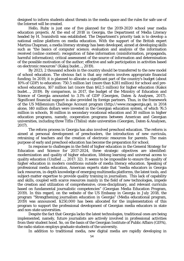designed to inform students about threats in the media space and the rules for safe use of the Internet will be created.

*Hello, Ruby* is just one of five planned for the 2019-2020 school year media education projects. At the end of 2018 in Georgia, the Department of Media Literacy headed by H. Ivanishvili was established. The Department's priority task is to develop a national online platform on media education. With the support of the British expert Martina Chapman, a media literacy strategy has been developed, aimed at developing skills such as "the basics of computer science; evaluation and analysis of the information received (online content); recognition of false information (misinformation, propaganda, harmful information); critical assessment of the source of information and determination of the possible motivation of the author; effective and safe participation in activities based on electronic resources" (Kakoj budet…, 2019).

By 2023, 2 thousand schools in the country should be transferred to the new model of school education. The obvious fact is that any reform involves appropriate financial funding. In 2019, it is planned to allocate a significant part of the country's budget (about 10% of GDP) to education: 750.5 million lari (more than \$281 million) for school and preschool education, 167 million lari (more than \$62.5 million) for higher education (Kakoi budet…, 2019). By comparison, in 2017, the budget of the Ministry of Education and Science of Georgia amounted to 3.1% of GDP (Georgien, Daten & Analysen, 2017). Significant financial support is also provided by foreign partners. Thus, in the framework of the US *Millennium Challenge Account* program (http://www.mcageorgia.ge), in 2014 alone, 140 million dollars were invested in the Georgian education system, of which 76.5 million in schools, 16 million in secondary vocational education and 30 million in higher education programs, namely, cooperation programs between American and Georgian universities, including three Tiflis (Tbilisi) state universities (Georgien, Daten & Analysen, 2017).

The reform process in Georgia has also involved preschool education. The reform is aimed at personal development of preschoolers, the introduction of new curricula, retraining of teachers and the creation of electronic resources for parents. The main purpose of early and preschool education has become the preparation for school.

In response to challenges in the field of higher education in the General Strategy for Education and Science for 2017-2024, three strategic objectives are identified: modernization and quality of higher education, lifelong learning and universal access to quality education (Unified ..., 2017: 32). It seems to be impossible to ensure the quality of higher education in modern conditions outside of media literacy education. Speaking of professional media education, American experts state that "media educators in Georgia lack resources, in-depth knowledge of emerging multimedia platforms, the latest tools, and subject-matter expertise to provide quality training in journalism. This lack of capability and skills, coupled with scarce resources mainly in the field of new technologies, impede the creation and utilization of comprehensive, cross-disciplinary, and relevant curricula based on fundamental journalistic competencies" (Georgian Media Education Program, 2019). In this regard, on the website of the US Embassy in Georgia in July 2018, the program "Strengthening journalism education in Georgia" (Media educational program, 2019) was announced. \$250,000 has been allocated for the implementation of this program to support the professional development of Georgian media educators in state and non-state universities.

Despite the fact that Georgia lacks the latest technologies, traditional ones are being implemented, namely, future journalists are actively involved in professional activities from their student hood. So, on the basis of the Georgian Institute of Public Affairs (GIPA), the radio station employs graduate students of the university.

In addition to traditional media, new digital media are rapidly developing in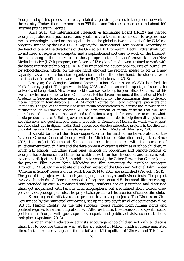Georgia today. This process is directly related to providing access to the global network in the country. Today, there are more than 755 thousand Internet subscribers and about 160 Internet providers in Georgia.

Since 2013, the International Research & Exchanges Board (IREX) has helped Georgian professional journalists and youth, interested in mass media, to explore new media technologies based on the capabilities of the global network as part of the *G-Media* program, funded by the USAID - US Agency for International Development. According to the head of one of the directions of the *G-Media* IREX program, Dachi Grdzelishvili, you do not need an expensive computer and a sophisticated software to work on the Internet, the main thing is the ability to use the appropriate tool. In the framework of the New Media Initiative (INM) program, employees of 13 regional media were trained to work with the latest Internet technologies. IREX also financed the educational courses of journalism for schoolchildren, which, on the one hand, allowed the regional media to act in a new capacity - as a media education organization, and on the other hand, the students were able to get an idea of the real work of the media (Keshelashvili, 2013).

Last year, the Georgian National Communications Commission (GNCC) launched the Media Literacy project. To begin with, in May 2018, an American media expert, professor at the University of Long Island, Mitch Semel, held a two-day workshop for journalists. On the eve of this event, the chairman of the National Commission, Kakha Bekauri announced the creation of Media Academy in Georgia to increase media literacy in the country. The commission plans to develop media literacy in four directions: 1. A 3-6-month course for media managers, producers and journalists. The goal of the course is to assist media representatives to increase the knowledge and qualification of multimedia content. 2. The development of media criticism that will help journalists and producers in their work and to function as a guide for consumers to choose which media products to use. 3. Raising awareness of consumers in order to help them distinguish real and fake news and good and poor quality products. 4. Creation of Media Lab, which will support and fund start-ups in digital media. Start-uppers who develop interesting projects in the direction of digital media will be given a chance to receive funding from Media lab (Morrison, 2010).

It should be noted the close cooperation in the field of media education of the National Cinema Center of Georgia with the Ministries of Education and Justice. Since 2013, the project "Cinema at School" has been implemented with the purpose of enlightenment through films and the development of creative abilities of schoolchildren, in which 211 schools, including rural ones, schools in borderline and remote regions of Georgia, have demonstrated films for children with further discussion and analysis with experts' participation. In 2015, in addition to schools, the Crime Prevention Center joined the project. Film expert Nino Mkheidze ran film screenings for troubled teenagers (Project…, 2015). On the website of another project of the Georgian National Film Center "Cinema at School" reports on its work from 2014 to 2018 are published (Project…, 2015). The goal of the project was to teach young people to analyze audiovisual texts. The project involved hundreds of Georgian schools (altogether about 4,5 thousand film screenings were attended by over 46 thousand students), students not only watched and discussed films, got acquainted with famous cinematographers, but also filmed short videos, drew posters, took photographs, etc. The project also promoted the creation of school film clubs.

Some regional initiatives also produce interesting projects. The Discussion Club Gori funded by the municipal authorities, set up the two day festival of documentary films "Art for Human Rights". As the title suggests, topics ranged from human rights and political regimes to racism, migration, etc. After each film, the discussion of specific social problems in Georgia with guest speakers, experts and public activists, school students, took place (Aptsiauri, 2013).

Georgian media education activists encourage schoolchildren not only to discuss films, but to produce them as well. At the art school in Nikozi, children create animated films. In this frontier village, on the initiative of Metropolitan of Nikozsk and Tskhinvali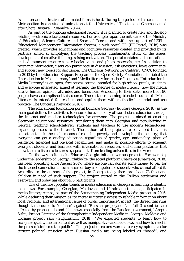Isaiah, an annual festival of animated films is held. During the period of his secular life, Metropolitan Isaiah studied animation at the University of Theater and Cinema named after Shota Rustaveli (Svanidze, 2014).

As part of the ongoing educational reform, it is planned to create new and develop existing electronic educational resources. For example, upon the initiative of the Ministry of Education, Science, Culture and Sport of Georgia and with the support of LEPL - Educational Management Information System, a web portal EL (EF Portal, 2018) was created, which provides educational and cognitive resources created and provided by its partners aimed at simplifying the teaching process, fundamental study of the issues, development of creative thinking, raising motivation. The portal contains such educational and edutainment resources as e-books, video and photo materials, etc. In addition to receiving information, users can participate in discussion, ask questions, leave comments, and suggest new topics for discussion. The Caucasus Network for Children (CNC), founded in 2013 by the Education Support Program of the Open Society Foundations initiated the "Introduction in Media literacy" and "Media literacy for teachers" courses. "Introduction in Media Literacy" is an open, free access course intended for high school pupils, students, and everyone interested, aimed at learning the theories of media literacy, how the media affects human opinion, attitudes and behaviour. According to their data, more than 90 people have accomplished this course. The distance learning blended course of "Media Literacy" is intended for teachers and equips them with methodical material and use practice (The Caucasus Network, 2018).

The educational foundation portal *Educare Georgia* (Educare Georgia, 2018) as the main goal defines the activities to ensure the availability of world-class education through the Internet and modern technologies for everyone. The project is aimed at creating electronic educational resources, translating them into Georgian and popularizing in Georgia, teaching schoolchildren, students and teachers to use modern technologies, expanding access to the Internet. The authors of the project are convinced that it is education that is the main means of reducing poverty and developing the country; that everyone can get a quality education regardless of gender, age, nationality, place of residence, financial and physical capabilities, and make all possible efforts to acquaint Georgian students and teachers with international resources and online platforms that allow them to listen to lectures by specialists from leading universities in the world.

On the way to its goals, *Educare Georgia* initiates various projects. For example, under the leadership of Georgy Dzhibladze, the social platform Charte.ge (Charte.ge, 2018) has been operating since August 2017, where anyone can donate some money to pay for the Internet connection in rural areas or buy a computer for students who cannot afford it. According to the authors of this project, in Georgia today there are about 78 thousand children in need of such support. The project started in the Tsilkan settlement and Tserovani and today has about 470 participants.

One of the most popular trends in media education in Georgia is teaching to identify fake news. For example, Georgian, Moldovan and Ukrainian students participated in media literacy camps, as part of the Strengthening Independent Media project in 2016. While declaring their mission as "to increase citizens' access to reliable information about local, regional, and international issues of public importance", in fact, the thread that runs though this course is "defense" against "Russian propaganda", - "all 3 countries are affected by propaganda and fake news, especially from the Russian government," Angela Sirbu, Project Director of the Strengthening Independent Media in Georgia, Moldova and Ukraine project says (Gugunishvili, 2018). "We expected students to learn how to recognize quality media content as well as manipulative and fake news, and how to react if the press misinforms the public". The project director's words are very symptomatic for current political situation when Russian media are being labeled as "biased", and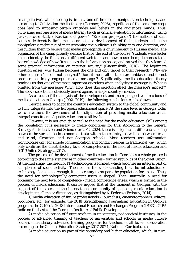"manipulative", while labeling is, in fact, one of the media manipulation techniques, and according to Cultivation media theory (Gerbner, 1998), repetition of the same message, does lead to imposing certain attitudes and beliefs in the audience's minds. Thus, cultivating just one issue of media literacy (such as critical evaluation of information) using just one case study ("Russian soft power", "Kremlin propaganda") the authors of such courses deliberately limit media competence development of their students, using the manipulative technique of mainstreaming the audience's thinking into one direction, and misguiding them to believe that media propaganda is only inherent to Russian media. The organizers of the camp proudly declare that by the end of the course "students were better able to identify the functions of different web tools and how to use them; demonstrated a better knowledge of how Russia uses the information space; and proved that they learned some practical information on internet security" (Gugunishvili, 2018). The legitimate question arises, why Russia becomes the one and only target of their research? Why are other countries' media not analyzed? Does it mean all of them are unbiased and do not produce politically engaged media messages? Significantly, media education theory reminds us that one of the most important questions when analyzing a message is "What is omitted from the message? Why? How does this selection affect the message's impact?" The above selection is obviously biased against a single country's media.

As a result of the analysis of the development and main perspective directions of media education in Georgia (1992–2019), the following conclusions can be drawn.

Georgia seeks to adapt the country's education system to the global community and to fully integrate into the European educational space. At the state level in Georgia today we can witness the awareness of the stipulation of providing media education as an integral constituent of quality education at all levels.

However, it is not enough to realize the need for the media education skills among the population, it is necessary to create conditions for this. According to the General Strategy for Education and Science for 2017-2024, there is a significant difference and lag between the various socio-economic strata within the country, as well as between urban and rural, Georgian and non-Georgian schools. Most teachers use information technologies only for simple communication and conduct lessons in traditional way, which only confirms the unsatisfactory level of competence in the field of media education and ICT (United Strategy…,2017).

The process of the development of media education in Georgia as a whole proceeds according to the same scenario as in other countries - former republics of the Soviet Union. At the first stage, the need for IT-technologies is formed, which becomes an integral part of all spheres of social activity. Then comes the understanding that the introduction of technology alone is not enough, it is necessary to prepare the population for its use. Thus, the need for technologically competent users is shaped. Then, naturally, a need for obtaining the next level of competence - media competence arises, which is formed in the process of media education. It can be argued that at the moment in Georgia, with the support of the state and the international community of sponsors, media education is developing in all major directions, as distinguished by A. Fedorov (Fedorov, 2014).

1) media education of future professionals - journalists, cinematographers, editors, producers, etc., for example, the 2018 *Strengthening Journalism Education in Georgia* program, the G-Media 2013 International Research and Exchanges Program (IREX), GIPA radio on the basis of the Georgian Institute of Public Development;

2) media education of future teachers in universities, pedagogical institutes, in the process of advanced training of teachers of universities and schools in media culture courses - mandatory advanced training programs for teachers of all levels of education according to the General Education Strategy 2017-2024, National Curricula, etc.;

3) media education as part of the secondary and higher education, which, in turn,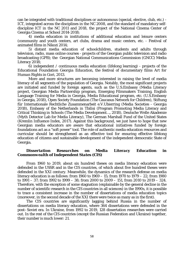can be integrated with traditional disciplines or autonomous (special, elective, club, etc.) - ICT, integrated across the disciplines in the NC 2008, and the standard of mandatory selfdiscipline ICT in the NC 2011 and 2018, the project of the National Cinema Center of Georgia *Cinema at School* 2014-2018;

4) media education in institutions of additional education and leisure centers (community and youth centers, art clubs, drama and music centers, etc. - Festival of animated films in Nikozi 2014;

5) distant media education of schoolchildren, students and adults through television, radio, mass online courses - projects of the Georgian public television and radio broadcasting (GPB); the Georgian National Communications Commission (GNCC) Media Literacy 2018;

6) independent / continuous media education (lifelong learning) - projects of the Educational Foundation *Georgia Education*, the festival of documentary films *Art for Human Rights* in Gori, 2013.

More and more structures are becoming interested in raising the level of media literacy of all segments of the population of Georgia. Notably, the most significant projects are initiated and funded by foreign agents, such as the U.S.Embassy (Media Literacy project, Georgian Media Partnership program, Emerging Filmmakers Training, English Language Training for Media in Georgia, Media Educational program, etc. (U.S.Embassy in Georgia, 2018), Open Society Foundation (The Caucasus Network for Children), Stiftung für Internationale Rechtliche Zusammenarbeit e.V.Ubierring (Media Societies - Georgia 2018), Embassy of the Netherlands in Tbilisi (Program Promoting Media Literacy and Critical Thinking in Schools (The Media Development…, 2018), Deutsche Welle Akademie (Myth Detector Lab for Media Literacy), The German Marshall Fund of the United States (Kremlin Influence Index, 2017). Against this background, we just have to hope that new Georgian media educators are aware that educational initiatives funded by foreign foundations act as a "soft power" tool. The role of authentic media education resources and curricular should be strengthened as an effective tool for ensuring effective lifelong education of citizens and sustainable development of the independent democratic State of Georgia.

# *Dissertation Researches on Media Literacy Education in Commonwealth of Independent States (CIS)*

From 1960 to 2019, about six hundred theses on media literacy education were defended in the USSR and in the CIS countries, of which about five hundred theses were defended in the XXI century. Meanwhile, the dynamics of the research defense on media literacy education is as follows: from 1960 to 1969 – 15; from 1970 to 1979 – 22; from 1980 to 1991 – 37; from 1992 to 1999 – 38; from 2000 to 2009 – 151, from 2010 to 2019 – 324. Therefore, with the exception of some stagnation (explainable by the general decline in the number of scientific research in the CIS countries in all sciences) in the 1990s, it is possible to trace a consistent increase in the number of dissertations of media education topics (moreover, in the second decade of the XXI there were twice as many as in the first).

The CIS countries are significantly lagging behind Russia in the number of dissertations on media literacy education, where 364 dissertations were defended in the post–Soviet era. In Ukraine, from 1992 to 2019, 128 dissertation researches were carried out. In the rest of the CIS countries (except the Russian Federation and Ukraine) together, their number is much lower: 21.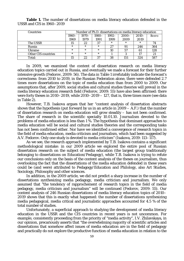| <b>Countries</b>           |          | Number of Ph.D. dissertations on media literacy education<br>$1980 -$<br>$1992 -$<br>$2000 -$ |          |               |      |        |     |  |  |  |  |
|----------------------------|----------|-----------------------------------------------------------------------------------------------|----------|---------------|------|--------|-----|--|--|--|--|
|                            | $1960 -$ | $1970 -$                                                                                      | $2010 -$ | <b>B</b> cero |      |        |     |  |  |  |  |
|                            | 1969     | 1979                                                                                          | 1991     | 1999          | 2009 | 2019   |     |  |  |  |  |
| The USSR                   | 15       | 22                                                                                            | 37       | *             |      | $\ast$ | 74  |  |  |  |  |
| <b>Russia</b>              | $\ast$   | $\ast$                                                                                        | $\ast$   | 27            | 91   | 246    | 364 |  |  |  |  |
| Ukraine                    | $\ast$   | $\ast$                                                                                        | $\ast$   | 10            | 57   | 61     | 128 |  |  |  |  |
| <b>Other CIS countries</b> | $\ast$   | $\ast$                                                                                        | $\ast$   |               |      | 17     | 21  |  |  |  |  |
| Total:                     | 15       | 22                                                                                            | 37       | 38            | 151  | 324    | 587 |  |  |  |  |

**Table 1.** The number of dissertations on media literacy education defended in the USSR and CIS in 1960–2019

In 2009, we examined the content of dissertation research on media literacy education topics carried out in Russia, and eventually we made a forecast for their further intensive growth (Fedorov, 2009: 56). The data in Table 1 irrefutably indicate the forecast's correctness: from 2010 to 2019, in the Russian Federation alone, there were defended 2.7 times more dissertations on the topic of media education than from 2000 to 2009. Our assumptions that, after 2009, social studies and cultural studies theories will prevail in the media literacy education research field (Fedorov, 2009: 55) have also been affirmed: there were forty theses in 2010–2019, while 2010–2019 – 127, that is, three times more (see data in Table 2).

However, T.B. Isakova argues that her "content analysis of dissertation abstracts shows that the hypothesis (put forward by us in an article in  $2009 - A.F$ .) that the number of dissertation research on media education will grow steadily – has not been confirmed. The share of research in the scientific specialty *10.01.10. Journalism* devoted to the problems of media education is less than 1 %. The hypothesis that dominant approaches to media education will be social and cultural studies theories and the corresponding tasks has not been confirmed either. Nor have we identified a convergence of research topics in the field of media education, media criticism and journalism, which had been suggested by A.V. Fedorov. Only one study is devoted to media criticism" (Isakova, 2019: 113–117).

As we see, the research approach implemented by T.B. Isakova contains a significant methodological mistake: in our 2009 article we explored the entire pool of Russian dissertation research on the subject of media education (the largest group traditionally belonging to dissertations on Education/Pedagogy), while T.B. Isakova is trying to refute our conclusions only on the basis of the content analysis of the theses on journalism, thus overlooking the fact that the dissertations of the media education defended in these years could be (and were) attributed to Pedagogy/Education and Philology, also Art Studies, Sociology, Philosophy and other sciences.

In addition, in the 2009 article, we did not predict a sharp increase in the number of dissertations synthesizing media pedagogy, media criticism and journalism. We only assumed that "the tendency of rapprochement of research topics in the field of media pedagogy, media criticism and journalism" will be continued (Fedorov, 2009: 55). Our content analysis of 246 Russian dissertations of media literacy education topics of 2010– 2019 shows that this is exactly what happened: the number of dissertations synthesizing media pedagogical, media critical and journalistic approaches accounted for 4.5 % of the total number of studies.

Unfortunately, a superficial approach to studying the development of media literacy education in the USSR and the CIS countries in recent years is not uncommon. For example, consistently proceeding from the priority of "media activity", I.V. Zhilavskaya, in our opinion, precariously asserts that "the overwhelming majority of scientific articles and dissertations that somehow affect issues of media education are in the field of pedagogy and practically do not explore the productive function of media education in relation to the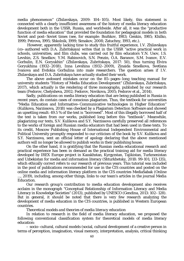media phenomenon" (Zhilavskaya, 2009: 104–105). Most likely, this statement is connected with a clearly insufficient awareness of the history of media literacy education development both in the USSR, Russia, and worldwide. After all, it was the "productive function of media education" that provided the foundation for pedagogical models in both Soviet and post–Soviet times (see, for example: Bozhkov, 1983; Genkin, 1985; Khilko, 1999; Petrova, 1995; Shkolnik, 1999; Simakov, 2008; Zatuchny, 1993, etc.).

However, apparently lacking time to study this fruitful experience, I.V. Zhilavskaya (co–authored with D.A. Zubritskaya) writes that in the USSR "active practical work in schools, universities, and film clubs, was carried out by film educators Y.N. Usov, I.S. Levshin, Z.S. Smelkov, Y.M. Rabinovich, S.N. Penzin, O.A. Baranov, S.M. Ivanov, E.V. Gorbulin, E.N. Goryukhin" (Zhilavskaya, Zubritskaya, 2017: 50), thus turning Elvira Goryukhina (1932–2018), Inna Levshina (1932–2009), Zinaida Smelkova, Svetlana Ivanova and Evdokia Gorbulina into male researchers. The question arises if I.V. Zhilavskaya and D.A. Zubritskaya have actually studied their work.

The above awkward mistakes occur on the 85–pages–long teaching manual for university students "History of Media Education Development" (Zhilavskaya, Zubritskaya, 2017), which actually is the rendering of three monographs, published by our research team (Fedorov, Chelysheva, 2002; Fedorov, Novikova, 2005; Fedorov et al., 2014).

Sadly, publications on media literacy education that are being published in Russia in recent years, do contain cases of conscious plagiarism. Thus, the textbook for universities "Media Education and Informative–Communicative technologies in Higher Education" (Kulikova, Narzissova, 2018) was checked by a Plagiarism Detection Software and showed an upsetting result: 49.5 % of the text is "borrowed". Most of this illegally borrowed half of the text is taken from our works, published long before this "textbook". Meanwhile, plagiarizing our texts, S.V. Kulikova and S.Y. Narzissova carefully preserved all references to the works of foreign and Russian media educators that had been used in these texts. To its credit, Moscow Publishing House of International Independent Environmental and Political University promptly responded to our criticism of the book by S.V. Kulikova and S.Y. Narzissova, sent an official letter of apology declaring that the above mentioned authors will no longer be allowed to publish works in their publishing house.

On the other hand, it is gratifying that the Russian media educational research and practical experience has been in demand as the practical training aid for media literacy developed by IREX Europe project in Kazakhstan, Kyrgyzstan, Tajikistan, Turkmenistan and Uzbekistan for media and information literacy (Shturkhetsky, 2018: 99-101; 133-135), which ethically correct refers to our research of previous years. This tutorial was included in the pool of publications recommended for use in the CIS countries and posted on the online media and information literacy platform in the CIS countries MediaSabak (Online ..., 2019), including, among other things, links to our team's articles in the journal *Media Education*.

Our research group's contribution to media education development also receives acclaim in the monograph "Conceptual Relationship of Information Literacy and Media Literacy in Knowledge Societies" (2013), published by UNESCO (Gendina, 2013: 102–128). But in general, it should be noted that there is very few research analyzing the development of media education in the CIS countries, is published in Western European countries.

## *Theoretical models and theories of media literacy education*

In relation to research in the field of media literacy education, we proposed the following conventional classification system for theoretical models of media literacy education:

– socio–cultural, cultural models (social, cultural development of a creative person in terms of perception, imagination, visual memory, interpretation, analysis, critical thinking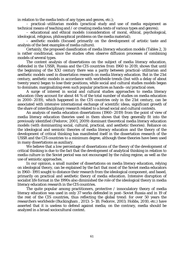in relation to the media texts of any types and genres, etc.);

– practical–utilitarian models (practical study and use of media equipment as technical means of teaching and / or creating media texts of various types and genres);

– educational and ethical models (consideration of moral, ethical, psychological, ideological, religious, philosophical problems on the media material);

– aesthetic models (focused primarily on the development of artistic taste and analysis of the best examples of media culture).

Certainly, the proposed classification of media literacy education models (Tables 2, 3) is rather conditional, since the studies often observe diffusion processes of combining models of several types.

The content analysis of dissertations on the subject of media literacy education, defended in the USSR, Russia and the CIS countries from 1960 to 2019, shows that until the beginning of the XXI century there was a parity between practical–utilitarian and aesthetic models used in dissertation research on media literacy education. But in the 21st century, aesthetic models in accordance with worldwide trends (but with a delay of about twenty years) began to lose their positions, while social and cultural studies models began to dominate, marginalizing even such popular practices as hands–on/practical ones.

A surge of interest in social and cultural studies approaches to media literacy education (they account for about 44 % of the total number of studies on media education in 2000–2019), which happened in the CIS countries only in the 21st century, can be associated with intensive international exchange of scientific ideas, significant growth of the share of interdisciplinary research related to a broad social and cultural contexts.

An analysis of media education dissertations (1960–2019) from the point of view of media literacy education theories used in them shows that they generally fit into the previously identified (Fedorov, 2001, 2009) dominant theoretical media literacy education models (with dominanting social, cultural, practical, and aesthetic theories). Reliance on the ideological and semiotic theories of media literacy education and the theory of the development of critical thinking has manifested itself in the dissertation research of the USSR and the CIS countries to a minimum degree, although these theories have been used in many dissertations as auxiliary.

We believe that a low percentage of dissertations of the theory of the development of critical thinking is due to the fact that the development of analytical thinking in relation to media culture in the Soviet period was not encouraged by the ruling regime, as well as the use of semiotic approaches.

In our opinion, a small number of dissertations on media literacy education, relying on ideological theory, can be explained by the fact that most of the Soviet media educators in 1960–1991 sought to distance their research from the ideological component, and based, primarily on practical and aesthetic theory of media education. Intensive disruption of socialist life format in the 1990s also diminished the role of the ideological theory in media literacy education research in the CIS countries.

The quite popular among practitioners, protective / innoculatory theory of media literacy education was used in only 37 works defended in post–Soviet Russia and in 19 of the rest of the CIS countries, thus reflecting the global trend: for over 50 years the researchers worldwide (Buckingham , 2013: 5–18; Fedorov, 2003; Hobbs, 2010, etc.) have asserted that it is useless to defend against media; on the contrary, media should be analyzed in a broad sociocultural context.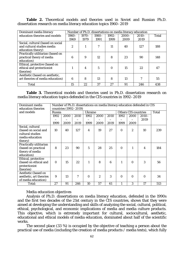**Table 2.** Theoretical models and theories used in Soviet and Russian Ph.D. dissertation research on media literacy education topics 1960–2019

| Dominant media literacy                                                              | Number of Ph.D. dissertations on media literacy education |                  |                |          |          |         |       |  |  |  |
|--------------------------------------------------------------------------------------|-----------------------------------------------------------|------------------|----------------|----------|----------|---------|-------|--|--|--|
| education theories and models                                                        | $1960 -$                                                  | $1970-$          | $1980-$        | $1992 -$ | $2000 -$ | $2010-$ | Total |  |  |  |
|                                                                                      | 1969                                                      | 1979             | 1991           | 1999     | 2009     | 2019    |       |  |  |  |
| Social, cultural (based on social<br>and cultural studies media<br>education theory) | $\mathbf{2}$                                              | 1                | 7              | 11       | 40       | 127     | 188   |  |  |  |
| Practically utilitarian (based on<br>practical theory of media<br>education)         | 6                                                         | 9                | 12             | 8        | 23       | 90      | 148   |  |  |  |
| Ethical, protective (based on<br>ethical and protectionist<br>theories)              |                                                           | $\boldsymbol{4}$ | $\overline{5}$ | $\Omega$ | 15       | 22      | 47    |  |  |  |
| Aesthetic (based on aesthetic,<br>art theories of media education)                   | 6                                                         | 8                | 13             | 8        | 13       | 7       | 55    |  |  |  |
| Total                                                                                | 15                                                        | 22               | 37             | 27       | 91       | 246     | 438   |  |  |  |

**Table 3.** Theoretical models and theories used in Ph.D. dissertation research on media literacy education topics defended in the CIS countries in 1992–2019

| Dominant media          |          | Number of Ph.D. dissertations on media literacy education defended in CIS |      |                |                  |      |                             |                  |          |              |  |
|-------------------------|----------|---------------------------------------------------------------------------|------|----------------|------------------|------|-----------------------------|------------------|----------|--------------|--|
| education theories      |          | countries (1992–2019)                                                     |      |                |                  |      |                             |                  |          |              |  |
| and models              | Russia   |                                                                           |      | <b>Ukraine</b> |                  |      | <b>Others CIS countries</b> |                  |          | <b>Total</b> |  |
|                         | 1992     | 2000                                                                      | 2010 | 1992           | 2000             | 2010 | 1992                        | 2000             | $2010-$  |              |  |
|                         |          |                                                                           |      |                |                  |      |                             |                  | 2019     |              |  |
|                         | 1999     | 2009                                                                      | 2019 | 1999           | 2009             | 2019 | 1999                        | 2009             |          |              |  |
| Social, cultural        |          |                                                                           |      |                |                  |      |                             |                  |          |              |  |
| (based on social and    | 10       | 40                                                                        | 127  | 4              | 19               | 27   | $\bf{0}$                    | $\boldsymbol{2}$ | 10       | 239          |  |
| cultural studies        |          |                                                                           |      |                |                  |      |                             |                  |          |              |  |
| media education         |          |                                                                           |      |                |                  |      |                             |                  |          |              |  |
| theory)                 |          |                                                                           |      |                |                  |      |                             |                  |          |              |  |
| Practically utilitarian |          |                                                                           |      |                |                  |      |                             |                  |          |              |  |
| (based on practical     | 8        | 23                                                                        | 90   | $\overline{5}$ | 28               | 25   | $\Omega$                    | 1                | 4        | 184          |  |
| theory of media         |          |                                                                           |      |                |                  |      |                             |                  |          |              |  |
| education)              |          |                                                                           |      |                |                  |      |                             |                  |          |              |  |
| Ethical, protective     |          |                                                                           |      |                |                  |      |                             |                  |          |              |  |
| (based on ethical and   | $\Omega$ | 15                                                                        | 22   | 1              | 8                | 6    | 1                           | $\Omega$         | 3        | 56           |  |
| protectionist           |          |                                                                           |      |                |                  |      |                             |                  |          |              |  |
| theories)               |          |                                                                           |      |                |                  |      |                             |                  |          |              |  |
| Aesthetic (based on     |          |                                                                           |      |                |                  |      |                             |                  |          |              |  |
| aesthetic, art theories | 9        | 13                                                                        | 7    | $\Omega$       | $\boldsymbol{2}$ | 3    | $\Omega$                    | $\Omega$         | $\Omega$ | 34           |  |
| of media education)     |          |                                                                           |      |                |                  |      |                             |                  |          |              |  |
| Total:                  | 27       | 91                                                                        | 246  | 10             | 57               | 61   |                             | 3                | 17       | 513          |  |

## *Media education objectives*

Analysis of Ph.D. dissertations on media literacy education, defended in the 1990s and the first two decades of the 21st century in the CIS countries, shows that they were aimed at developing the understanding and skills of analyzing the social, cultural, political, ethical, psychological, and economic implications of media and media culture products. This objective, which is extremely important for cultural, sociocultural, aesthetic, educational and ethical models of media education, dominated about half of the scientific works.

The second place (33 %) is occupied by the objective of teaching a person about the practical use of media (including the creation of media products / media texts), which fully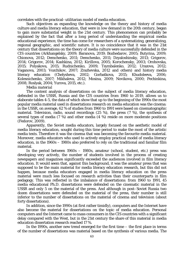correlates with the practical–utilitarian model of media education.

Such objectives as expanding the knowledge on the theory and history of media culture and media literacy education, that were in low demand in the 20th century, began to gain more substantial weight in the 21st century. This phenomenon can probably be explained by the fact that after a long period of understanding the empirical media educational experience, the time has come for researchers of a systematizing, generalizing, regional geographic, and scientific nature. It is no coincidence that it was in the 21st century that dissertations on the theory of media culture were successfully defended in the CIS countries (Arkhangelsky, 2009; Baranova, 2019; Bozhedarov, 2005; Butyrina, 2009; Chionova, 2012; Demchenko, 2011; Demchenko, 2011; Dzyaloshinsky, 2013; Grigorov, 2014; Grigorov, 2014; Kashkina, 2012; Kirillova, 2005; Korochensky, 2003; Orohovska, 2015; Polyakova, 2015; Rudnichenko, 2009; Tsymbalenko, 2012; Urazova, 2012; Vaganova, 2003; Vozchikov, 2007; Zrazhevska, 2012 and others) and history media literacy education (Chelysheva, 2002; Gorbatkova, 2015; Khudoleeva, 2006; Kolesnichenko, 2007; Mikhaleva, 2012; Mosina, 2009; Novikova, 2000; Pechinkina, 2008; Roslyak, 2004; Yurova, 2015, etc.).

## *Media material*

The content analysis of dissertations on the subject of media literacy education, defended in the USSR, Russia and the CIS countries from 1960 to 2019, allows us to elaborate tables 4-5, the data of which show that up to the beginning of the 1990s the most popular media material used in dissertations research on media education was the cinema: in the USSR, on average, 62 % of studies from 1960 to 1991 were based on cinematographic material. Television, radio, sound recordings (25 %), the press (7 %), the synthesis of several types of media (7 %) and other media (4 %) reside on more moderate positions (Fedorov, 2009).

Apparently, the Soviet media educators, largely focused on the aesthetic model of media literacy education, sought during this time period to make the most of the artistic media texts. Therefore it was the cinema that was becoming the favourite media material. Moreover, media educators who used to actively employ practical model of media literacy education, in the 1960s – 1980s also preferred to rely on the traditional and familiar film material.

In the period between 1960s – 1980s, amateur (school, student, etc.) press was developing very actively, the number of students involved in the process of creating newspapers and magazines significantly exceeded the audiences involved in film literacy education. It would seem that, against this background, it was the amateur press that was supposed to be the main material for media literacy education research, but this did not happen, because media educators engaged in media literacy education on the press material were much less focused on research activities than their counterparts in film pedagogy. This was reflected in the imbalance of dissertations: from 1960 to 1991, 45 media educational Ph.D. dissertations were defended on the cinematic material in the USSR and only 5 on the material of the press. And although in post–Soviet Russia two dozen dissertations were defended on the material of the press, their number is still inferior to the number of dissertations on the material of cinema and television (about forty dissertations).

In addition, since the 1990s (at first rather timidly), computers and the Internet have also become the material for dissertations on the topic of media education. Personal computers and the Internet came to mass consumers in the CIS countries with a significant delay compared with the West, but in the 21st century the share of this material in media education dissertation research reached 17 %.

In the 1990s, another new trend emerged for the first time – the first place in terms of the number of dissertations was material based on the synthesis of various media. The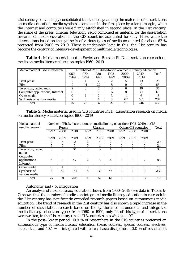21st century convincingly consolidated this tendency: among the materials of dissertations on media education, media synthesis came out in the first place by a large margin, while the Internet and computers were firmly established in second place. In the 21st century, the share of the press, cinema, television, radio combined as material for the dissertation research of media education in the CIS countries accounted for only 14 %, while the dissertations based on the synthesis of various types of media accounted for about 62 % protected from 2000 to 2019. There is undeniable logic in this: the 21st century has become the century of intensive development of multimedia technologies.

**Table 4.** Media material used in Soviet and Russian Ph.D. dissertation research on media on media literacy education topics 1960–2019

| Media material used in research        |          |         |          |          |          | Number of Ph.D. dissertations on media literacy education |       |
|----------------------------------------|----------|---------|----------|----------|----------|-----------------------------------------------------------|-------|
|                                        | $1960 -$ | $1970-$ | $1980 -$ | $1992 -$ | $2000 -$ | $2010-$                                                   | Total |
|                                        | 1969     | 1979    | 1991     | 1999     | 2009     | 2019                                                      |       |
| <b>Print press</b>                     |          |         |          | 2        |          | 13                                                        | 25    |
| Film                                   |          | 14      | 22       |          |          |                                                           | 68    |
| Television, radio, audio               | 2        | 6       |          |          | 6        | 10                                                        | 34    |
| <b>Computer applications, Internet</b> |          |         |          | 6        |          | 47                                                        | 61    |
| Other media                            |          |         |          |          |          |                                                           | 13    |
| Synthesis of various media             | 9        |         |          | 8        | 62       | 161                                                       | 237   |
| Total                                  | 15       | 22      | 37       | 27       | 91       | 246                                                       | 438   |

Table 5. Media material used in CIS countries Ph.D. dissertation research on media on media literacy education topics 1960–2019

| Media material     |                       | Number of Ph.D. dissertations on media literacy education (1992-2019) in CIS |      |                  |                |              |                             |          |          |     |  |  |
|--------------------|-----------------------|------------------------------------------------------------------------------|------|------------------|----------------|--------------|-----------------------------|----------|----------|-----|--|--|
| used in research   |                       | Russia                                                                       |      |                  | <b>Ukraine</b> |              | <b>Others CIS countries</b> | Total    |          |     |  |  |
|                    | 1992                  | 2000                                                                         | 2010 | 1992             | 2000           | 2010         | 1992                        | 2000     | 2010     |     |  |  |
|                    |                       |                                                                              |      |                  |                |              |                             |          |          |     |  |  |
|                    | 1999                  | 2009                                                                         | 2019 | 1999             | 2009           | 2019         | 1999                        | 2009     | 2019     |     |  |  |
| <b>Print press</b> | $\mathbf{2}^{\prime}$ | 5                                                                            | 13   | 2                | 4              | $\mathbf{2}$ | 0                           |          | $\Omega$ | 29  |  |  |
| Film               | 5                     | 9                                                                            | 9    | $\Omega$         |                | $\Omega$     | $\mathbf{0}$                | $\Omega$ | $\Omega$ | 24  |  |  |
| Television, radio, | 3                     | 6                                                                            | 10   | $\Omega$         | 5              | 4            | $\Omega$                    |          |          | 30  |  |  |
| audio              |                       |                                                                              |      |                  |                |              |                             |          |          |     |  |  |
| Computer           |                       |                                                                              |      |                  |                |              |                             |          |          |     |  |  |
| applications,      | 6                     | 8                                                                            | 47   | $\boldsymbol{2}$ | 8              | 10           | $\Omega$                    | $\Omega$ | 7        | 88  |  |  |
| Internet           |                       |                                                                              |      |                  |                |              |                             |          |          |     |  |  |
| Other media        | 3                     | 1                                                                            | 6    | $\Omega$         | $\Omega$       | $\Omega$     | $\Omega$                    | $\Omega$ | $\Omega$ | 10  |  |  |
| Synthesis of       | 8                     | 62                                                                           | 161  | 6                | 39             | 45           |                             |          | 9        | 332 |  |  |
| various media      |                       |                                                                              |      |                  |                |              |                             |          |          |     |  |  |
| Total              | 27                    | 91                                                                           | 246  | 10               | 57             | 61           |                             | 3        | 17       | 513 |  |  |

## *Autonomy and / or integration*

An analysis of media literacy education theses from 1960–2019 (see data in Tables 6- 7) shows that the number of studies on integrated media literacy education in research in the 21st century has significantly exceeded research papers based on autonomous media education. The trend of research in the 21st century has also shown a rapid increase in the number of dissertation research based on the synthesis of autonomous and integrated media literacy education types: from 1960 to 1999, only 22 of this type of dissertations were written, in the 21st century (in all CIS countries as a whole) – 197.

In the post–Soviet period, 19.9 % of researchers in the CIS countries preferred an autonomous type of media literacy education (basic courses, special courses, electives, clubs, etc.), and 40.1 % – integrated with core / basic disciplines. 40.0 % of researchers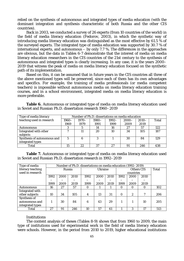relied on the synthesis of autonomous and integrated types of media education (with the dominant integration and synthesis characteristic of both Russia and the other CIS countries).

Back in 2003, we conducted a survey of 26 experts (from 10 countries of the world) in the field of media literacy education (Fedorov, 2003), in which the synthetic way of introducing media literacy education was distinguished as the most effective by 61.5 % of the surveyed experts. The integrated type of media education was supported by 30.7 % of international experts, and autonomous – by only 7.7 %. The differences in the approaches are obvious, but the data in Tables 6-7 demonstrate that the interest of media on media literacy education researchers in the CIS countries of the 21st century to the synthesis of autonomous and integrated types is clearly increasing. In any case, it is the years 2000– 2019 that witness the peak of media on media literacy education focused on the synthetic path of its implementation.

Based on this, it can be assumed that in future years in the CIS countries all three of the above mentioned types will be preserved, since each of them has its own advantages and specifics. For example, the training of media professionals (or media competent teachers) is impossible without autonomous media on media literacy education training courses, and in a school environment, integrated media on media literacy education is more preferable.

**Table 6.** Autonomous or integrated type of media on media literacy education used in Soviet and Russian Ph.D. dissertation research 1960–2019

| Type of media literacy      | Number of Ph.D. dissertations on media education |          |          |          |          |          |       |  |  |  |  |
|-----------------------------|--------------------------------------------------|----------|----------|----------|----------|----------|-------|--|--|--|--|
| teaching used in research   | $1960 -$                                         | $1970 -$ | $1980 -$ | $1992 -$ | $2000 -$ | $2010 -$ | Total |  |  |  |  |
|                             | 1969                                             | 1979     | 1991     | 1999     | 2009     | 2019     |       |  |  |  |  |
| <b>Autonomous</b>           | J.                                               | 5        | 14       | 16       | 27       | 57       | 122   |  |  |  |  |
| Integrated with other       |                                                  |          | 20       | 10       | 34       | 105      | 187   |  |  |  |  |
| subjects                    |                                                  |          |          |          |          |          |       |  |  |  |  |
| Synthesis of autonomous and |                                                  | 6        | 3        |          | 30       | 84       | 129   |  |  |  |  |
| integrated types            |                                                  |          |          |          |          |          |       |  |  |  |  |
| Total                       | 15                                               | 22       | 37       | 27       | 91       | 246      | 438   |  |  |  |  |

Table 7. Autonomous or integrated type of media on media literacy education used in Soviet and Russian Ph.D. dissertation research in 1992–2019

| Type of media     |                      | Number of Ph.D. dissertations on media education (1992-2019) |        |         |      |      |                   |           |          |              |  |
|-------------------|----------------------|--------------------------------------------------------------|--------|---------|------|------|-------------------|-----------|----------|--------------|--|
| literacy teaching |                      |                                                              | Russia | Ukraine |      |      | <b>Others CIS</b> |           |          | <b>Total</b> |  |
| used in research  |                      |                                                              |        |         |      |      |                   | countries |          |              |  |
|                   | 2010<br>2000<br>1992 |                                                              |        | 1992    | 2000 | 2010 | 1992              | 2000      | 2010     |              |  |
|                   |                      |                                                              |        |         |      |      |                   |           |          |              |  |
|                   | 1999                 | 2009                                                         | 2019   | 1999    | 2009 | 2019 | 1999              | 2009      | 2019     |              |  |
| <b>Autonomous</b> | 16                   | 27                                                           | 57     |         |      |      | $\Omega$          | $\Omega$  | $\Omega$ | 102          |  |
| Integrated with   |                      |                                                              |        |         |      |      |                   |           |          |              |  |
| other subjects    | 10                   | 34                                                           | 105    | 4       | 13   | 31   | $\Omega$          | 2         | 7        | 206          |  |
| Synthesis of      |                      |                                                              |        |         |      |      |                   |           |          |              |  |
| autonomous and    |                      | 30                                                           | 84     | 6       | 43   | 29   |                   |           | 10       | 205          |  |
| integrated types  |                      |                                                              |        |         |      |      |                   |           |          |              |  |
| Total             | 27                   | 91                                                           | 246    | 10      | 57   | 61   |                   | 3         | 17       | 513          |  |

### *Institutions*

The content analysis of theses (Tables 8-9) shows that from 1960 to 2009, the main type of institutions used for experimental work in the field of media literacy education were schools. However, in the period from 2010 to 2019, higher educational institutions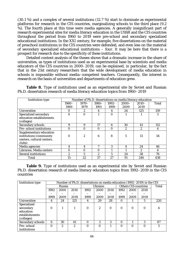(30.1 %) and a complex of several institutions (12.7 %) start to dominate as experimental platforms for research in the CIS countries, marginalizing schools to the third place (9.2 %). The fourth place at this time were media agencies. A generally insignificant part of research experimental sites for media literacy education in the USSR and the CIS countries throughout the period from 1960 to 2019 were pre-school and secondary specialized educational institutions. In the XXI century, for example, five dissertations on the material of preschool institutions in the CIS countries were defended, and even less on the material of secondary specialized educational institutions – four. It may be here that there is a prospect for research due to the specificity of these institutions.

Detailed content analysis of the theses shows that a dramatic increase in the share of universities, as types of institutions used as an experimental base by scientists and media educators of the CIS countries in 2000–2019, can be explained, in particular, by the fact that in the 21st century researchers that the wide development of media education in schools is impossible without media–competent teachers. Consequently, the interest in research on the basis of universities and departments of education grew.

**Table 8.** Type of institutions used as an experimental site by Soviet and Russian Ph.D. dissertation research of media literacy education topics from 1960–2019

| <b>Institution type</b>     |                  |                       |                  |          |                  | Number of Ph.D. dissertations on media literacy education |       |
|-----------------------------|------------------|-----------------------|------------------|----------|------------------|-----------------------------------------------------------|-------|
|                             | 1960-            | $1970 -$              | $1980-$          | $1992 -$ | $2000 -$         | $2010-$                                                   | Total |
|                             | 1969             | 1979                  | 1991             | 1999     | 2009             | 2019                                                      |       |
| <b>Universities</b>         | 0                | $\mathbf{2}^{\prime}$ | 4                | 4        | 24               | 125                                                       | 159   |
| Specialized secondary       | $\Omega$         | $\Omega$              |                  | $\Omega$ |                  |                                                           | 3     |
| education establishments    |                  |                       |                  |          |                  |                                                           |       |
| (colleges)                  |                  |                       |                  |          |                  |                                                           |       |
| Secondary schools           | 9                | 9                     | 17               | 6        | 30               | 41                                                        | 112   |
| Pre-school institutions     | $\Omega$         | $\bf{0}$              | $\Omega$         | $\Omega$ | $\boldsymbol{2}$ | $\boldsymbol{2}$                                          | 4     |
| Supplementary education     |                  |                       |                  |          |                  |                                                           |       |
| institutions (community     | $\Omega$         | $\overline{2}$        | 6                | 8        | 5                | 13                                                        | 34    |
| centers, cultural centers,  |                  |                       |                  |          |                  |                                                           |       |
| clubs)                      |                  |                       |                  |          |                  |                                                           |       |
| Media agencies              | 4                | 4                     | 7                | 3        | 4                | 24                                                        | 46    |
| Libraries, Media centers    | 0                | $\Omega$              | $\Omega$         |          |                  | $\mathbf{2}$                                              | 4     |
| <b>Several institutions</b> | $\boldsymbol{2}$ | 5                     | $\boldsymbol{2}$ | 5        | 24               | 38                                                        | 76    |
| Total                       | 15               | 22                    | 37               | 27       | 91               | 246                                                       | 438   |

**Table 9.** Type of institutions used as an experimental site by Soviet and Russian Ph.D. dissertation research of media literacy education topics from 1992–2019 in the CIS countries

| <b>Institution type</b> |          |                  |                | Number of Ph.D. dissertations on media education (1992–2019) in the CIS |                  |          |                      |          |          |     |
|-------------------------|----------|------------------|----------------|-------------------------------------------------------------------------|------------------|----------|----------------------|----------|----------|-----|
|                         |          | Russia           |                |                                                                         | Ukraine          |          | Others CIS countries | Total    |          |     |
|                         | 1992     | 2000             | 2010           | 1992                                                                    | 2000             | 2010     | 1992                 | 2000     | 2010     |     |
|                         |          |                  |                |                                                                         |                  |          |                      |          |          |     |
|                         | 1999     | 2009             | 2019           | 1999                                                                    | 2009             | 2019     | 1999                 | 2009     | 2019     |     |
| <b>Universities</b>     | 4        | 24               | 125            | 4                                                                       | 29               | 28       | $\Omega$             |          | 5        | 220 |
| Specialized             |          |                  |                |                                                                         |                  |          |                      |          |          |     |
| secondary               | $\Omega$ |                  |                | $\Omega$                                                                | $\boldsymbol{2}$ | $\Omega$ | $\Omega$             | $\Omega$ | $\Omega$ |     |
| education               |          |                  |                |                                                                         |                  |          |                      |          |          |     |
| establishments          |          |                  |                |                                                                         |                  |          |                      |          |          |     |
| (colleges)              |          |                  |                |                                                                         |                  |          |                      |          |          |     |
| Secondary schools       | 6        | 30               | 41             | $\Omega$                                                                | 3                | 3        | $\Omega$             |          | 3        | 87  |
| Pre-school              | 0        | $\boldsymbol{2}$ | $\overline{2}$ | $\Omega$                                                                | $\Omega$         |          | $\Omega$             | $\Omega$ | $\Omega$ | 5   |
| institutions            |          |                  |                |                                                                         |                  |          |                      |          |          |     |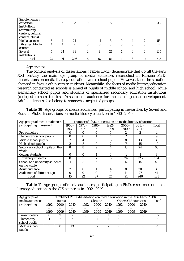| Supplementary     |    |    |     |    |    |          |          |          |                  |     |
|-------------------|----|----|-----|----|----|----------|----------|----------|------------------|-----|
| education         | 8  | 5  | 13  | 0  |    | 5        | 0        | 0        |                  | 33  |
| institutions      |    |    |     |    |    |          |          |          |                  |     |
| (community)       |    |    |     |    |    |          |          |          |                  |     |
| centers, cultural |    |    |     |    |    |          |          |          |                  |     |
| centers, clubs)   |    |    |     |    |    |          |          |          |                  |     |
| Media agencies    | 3  | 4  | 24  | 4  | 14 | 3        | 0        |          | $\boldsymbol{2}$ | 55  |
| Libraries, Media  |    |    | 2   | 0  | 0  | $\Omega$ | $\Omega$ | $\Omega$ | $\Omega$         |     |
| centers           |    |    |     |    |    |          |          |          |                  |     |
| <b>Several</b>    | 5  | 24 | 38  | 2  | 8  | 21       |          | $\Omega$ | 6                | 105 |
| institutions      |    |    |     |    |    |          |          |          |                  |     |
| Total             | 27 | 91 | 246 | 10 | 57 | 61       |          | 3        | 17               | 513 |

## *Age groups*

The content analysis of dissertations (Tables 10-11) demonstrate that up till the early XXI century the main age group of media audiences researched in Russian Ph.D. dissertations on media literacy education, were school pupils. However, then the situation changed in favour of university students. Meanwhile, the focus of media literacy education research conducted at schools is aimed at pupils of middle school and high school, while elementary school pupils and students of specialized secondary education institutions (colleges) remain the less "researched" audience for media competence development. Adult audiences also belong to somewhat neglected groups.

**Table 10.** Age groups of media audiences, participating in researches by Soviet and Russian Ph.D. dissertations on media literacy education in 1960–2019

| Age groups of media audiences   |              |              |          | Number of Ph.D. dissertation on media literacy education |          |              |       |
|---------------------------------|--------------|--------------|----------|----------------------------------------------------------|----------|--------------|-------|
| participating in research       | $1960 -$     | $1970 -$     | $1980 -$ | $1992 -$                                                 | $2000 -$ | $2010-$      | Total |
|                                 | 1969         | 1979         | 1991     | 1999                                                     | 2009     | 2019         |       |
| Pre-schoolers                   | 0            | 0            | 0        | $\Omega$                                                 | 2        | $\mathbf{2}$ | 4     |
| <b>Elementary school pupils</b> | 0            | 0            |          |                                                          | 2        | 5            | 9     |
| Middle school pupils            | 2            | 4            | 3        | 3                                                        | 8        | 13           | 33    |
| High school pupils              | $\mathbf{2}$ | 5            | 9        | $\boldsymbol{2}$                                         | 7        | 15           | 40    |
| Secondary school pupils on the  | 8            | 8            | 9        | 4                                                        | 13       | 24           | 66    |
| whole                           |              |              |          |                                                          |          |              |       |
| College students                | $\Omega$     | $\Omega$     |          | $\Omega$                                                 |          |              | 3     |
| <b>University students</b>      | $\Omega$     | $\mathbf{2}$ | ~        | 6                                                        | 24       | 125          | 164   |
| School and university students  |              | 3            | 6        | 7                                                        | 12       | 14           | 43    |
| on the whole                    |              |              |          |                                                          |          |              |       |
| Adult audience                  | 2            | 0            |          | 4                                                        | 8        | 20           | 35    |
| Audiences of different age      | $\Omega$     | 0            | 0        | $\Omega$                                                 | 14       | 27           | 41    |
| Total                           | 15           | 22           | 37       | 27                                                       | 91       | 246          | 438   |

**Table 11.** Age groups of media audiences, participating in Ph.D. researches on media literacy education in the CIS countries in 1992–2019

| Age groups of    |      | Number of Ph.D. dissertations on media education in the CIS (1992–2019) |      |      |                |      |                             |       |      |    |  |  |
|------------------|------|-------------------------------------------------------------------------|------|------|----------------|------|-----------------------------|-------|------|----|--|--|
| media audiences  |      | Russia                                                                  |      |      | <b>Ukraine</b> |      | <b>Others CIS countries</b> | Total |      |    |  |  |
| participating in | 1992 | 2000                                                                    | 2010 | 1992 | 2000           | 2010 | 1992                        | 2000  | 2010 |    |  |  |
|                  |      |                                                                         |      |      |                |      |                             |       |      |    |  |  |
|                  | 1999 | 2009                                                                    | 2019 | 1999 | 2009           | 2019 | 1999                        | 2009  | 2019 |    |  |  |
| Pre-schoolers    | 0    | 2                                                                       | ∼    | 0    | O              |      |                             |       |      |    |  |  |
| Elementary       |      | 2                                                                       |      | 0    |                |      |                             |       |      | 10 |  |  |
| school pupils    |      |                                                                         |      |      |                |      |                             |       |      |    |  |  |
| Middle school    | 3    | 8                                                                       | 13   | 0    | 2              | 2    | O                           | 0     |      | 28 |  |  |
| pupils           |      |                                                                         |      |      |                |      |                             |       |      |    |  |  |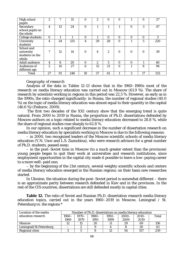| <b>High school</b>    | $\boldsymbol{2}$ | 7  | 15  | $\Omega$ | $\boldsymbol{2}$ | $\Omega$         | 0        |          | $\Omega$ | 27  |
|-----------------------|------------------|----|-----|----------|------------------|------------------|----------|----------|----------|-----|
| pupils                |                  |    |     |          |                  |                  |          |          |          |     |
| Secondary             | 4                | 13 | 24  | $\Omega$ |                  |                  |          | $\Omega$ | 3        | 47  |
| school pupils on      |                  |    |     |          |                  |                  |          |          |          |     |
| the whole             |                  |    |     |          |                  |                  |          |          |          |     |
| College students      | $\Omega$         |    |     | $\Omega$ |                  | $\Omega$         | $\Omega$ | $\Omega$ | $\Omega$ | 3   |
| University            | 4                | 24 | 125 | 4        | 29               | 28               | $\Omega$ |          | 5        | 220 |
| students              |                  |    |     |          |                  |                  |          |          |          |     |
| School and            |                  |    |     |          |                  |                  |          |          |          |     |
| university            | 7                | 12 | 14  | $\Omega$ | 4                | $\boldsymbol{2}$ | $\Omega$ | $\Omega$ | $\Omega$ | 39  |
| students on the       |                  |    |     |          |                  |                  |          |          |          |     |
| whole                 |                  |    |     |          |                  |                  |          |          |          |     |
| <b>Adult audience</b> | 4                | 8  | 20  | $\Omega$ | $\mathbf{2}$     | 5                | $\Omega$ | $\Omega$ |          | 40  |
| <b>Audiences of</b>   | $\mathbf{2}$     | 14 | 27  | 6        | 15               | 21               | $\Omega$ |          | 8        | 94  |
| different age         |                  |    |     |          |                  |                  |          |          |          |     |
| <b>Total</b>          | 27               | 91 | 246 | 10       | 57               | 61               |          | 3        | 17       | 513 |

### *Geography of research*

Analysis of the data in Tables 12-13 shows that in the 1960–1980s most of the research on media literacy education was carried out in Moscow (61.9 %). The share of research by scientists working in regions in this period was 22.5 %. However, as early as in the 1990s, the ratio changed significantly: in Russia, the number of regional studies (40.0 %) on the topic of media literacy education was almost equal to their quantity in the capital (46.6 %) (Fedorov, 2009).

The first two decades of the XXI century show that the emerging trend is quite natural. From 2000 to 2019 in Russia, the proportion of Ph.D. dissertations defended by Moscow authors on a topic related to media literacy education decreased to 28.8 %, while the share of regional studies rose sharply to 62.8 %.

In our opinion, such a significant decrease in the number of dissertation research on media literacy education by specialists working in Moscow is due to the following reasons:

– in 2000, two recognized leaders of the Moscow scientific schools of media literacy education (Y.N. Usov and L.S. Zaznobina), who were research advisors for a great number of Ph.D. students, passed away;

– in the post–Soviet time in Moscow (to a much greater extent than the provinces) young people began to quit their work at universities and research institutions, since employment opportunities in the capital city made it possible to leave a low–paying career to a more well–paid one;

– by the beginning of the 21st century, several weighty scientific schools and centers of media literacy education emerged in the Russian regions; on their basis new researches started.

In Ukraine, the situation during the post–Soviet period is somewhat different – there is an approximate parity between research defended in Kiev and in the provinces. In the rest of the CIS countries, dissertations are still defended mostly in capital cities.

**Table 12.** The ratio of Soviet and Russian Ph.D. dissertation research media literacy education topics, carried out in the years 1960–2019 in Moscow, Leningrad / St. Petersburg vs. the regions \*

| Location of the media   | Number of Ph.D. dissertations on media literacy education |          |         |          |          |          |       |  |  |
|-------------------------|-----------------------------------------------------------|----------|---------|----------|----------|----------|-------|--|--|
| education research      | 1960–                                                     | $1970 -$ | $1980-$ | $1992 -$ | $2000 -$ | $2010 -$ | Total |  |  |
|                         | 1969                                                      | 1979     | 1991    | 1999     | 2009     | 2019     |       |  |  |
| <b>Moscow</b>           | 12                                                        | 15       | 20      |          | 29       | 69       | 156   |  |  |
| Leningrad/St.Petersburg |                                                           |          |         |          |          | 20       | 43    |  |  |
| <b>Regional cities</b>  |                                                           |          |         | 12       | 54       | 157      | 239   |  |  |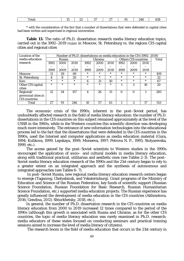| ww<br>л.<br>- -<br>----<br>-<br>____<br>__<br>$\sim$<br>___ |
|-------------------------------------------------------------|
|-------------------------------------------------------------|

\* with the consideration of the fact that a number of dissertations that were defended in capital cities had been written and supervised in regional universities.

**Table 13.** The ratio of Ph.D. dissertation research media literacy education topics, carried out in the 1992–2019 годах in Moscow, St. Petersburg vs. the regions CIS capital cities and regional cities

| Location of the      | Number of Ph.D. dissertations on media education in the CIS (1992-2019) |        |        |         |        |        |                             |          |        |     |
|----------------------|-------------------------------------------------------------------------|--------|--------|---------|--------|--------|-----------------------------|----------|--------|-----|
| media education      | <b>Russia</b>                                                           |        |        | Ukraine |        |        | <b>Others CIS countries</b> | Total    |        |     |
| research             | 1992                                                                    | 2000   | 2010   | 1992    | 2000   | 2010   | 1992                        | 2000     | 2010   |     |
|                      |                                                                         |        |        |         |        |        |                             |          |        |     |
|                      | 1999                                                                    | 2009   | 2019   | 1999    | 2009   | 2019   | 1999                        | 2009     | 2019   |     |
| <b>Moscow</b>        | 11                                                                      | 29     | 69     | $\ast$  | $\ast$ | $\ast$ | $\ast$                      | $\ast$   | $\ast$ | 109 |
| St. Petersburg       | 4                                                                       | 8      | 20     | $\ast$  | $\ast$ | $\ast$ | $\ast$                      | $\ast$   | $\ast$ | 32  |
| Kiev                 | $\ast$                                                                  | $\ast$ | $\ast$ | 6       | 31     | 30     | $\ast$                      | $\ast$   | $\ast$ | 67  |
| Other CIS capital    | $\ast$                                                                  | $\ast$ | $\ast$ | $\ast$  | $\ast$ | $\ast$ |                             | 3        | 16     | 20  |
| <b>cities</b>        |                                                                         |        |        |         |        |        |                             |          |        |     |
| Regional/            | 12                                                                      | 54     | 157    | 4       | 26     | 31     | $\Omega$                    | $\Omega$ |        | 285 |
| provincial cities in |                                                                         |        |        |         |        |        |                             |          |        |     |
| <b>CIS</b> countries |                                                                         |        |        |         |        |        |                             |          |        |     |
| Total                | 27                                                                      | 91     | 246    | 10      | 57     | 61     |                             | 3        | 17     | 513 |

The economic crisis of the 1990s, inherent in the post–Soviet period, has undoubtedly affected research in the field of media literacy education: the number of Ph.D. dissertations in the CIS countries on this subject remained approximately at the level of the USSR in the 1980s, while in the Western countries this scientific direction was developing much more intensively. The entrance of new information technologies into the educational process led to the fact that the dissertations that were defended in the CIS countries in the 1990s, used the Internet and computer applications as media education material (Gura, 1994; Kulikova, 1999, Lepskaya, 1999; Moiseeva, 1997; Petrova N. P., 1995; Stolyarevska, 1999, etc.).

The access gained by the post–Soviet scientists to Western studies in the 1990s encouraged the application of socio– and cultural models in media literacy education, along with traditional practical, utilitarian and aesthetic ones (see Tables 2-3). The post– Soviet media literacy education research of the 1990s and the 21st century began to rely to a greater extent on an integrated approach and the synthesis of autonomous and integrated approaches (see Tables 6- 7).

In post–Soviet Russia, new regional media literacy education research centers began to emerge (Taganrog, Chelyabinsk, and Yekaterinburg). Grant programs of the Ministry of Education and Science of the Russian Federation, key funds of scientific support (Russian Science Foundation, Russian Foundation for Basic Research, Russian Humanitarian Science Foundation, etc.) supported media education projects. The Russian experience has greatly influenced the development of media education in the CIS countries (Akhmetova, 2016; Gendina, 2013; Shturkhetsky, 2018, etc.).

In general, the number of Ph.D. dissertation research in the CIS countries on media literacy education from 2000 to 2019 increased 12 times compared to the period of the 1990s (although this growth is associated with Russia and Ukraine, as for the other CIS countries, the topic of media literacy education was rarely examined in Ph.D. research; media educators of these states focused on conducting seminars and practical training sessions aimed to increase the level of media literacy of citizens).

The research boom in the field of media education that occurs in the 21st century in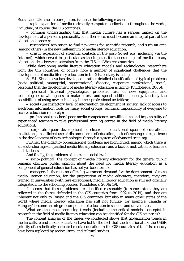Russia and Ukraine, in our opinion, is due to the following reasons:

– rapid expansion of media (primarily computer, audiovisual) throughout the world, including, of course, the CIS countries;

– common understanding that that media culture has a serious impact on the development of a person's personality and, therefore, must become an integral part of the educational process;

– researchers' aspiration to find new areas for scientific research, and such an area (among others) in the new millennium of media literacy education;

– drastic expansion of scientific contacts in the post–Soviet era (including via the Internet), which served in particular as the impetus for the exchange of media literacy education ideas between scientists from the CIS and Western countries.

While developing media literacy education models and technologies, researchers from the CIS countries, of course, note a number of significant challenges that the development of media literacy education in the 21st century is facing.

So E.I. Khudoleeva has developed a rather detailed classification of typical problems (socio–political, managerial, organizational, didactic, corporate, professional, social, personal) that the development of media literacy education is facing (Khudoleeva, 2006):

– personal (internal psychological problems, fear of new equipment and technologies; unwillingness to make efforts and spend additional energy to study the possibilities of using new technology in their professional activities);

– social (unsatisfactory level of information development of society; lack of access to electronic information tools for many social groups; technical impossibility of everyone to receive education remotely);

– professional (teachers' poor media competence; unwillingness and impossibility of experienced teachers to take professional training course in the field of media literacy education);

– corporate (poor development of electronic educational space of educational institutions; insufficient use of distance forms of education; lack of exchange of experience in the development of new technologies through a system of advanced training).

Further, the didactic–organizational problems are highlighted, among which there is an acute shortage of qualified media literacy educators and a lack of motivation of teachers and students.

And finally, the problems of state and social level:

– socio–political: the concept of "media literacy education" for the general public remains obscure; public opinion about the need for media literacy education as a component of general education has not yet been formed;

– managerial: there is no official government demand for the development of mass media literacy education, for the preparation of media educators, therefore, they are trained at universities (with rare exceptions); media literacy education is still not officially integrated into the schooling process (Khudoleeva, 2006: 19).

It seems that these problems are identified reasonably (to some extent they are reflected in the theses defended in the CIS countries from 1992 to 2019), and they are inherent not only to Russia and the CIS countries, but also in many other states of the world where media literacy education has still not (unlike, for example, Canada or Hungary) become an integral component of education in schools and universities.

What are the most promising trends (including theoretical models, concepts) in research in the field of media literacy education can be identified for the CIS countries?

The content analysis of the theses we conducted shows that globalization trends in media culture and media education have led to the fact that the traditional for the USSR priority of aesthetically–oriented media education in the CIS countries of the 21st century have been replaced by sociocultural and cultural studies.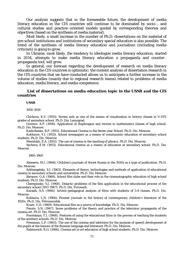Our analysis suggests that in the foreseeable future, the development of media literacy education in the CIS countries will continue to be dominated by socio–, and cultural studies and practice–oriented models guided by corresponding theories and objectives (based on the synthesis of media material).

Most likely, a small increase in the number of Ph.D. dissertations on the material of pre-school institutions and institutions of secondary special education is also possible. The trend of the synthesis of media literacy education and journalism (including media criticism) is going to grow.

In Ukraine, most likely, the tendency to ideologize media literacy education, started in 2014, attempts to make media literacy education a propaganda and counter– propaganda tool, will grow.

In general, our forecast regarding the development of research on media literacy education in the CIS countries is optimistic: the content analysis of dissertation research in the CIS countries that we have conducted allows us to anticipate a further increase in the volume of studies (mainly due to regional research teams) related to problems of media education, media literacy, and media competence.

# *List of dissertations on media education topic in the USSR and the CIS countries*

#### **USSR**

#### *1950-1959*

Chirkova, K.V. (1955). Screen aids as one of the means of visualization in history classes in V-VIII grades of secondary school. Ph.D. Dis. Leningrad.

Gromov, A.P. (1958). Application of diaphragms and movies in mathematics classes of high school. Ph.D. Dis. Moscow.

Kashchenko, B.P. (1951). Educational Cinema in the Seven-year School. Ph.D. Dis. Moscow.

Koldunov, Y.I. (1955). School newspapers as a means of communistic education of secondary school students. Ph.D. Dis. Moscow.

Menshikh, E.A. (1952). The use of cinema in the teaching of physics. Ph.D. Dis. Moscow.

Sycheva, E.M. (1955). Educational cinema as a means of education at secondary school. Ph.D. Dis. Moscow.

#### *1960-1969*

Alexeeva, M.I. (1968). Children's journals of Soviet Russia in the 1920s as a type of publication. Ph.D. Dis. Moscow.

Arkhangelsky, S.I. (1963). Elements of theory, technologies and methods of application of educational cinema in secondary schools and universities. Ph.D. Dis. Moscow.

Baranov, O.A. (1968). School film clubs and their role in the cinematographic education of high school students. Ph.D. Dis. Moscow.

Cherepinsky, S.I. (1968). Didactic problems of the film application in the educational process of the secondary school (1917-1967). Ph.D. Dis. Voronezh.

Karasik, A.S. (1966). Artistic-pedagogical analysis of films with students of 5-6 classes. Ph.D. Dis. Moscow.

Kolesova, L.N. (1966). Pioneer journals in the history of contemporary children's literature of the 1920s. Ph.D. Dis. Petrozavodsk.

Kraav, V.H. (1969). Educational film as a source of knowledge. Ph.D. Dis. Moscow.

Penzin, S.N. (1967). Some problems of the theory and practice of the television propaganda of the cinema art. Ph.D. Dis. Moscow.

Porotskaya, T.I. (1968). Features of using the educational films in the process of teaching the students of the auxiliary schools. Ph.D. Dis. Moscow.

Pressman, L.P. (1963). The use of the cinema and television for the purpose of speech development of the pupils at the lessons of the Russian language and literature. Ph.D. Dis. Moscow.

Rabinovich, R.G. (1966). Cinema art in art education of high school students. Ph.D. Dis. Moscow.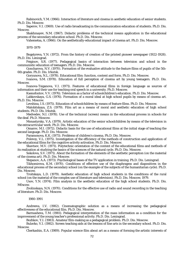Rabinovich, Y.M. (1966). Interaction of literature and cinema in aesthetic education of senior students. Ph.D. Dis. Moscow.

Saperov, V.I. (1969). Use of radio broadcasting in the communication education of students. Ph.D. Dis. Moscow.

Shakhmayev, N.M. (1967). Didactic problems of the technical means application in the educational process of the secondary education school. Ph.D. Dis. Moscow.

Vahemetsa, A. (1966). On the aesthetically-educational impact of cinema art. Ph.D. Dis. Moscow.

#### *1970-1979*

Bogatyreva, Y.N. (1972). From the history of creation of the printed pioneer newspaper (1922-1928). Ph.D. Dis. Leningrad.

Feiginov, S.R. (1977). Pedagogical basics of interaction between television and school in the communistic education of teenagers. Ph.D. Dis. Moscow.

Goncharova, N.V. (1970). Formation of the evaluative attitude to the feature films of pupils of the 5th-6th grades. Ph.D. Dis. Irkutsk.

Goryunova, N.L. (1978). Educational film: function, content and form. Ph.D. Dis. Moscow.

Ivanova, S.M. (1978). Education of full perception of cinema art by young teenagers. Ph.D. Dis. Moscow.

Ivanova-Tsiganova, V.I. (1971). Features of educational films in foreign language as sources of information and their use for teaching oral speech in a university. Ph.D. Moscow.

Ksenofontov, V.V. (1976). Television as a factor of schoolchildren's education. Ph.D. Dis. Moscow.

Labkovskaya, G.S. (1976). Formation of a moral ideal at high school pupils by means of cinema art. Ph.D. Dis. Moscow.

Levshina, I.S. (1975). Education of schoolchildren by means of feature films. Ph.D. Dis. Moscow.

Malobitskaya, Z.S. (1979). Film art as a means of moral and aesthetic education of high school students. Ph.D. Dis. Irkutsk.

Medvedev, N.I. (1978). Use of the technical (screen) means in the educational process in schools for the deaf. Ph.D. Moscow.

Monastyrsky, V.A. (1979). Artistic education of the senior schoolchildren by means of the television in the extracurricular work. Ph.D. Dis. Moscow.

Omarov, M.I. (1972). Didactic basis for the use of educational films at the initial stage of teaching the second language. Ph.D. Dis. Moscow.

Paramonova, K.K. (1973). Problems of children's cinema. Ph.D. Dis. Moscow.

Polevoy, V.L. (1975). Investigation of the efficiency of the methods of construction and application of the educational films for the cognitive activity activation. Ph.D. Dis. Moscow.

Shavtsov, M.V. (1971). Polytechnic orientation of the content of the educational films and methods of its realization at studying the basics of the sciences of the natural cycle. Ph.D. Dis. Moscow.

Sokolova, S.V. (1971). About the formation of the elements of the aesthetic perception (on the material of the cinema art). Ph.D. Dis. Moscow.

Stepanov, A.A. (1973). Psychological bases of the TV application in training. Ph.D. Dis. Leningrad.

Tikhomirova, K.M. (1970). Conditions of effective use of the diaphragms and diapositives in the educational process of the secondary school (on the example of the subjects of the humanitarian cycle). Ph.D. Dis. Moscow.

Troitskaya, L.D. (1979). Aesthetic education of high school students in the conditions of the rural school (on the material of the complex use of literature and television). Ph.D. Dis. Moscow, 1979.

Usov, Y.N. (1974). Film analysis in the aesthetic education of the high school students. Ph.D. Dis. M0scow.

Zvolinskaya, N.N. (1970). Conditions for the effective use of radio and sound recording in the teaching of literature. Ph.D. Dis. Moscow.

#### *1980-1991*

Andreeva, I.V. (1982). Cinematographic solution as a means of increasing the pedagogical effectiveness of the educational film. Ph.D. Dis. Moscow.

Barmasheva, T.M. (1981). Pedagogical interpretation of the mass information as a condition for the improvement of the young teacher's professional activity. Ph.D. Dis. Leningrad.

Bozhkov, Y.I. (1983). Amateur film-making as a pedagogical problem. Ph.D. Dis. Moscow.

Bulavko, V.I. (1982). Screen teaching aids at the lessons of fine arts in the secondary school. Ph.D. Dis. Moscow.

Cherkashin, E.A. (1989). Popular science film about art as a means of forming the artistic interests of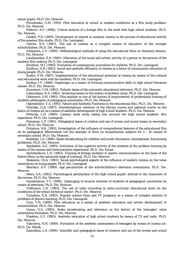senior pupils. Ph.D. Dis. Moscow.

Evtushenko, G.M. (1991). Film education at school in modern conditions as a film study problem. Ph.D. Dis. Moscow.

Fedorov, A.V. (1986). Critical analysis of a foreign film in the work with high school students. Ph.D. Dis. Moscow.

Genkin, P.D. (1985). Development of interest to amateur cinema in the process of educational activity of the amateur film studio. Ph.D. Dis. Leningrad.

Gutova, N.V. (1987). The use of cinema as a complex means of education of the younger schoolchildren. Ph.D. Dis. Moscow.

Iordanova, L.V. (1980). Methodological methods of using the educational films at chemistry lessons. Ph.D. Dis. Moscow.

Janelyauskas, E.A. (1983). Education of the social and artistic activity of a person in the process of the amateur film-making. Ph.D. Dis. Leningrad.

Kholmov, M.I. (1985). Formation of contemporary journalism for children. Ph.D. Dis. Leningrad.

Kirillova, N.B. (1983). Social and aesthetic efficiency of cinema as a factor of communistic education of young people. Ph.D. Dis. Moscow.

Kozlov, F.M. (1987). Implementation of the educational potential of cinema by means of the cultural and educational work with the students. Ph.D. Dis. Leningrad.

Kudina, I.Y. (1989). Diaphragm as a means of forming communicative skills in high school literature classes. Ph.D. Dis. Moscow.

Kuznetsov, V.M. (1982). Didactic bases of the university educational television. Ph.D. Dis. Moscow.

Labunskaya, N.A. (1982). Screening means in the system of problem study. Ph.D. Dis. Leningrad.

Odintsova, S.M. (1981). Film analysis as one of the factors of improvement of professional training of students-philologists of pedagogical universities. Ph.D. Dis. Moscow.

Ogorodnikov, Y.A. (1981). Nature and Aesthetic Functions in the educational film. Ph.D. Dis. Moscow. Polichko, G.A. (1987). Interdisciplinary relations of the literary course and optional course on the

basics of cinema art as a means of aesthetic development of high school students. Ph.D. Dis. Moscow.

Poltorak, L.D. (1980). Literary work study taking into account the high school students' film experience. Ph.D. Dis. Leningrad.

Pressman, L.P. (1981). Pedagogical bases of creation and use of screen and sound means in secondary school. Ph.D. Dis. Moscow.

Privalova, N.K. (1981). Investigation of the influence of compositional features of the educational film on its pedagogical effectiveness (on the example of films on humanitarian subjects for 5 - 10 classes of secondary school. Ph.D. Dis. Moscow.

Rudenko, I.A. (1986). Radio broadcasting for children and youth (formation, development, functioning problems). Ph.D. Dis. Moscow.

Saydashev, A.Z. (1985). Activation of the cognitive activity of the students at the problem learning by means of the cinema and demonstration experiment. Ph.D. Dis. Kazan.

Serezhenkova, L.N. (1982). Training of foreign students in speech communication on the basis of the feature films (at the advanced stage of training). Ph.D. Dis. Moscow.

Shakeeva, Ch.A. (1983). Social-psychological aspects of the influence of modern cinema on the value orientations of young people. Ph.D. Dis. Leningrad.

Sharikov, A.V. (1989). Age peculiarities of the schoolchildren's television orientations. Ph.D. Dis. Moscow.

Shein, S.A. (1982). Psychological peculiarities of the high school pupils' attitude to the characters of the movies. Ph.D. Dis. Moscow.

Svistelnikova, T.Y. (1990). Upbringing of musical interests of students of pedagogical universities by means of television. Ph.D. Dis. Moscow.

Trofimova, L.N. (1985). The use of video recording in extra-curricular educational work (in the conditions of the school technical center). Ph.D. Dis. Moscow.

Tumaleva, E.A. (1982). Popular science films and TV programs as a means of complex solution of problems of physics teaching. Ph.D. Dis. Leningrad.

Usov, Y.N. (1989). Film education as a means of aesthetic education and artistic development of schoolchildren. Ph.D. Dis. Moscow.

Usova, G.A. (1981). Radio broadcasting and television as the factors of the teenagers' value orientations formation. Ph.D. Dis. Moscow.

Vlaskina, G.Y. (1985). Aesthetic education of high school students by means of TV and radio. Ph.D. Dis. Moscow.

Yakovleva, N.N. (1989). Formation of the aesthetic assessments of teenagers by means of cinema art. Ph.D. Dis. Minsk.

Zaznobina, L.S. (1990). Scientific and pedagogical bases of creation and use of the screen and sound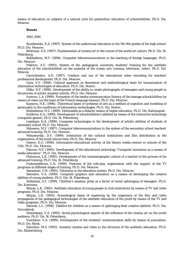means of education on subjects of a natural cycle for polytechnic education of schoolchildren. Ph.D. Dis. **Moscow** 

## *Russia*

*1992-1999*

Bondarenko, E.A. (1997). System of the audiovisual education in the 5th-9th grades of the high school. Ph.D. Dis. Moscow.

Breitman, A.S. (1997). Fundamentals of cinema art in the course of the world art culture. Ph.D. Dis. St. Petersburg.

Bukharkina, M.Y. (1994). Computer telecommunications in the teaching of foreign languages. Ph.D. Dis. Moscow.

Fedorov, A.V. (1993). System of the pedagogical university students' training for the aesthetic education of the schoolchildren on the material of the screen arts (cinema, television, video). Ph.D. Dis. Moscow.

Gavrichenkov, A.N. (1997). Creation and use of the educational video recording for teachers' professional development. Ph.D. Dis. Moscow.

Gura, V.V. (1994). Cultural approach as theoretical and methodological basis for humanization of information technologies of education. Ph.D. Dis. Rostov.

Hilko, N.F. (1999). Development of the ability to create photographs of teenagers and young people in the process of artistic amateur activity. Ph.D. Dis. Moscow.

Ivanova, L.A. (1999). Formation of the media-communication literacy of the teenage schoolchildren by means of video (on the basis of the French language lessons). Ph.D. Dis. Moscow.

Karpova, N.K. (1996). Theoretical bases of synthesis of arts as a method of cognition and modeling of personality in the conditions of information technologies. Ph.D. Dis. Rostov.

Klemeshova, N.V. (1999). Multimedia as a didactic means of higher education. Ph.D. Dis. Kaliningrad.

Kulikova, E.A. (1999). Development of schoolchildren's abilities by means of the interactive technology (computer games). Ph.D. Dis. St. Petersburg.

Lepskaya, N.A. (1999). Computer technologies in the development of artistic abilities of students of secondary school. Ph.D. Dis. Moscow.

Moiseeva, M.V. (1997). Computer telecommunications in the system of the secondary school teachers' advanced training. Ph.D. Dis. Moscow.

Monastyrsky, D.V. (1999). Interaction of the cultural institutions and film distribution in the organization of the youth leisure time. Ph.D. Dis. Moscow.

Ozerov, K.G. (1996). Information-educational activity of the library media-centers in schools of the USA. Ph.D. Dis. Moscow.

Petrova, N.P. (1995). Development of the educational technology "Computer animation as a means of media education". Ph.D. Dis. Moscow.

Platunova, L.K. (1995). Development of the cinematographic culture of a teacher in the process of his advanced training. Ph.D. Dis. St. Petersburg.

Pustosmekhova, L.N. (1999). Features of the role-play organization with the support of the TV programs at different stages of training. Ph.D. Dis. Moscow.

Samartsev, O.R. (1995). Television in the education system. Ph.D. Dis. Moscow.

Samoilov, V.A. (1999). Computer graphics and animation as a means of developing the creative abilities of young students. Ph.D. Dis. St. Petersburg.

Schkolnik, A.Y. (1999). Children's amateur press as a factor of social upbringing of teenagers. Ph.D. Dis. Kostroma.

Shiyan, L.K. (1992). Aesthetic education of young people in club institutions by means of TV and video programs. Ph.D. Dis. Moscow.

Shiyan, L.K. (1995). Acmeological bases of mastering by the organizers of the film and video propaganda of the pedagogical technologies of the aesthetic education of the youth by means of the TV and video programs. Ph.D. Dis. Moscow.

Sikoruk, L.L. (1998). Telefilm for children as a means of upbringing their creative abilities. Ph.D. Dis. Novosibirsk.

Svenitskaya, V.A. (1995). Social-psychological aspects of the influence of the cinema art on the youth audience. Ph.D. Dis. St. Petersburg.

Vozchikov, V.A. (1999). Development of the students' communication skills by means of journalism. Ph.D. Dis. Biysk.

Zatuchny, M.S. (1993). Amateur cinema and video in the structure of the aesthetic education. Ph.D. Dis. Ekaterinburg.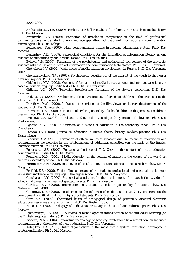#### *2000-2009*

Arkhangelskaya, I.B. (2009). Herbert Marshall McLuhan: from literature research to media theory. Ph.D. Dis. Moscow.

Artemenko, O.A. (2009). Formation of translation competence in the field of professional communication among students of non-language specialties with the use of information and communication technologies. Ph.D. Dis. Kaluga.

Bozhedarov, D.A. (2005). Mass communication means in modern educational system. Ph.D. Dis. Moscow.

Burnashev, A.E. (2007). Pedagogical conditions for the formation of information literacy among students of humanities by audio-visual means. Ph.D. Dis. Yakutsk.

Bykova, J.B. (2009). Formation of the psychological and pedagogical competence of the university students with the use of the means of information and communication technologies. Ph.D. Dis. N. Novgorod.

Chelysheva, I.V. (2002). Main stages of media education development in Russia. Ph.D. Dis. Voronezh, 2002.

Chernyanovskaya, T.V. (2003). Psychological peculiarities of the interest of the youth to the horror films and mystics. Ph.D. Dis. Tambov.

Chicherina, N.V. (2008). Concept of formation of media literacy among students language faculties based on foreign language media texts. Ph.D. Dis. St. Petersburg.

Chikiris, A.G. (2007). Television broadcasting: formation of the viewer's perception. Ph.D. Dis. Moscow.

Deikina, A.Y. (2000). Development of cognitive interests of preschool children in the process of media education. Ph.D. Dis. Barnaul.

Dorofeeva, M.G. (2000). Influence of experience of the film viewer on literary development of the student. Ph.D. Dis. St. Petersburg.

Dorzhieva, L.B. (2006). Formation of civil responsibility of schoolchildren in the process of children's press activity. Ph.D. Dis. Ulan-Ude.

Dzutseva, Z.B. (2006). Moral and aesthetic education of youth by means of television. Ph.D. Dis. Vladikavkaz.

Egorova, Y.N. (2000). Multimedia as a means of education in the secondary school. Ph.D. Dis. Cheboksary.

Fateeva, I.A. (2008). Journalism education in Russia: theory, history, modern practice. Ph.D. Dis. Ekaterinburg.

Fedorova, S.V. (2008). Formation of ethical values of schoolchildren by means of information and communication technologies in the establishment of additional education (on the basis of the English language material). Ph.D. Dis. Yakutsk.

Fedortsova, S.S. (2007). Pedagogical heritage of Y.N. Usov in the context of media education development in Russia. Ph.D. Dis. Rostov.

Fominova, M.N. (2001). Media education in the context of mastering the course of the world art culture in secondary school. Ph.D. Dis. Moscow.

Fortunatov, A.N. (2009). Interaction of social communication subjects in media reality. Ph.D. Dis. N. Novgorod.

Freifeld, E.B. (2006). Fiction film as a means of the students' professional and personal development while studying the foreign language in the higher school. Ph.D. Dis. N. Novgorod.

Goncharuk, A.Y. (2000). Pedagogical conditions for the development of the aesthetic attitude of a schoolchild to reality by means of spectacular arts. Ph.D. Dis. Moscow.

Gorelova, E.V. (2008). Information culture and its role in personality formation. Ph.D. Dis. Nizhnevartovsk, 2008.

Grigorova, D.E. (2008). Peculiarities of the influence of media texts of youth TV programs on the development of critical thinking in high school students. Ph.D. Dis. Rostov.

Gura, V.V. (2007). Theoretical bases of pedagogical design of personally oriented electronic educational resources and environments. Ph.D. Dis. Rostov, 2007.

Hilko, N.F. (2007). Pedagogy of audiovisual creativity in the social and cultural sphere. Ph.D. Dis. Moscow.

Ignatovskaya, L.A. (2000). Audiovisual technologies in intensification of the individual learning (on the English language material). Ph.D. Dis. Moscow.

Ivanova, N.A. (2004). Innovative technology of teaching professionally oriented foreign-language communication in the context of media education. Ph.D. Dis. Voronezh.

Kalmykov, A.A. (2009). Internet-journalism in the mass media system: formation, development, professionalization. Ph.D. Dis. Moscow.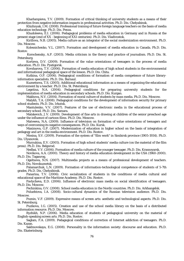Kharlampieva, T.V. (2009). Formation of critical thinking of university students as a means of their protection from negative information impacts in professional activities. Ph.D. Dis. Chelyabinsk.

Khizhnyak, I.M. (2008). Professional training of future foreign language teachers on the basis of media education technology. Ph.D. Dis. Penza.

Khudoleeva, E.I. (2006). Pedagogical problems of media education in Germany and in Russia at the present stage (end of XX - beginning of XXI centuries). Ph.D. Dis. Vladivostok.

Kirillova, N.B. (2005). Media culture as an integrator of the social modernization environment. Ph.D. Dis. Moscow.

Kolesnichenko, V.L. (2007). Formation and development of media education in Canada. Ph.D. Dis. Rostov.

Korochensky, A.P. (2003). Media criticism in the theory and practice of journalism. Ph.D. Dis. St. Petersburg.

Kortieva, D.V. (2009). Formation of the value orientations of teenagers in the process of media education. Ph.D. Dis. Pyatigorsk.

Kovsharova, T.V. (2006). Formation of media education of high school students in the environmental and informational pedagogical space of the lesson. Ph.D. Dis. Chita.

Kutkina, O.P. (2006). Pedagogical conditions of formation of media competence of future libraryinformation specialists. Ph.D. Dis. Barnaul.

Kuznetsova, T.S. (2005). Additional educational information as a means of organizing the educational environment by a teacher. Ph.D. Dis. St. Petersburg.

Legotina, N.A. (2004). Pedagogical conditions for preparing university students for the implementation of media education in secondary schools. Ph.D. Dis. Kurgan.

Makhova, N.V. (2004). Formation of moral culture of students by mass media. Ph.D. Dis. Moscow.

Malykh, T.A. (2008). Pedagogical conditions for the development of information security for primary school students. Ph.D. Dis. Irkutsk.

Mantulenko, V.V. (2007). Features of the use of electronic media in the educational process of secondary school. Ph.D. Dis. Samara.

Matskevich, J.V. (2009). Development of fine arts in drawing at children of the senior preschool age under the influence of cartoon films. Ph.D. Dis. Moscow.

Matveeva, N.A. (2009). Influence of television on formation of value orientations of teenagers and ways of overcoming its negative consequences. Ph.D. Dis. Kursk.

Maximova, G.P. (2007). Modernization of education in higher school on the basis of integration of pedagogy and art in the media environment. Ph.D. Dis. Rostov.

Mosina, S.V. (2009). Formation of the system of "film work" in Simbirsk province (1905-1934). Ph.D. Dis. Ulyanovsk.

Muryukina, E.V. (2005). Formation of high school students' media culture (on the material of the film press). Ph.D. Dis. Belgorod.

Nedbai, V.V. (2006). Formation of media culture of the younger teenager. Ph.D. Dis. Krasnoyarsk.

Novikova, A.A. (2000). Theory and history of media education development in the USA (1960-2000). Ph.D. Dis. Taganrog.

Ogoltsova, N.N. (2007). Multimedia projects as a means of professional development of teachers. Ph.D. Dis. Novokuznetsk.

Palamarchuk, L.N. (2009). Formation of information-technological competence of students of 5-7th grades. Ph.D. Dis. Chelyabinsk.

Panarina, T.V. (2006). Civic socialization of students in the conditions of media cultural and educational space of the Maritime Academy. Ph.D. Dis. Rostov.

Pavlycheva, E.D. (2006). Influence of electronic mass media on social identification of teenagers. Ph.D. Dis. Moscow.

Pechinkina, O.V. (2008). School media education in the Nordic countries. Ph.D. Dis. Arkhangelsk.

Poluehtova, I.A. (2008). Socio-cultural dynamics of the Russian television audience. Ph.D. Dis. Moscow.

Poznin, V.F. (2009). Expressive means of screen arts: aesthetic and technological aspects. Ph.D. Dis. St. Petersburg.

Puzikova, I.G. (2005). Creation and use of the school media library on the basis of a distributed information resource. Ph.D. Dis. Moscow.

Ryzhikh, N.P. (2006). Media education of students of pedagogical university on the material of English-speaking screen arts. Ph.D. Dis. Rostov.

Saglam, F.A. (2009). Pedagogical conditions of correction of Internet addiction of teenagers. Ph.D. Dis. Kazan.

Sakhnovskaya, E.G. (2008). Personality in the information society: discourse and education. Ph.D. Dis. Ekaterinburg.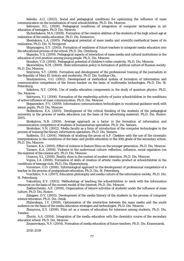Selevko, A.G. (2002). Social and pedagogical conditions for optimizing the influence of mass communication on the socialization of rural schoolchildren. Ph.D. Dis. Moscow.

Selivanov, N.L. (2008). Pedagogical conditions of integration of computer technologies in art education of teenagers. Ph.D. Dis. Moscow.

Shcherbakova, M.A. (2008). Formation of the creative abilities of the students of the high school age at realization of the media education. Ph.D. Dis. Kemerovo.

Shestakova, L.A. (2005). Pedagogical potential of mass media and scientific-methodical bases of its realization. Ph.D. Dis. N. Novgorod.

Shipnyagova, E.Y. (2003). Formation of readiness of future teachers to integrate media education into the educational process of the school. Ph.D. Dis. Orenburg.

Shpanko, V.S. (2009). Pedagogical aspects of interaction of mass media and cultural institutions in the education of civil position among young people. Ph.D. Dis. Moscow.

Simakov, V.D. (2008). Pedagogical potential of children's video creativity. Ph.D. Dis. Moscow.

Skorochkina, N.M. (2009). State information policy in formation of political culture of Russian society. Ph.D. Dis. Moscow.

Smirnova, S.Y. (2008). Formation and development of the professional training of the journalists in the Republic of Mary El: history and modernity. Ph.D. Dis. Yoshkar-Ola.

Smolyaninova, O.G. (2002). Development of methodical system of formation of information and communicative competence of the future teacher on the basis of multimedia technologies. Ph.D. Dis. St. Petersburg.

Sokolova, N.Y. (2004). Use of media education components in the study of quantum physics. Ph.D. Dis. Moscow.

Solovyova, Y.I. (2006). Formation of the readership activity of junior schoolchildren in the conditions of active influence of mass communication. Ph.D. Dis. Moscow.

Stepanenkov, P.V. (2009). Information-communication technologies in vocational guidance work with senior pupils. Ph.D. Dis. Moscow.

Stolbnikova, E.A. (2005). Development of the critical thinking of the students of the pedagogical university in the process of media education (on the basis of the advertising material). Ph.D. Dis. Rostov, 2005.

Strekalova, N.B. (2009). Average approach as a factor in the formation of information and communication competence of students of humanitarian specialties. Ph.D. Dis. Samara.

Strelnikov, V.N. (2002). Media faculty as a form of introduction of the computer technologies in the process of training the library-information specialists. Ph.D. Dis. Samara.

Subbotin, D.I. (2004). Methods of studying the prose of A.P. Chekhov with the use of the cinematic interpretations in the conditions of the basic and profile education in the 10th grade of the secondary school. Ph.D. Dis. Moscow.

Tarasov, K.A. (2000). Effect of violence in feature films on the younger generation. Ph.D. Dis. Moscow. Tarasov, K.A. (2006). Violence in the audiovisual culture: reflection, influence, social regulation (on the material of the cinema art). Ph.D. Dis. Moscow.

Urazova, S.L. (2008). Reality show in the context of modern television. Ph.D. Dis. Moscow.

Vojnia, I.A. (2008). Formation of skills of creation of artistic media product at schoolchildren in the conditions of teenage club. Ph.D. Dis. Ekaterinburg.

Vorontsov, G.D. (2006). Informological approach to the development of professional competence of a teacher in the process of postgraduate education. Ph.D. Dis. St. Petersburg.

Vozchikov, V.A. (2007). Education philosophy and media culture of the information society. Ph.D. Dis. St. Petersburg.

Yakushina, E.V. (2002). Methodology of teaching the schoolchildren to work with the information resources on the basis of the current model of the Internet. Ph.D. Dis. Moscow.

Zakharchenko, A.E. (2008). Organization of leisure activities of students under the influence of mass culture. Ph.D. Dis. Rostov.

Zalagaev, D.V. (2005). Development of the media literacy of the students in the process of computer science education. Ph.D. Dis. Omsk.

Zhilavskaya, I.V. (2008). Optimization of the interaction between the mass media and the youth audience on the basis of the media education strategies and technologies. Ph.D. Dis. Moscow.

Zhmyrova, E.Y. (2008). Film art as a means of education for tolerance among students. Ph.D. Dis. Tambov.

Zhurin, A.A. (2004). Integration of the media education with the chemistry course of the secondary education school. Ph.D. Dis. Moscow.

Zmanovskaya, N.V. (2004). Formation of media education of future teachers. Ph.D. Dis. Krasnoyarsk.

*2010-2019*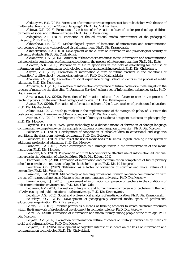Abdulayeva, H.S. (2018). Formation of communicative competence of future bachelors with the use of multimedia: training profile "Foreign language". Ph.D. Dis. Makhachkala.

Abitova, G.T. (2015). Formation of the basics of information culture of senior preschool age children by means of social and cultural activities. Ph.D. Dis. St. Petersburg.

Aidagulova, A.R. (2012). Formation of the educational media environment of the pedagogical university. Ph.D. Dis. Ufa.

Akhbasheva, I.B. (2013). Methodological system of formation of information and communication competence of persons with profound visual impairment. Ph.D. Dis. Krasnoyarsk.

Akhmetvalieva, A.A. (2011). Development of the culture of information and psychological security of university students. Ph.D. Dis. Chelyabinsk.

Alexandrova, L.N. (2016). Formation of the teacher's readiness to use information and communication technologies in continuous professional education: in the process of intercourse training. Ph.D. Dis. Elets.

Alexeeva, N.R. (2013). Preparation of future specialists in the field of advertising for the use of information and communication technologies to create an advertising product. Ph.D. Dis. Cheboksary.

Aliyeva, Z.U. (2015). Formation of information culture of future teachers in the conditions of interaction "profile school – pedagogical university". Ph.D. Dis. Makhachkala.

Anaikina, Y.S. (2011). Formation of social experience of high school students in the process of media education. Ph.D. Dis. Kostroma.

Arnautov, A.D. (2017). Formation of information competence of future bachelors- metallurgists in the process of mastering the discipline "Information Services" using a set of information technology tasks. Ph.D. Dis. Krasnoyarsk.

Arzamasova, L.A. (2012). Formation of information culture of the future teacher in the process of teaching physics: on the example of pedagogical college. Ph.D. Dis. Krasnoyarsk.

Ataeva, E.A. (2016). Formation of information culture of the future teacher of professional education. Ph.D. Dis. Makhachkala.

Atkina, A.M. (2017). Youth journalism in the implementation of the state youth policy of Russia in the post-Soviet period: the example of Belgorod region. Ph.D. Dis. Voronezh.

Averkin, Y.A. (2010). Development of visual literacy of students designers at classes on photography. Ph.D. Dis. Moscow.

Baguzina, E.I. (2012). Web-Quest technology as a didactic means of formation of foreign-language communicative competence (on the example of students of non-language university). Ph.D. Dis. Moscow.

Balashov, O.L. (2017). Development of cooperation of schoolchildren in educational and cognitive activities in the classroom network community. Ph.D. Dis. Belgorod.

Balashova, E.F. (2012). Features of the use of media texts in business English learning in the system of additional professional education. Ph.D. Dis. Moscow.

Baranova, E.A. (2019). Media convergence as a strategic factor in the transformation of the media institution. Ph.D. Dis. Moscow.

Baranova, N.V. (2012). Preparation of future teachers for the effective use of information educational resources in the education of schoolchildren. Ph.D. Dis. Kaluga, 2012.

Baranova, O.V. (2018). Formation of information and communication competence of future primary school teachers in the conditions of applied bachelor's degree. Ph.D. Dis. N. Novgorod.

Barsukova, O.V. (2012). Television as a factor of formation of spiritual and moral values of a personality. Ph.D. Dis. Voronezh.

Bazanova, E.M. (2013). Methodology of teaching professional foreign language communication with the use of Internet technologies: Master's degree, non-language university. Ph.D. Dis. Moscow.

Bazarzhapova, T.J. (2013). Improvement of information competence of teachers in the conditions of info-communication environment. Ph.D. Dis. Ulan-Ude.

Bedareva, A.V. (2014). Formation of linguistic and humanitarian competence of bachelors in the field of "Advertising and public relations" at the university. Ph.D. Dis. Krasnoyarsk.

Begalinov, A.S. (2015). Social and philosophical analysis of media education. Ph.D. Dis. Krasnoyarsk.

Belitskaya, O.V. (2015). Development of pedagogically oriented media space of professional educational organization. Ph.D. Dis. Saratov.

Belous, E.S. (2013). Internet portals as a means of training teachers to create electronic resources within the framework of professional development in computer science. Ph.D. Dis. Moscow.

Belov, S.V. (2018). Formation of information and media literacy among people of the third age. Ph.D. Dis. Moscow.

Belyaev, R.V. (2017). Formation of information culture of cadets of military universities by means of social and cultural activity. Ph.D. Dis. Moscow.

Belyaeva, E.B. (2015). Development of cognitive interest of students on the basis of information and communication technologies. Ph.D. Dis. Chelyabinsk.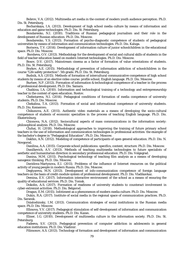Bobrov, V.A. (2012). Multimedia art media in the context of modern youth audience perception. Ph.D. Dis. St. Petersburg.

Bocharskaya, I.A. (2013). Development of high school media culture by means of information and education and game technologies. Ph.D. Dis. St. Petersburg.

Bondarenko, N.I. (2010). Traditions of Russian pedagogical journalism and their role in the development of Russian education. Ph.D. Dis. Moscow.

Bondarenko, Y.S. (2013). Formation of psycho-diagnostic competence of students of pedagogical universities by means of information and communication technologies. Ph.D. Dis. Kaluga.

Borisova, T.V. (2014). Development of information culture of junior schoolchildren in the educational space. Ph.D. Dis. Moscow.

Borsheva, O.V. (2013). Methodology for the development of social and cultural skills of students in the field of teacher education based on modern Internet technologies. Ph.D. Dis. Moscow.

Bosov, D.V. (2017). Mainstream cinema as a factor of formation of value orientations of students. Ph.D. Dis. St. Petersburg.

Boykov, A.E. (2015). Methodology of prevention of information addiction of schoolchildren in the course "Life safety protection": 5th grade. Ph.D. Dis. St. Petersburg.

Budnik, A.S. (2015). Methods of formation of intercultural communicative competence of high school students by means of an elective video course: profile school, English language. Ph.D. Dis. Moscow.

Burtsev, N.P. (2013). Formation of information & technological competence of a teacher in the process of professional development. Ph.D. Dis. Samara.

Chaikina, I.A. (2010). Information and technological training of a technology and entrepreneurship teacher in the context of open education. Rostov.

Chebotareva, N.I. (2014). Pedagogical conditions of formation of media competence of university students. Ph.D. Dis. Moscow.

Chekalina, T.A. (2013). Formation of social and informational competence of university students. Ph.D. Dis. Kemerovo.

Chikunova, A.E. (2011). Authentic video materials as a means of developing the socio-cultural competence of students of economic specialties in the process of teaching English language. Ph.D. Dis. Ekaterinburg.

Chionova, N.A. (2012). Sociocultural aspects of mass communications in the information society: philosophical analysis. Ph.D. Dis. Moscow.

Chzhai, H. (2018). Methodological approaches to improving the training of future primary school teachers in the use of information and communication technologies in professional activities: the example of the bachelor's degree in "Pedagogical Education". Ph.D. Dis. Moscow.

Dakhin, A.N. (2012). Modeling of competence of participants of open general education. Ph.D. Dis. N. Novgorod.

Danilina, A.A. (2015). Corporate school publications: specifics, content, structure. Ph.D. Dis. Moscow.

Danilkevich, A.V. (2013). Methods of teaching multimedia technologies to future specialists of aesthetic and humanitarian direction in secondary professional education. Ph.D. Dis. Volgograd.

Danina, M.M. (2011). Psychological technology of teaching film analysis as a means of developing sanogenic thinking. Ph.D. Dis. Moscow.

Davidova-Martynova, E.I. (2011). Problems of the influence of Internet resources on the political activity of young people in modern Russia. Ph.D. Dis. Moscow.

Degtyareva, M.N. (2013). Development of info-communication competence of foreign language teachers on the basis of credit-module system of professional development. Ph.D. Dis. Vladikavkaz.

Demina, E.V. (2017). Information interactive environment of the school as a means of ensuring the quality of educational services. Ph.D. Dis. Tomsk.

Dokolin, A.S. (2017). Formation of readiness of university students to counteract involvement in cyber-extremist activities. Ph.D. Dis. Belgorod.

Dragun, E.M. (2015). Infotiment as a phenomenon of modern media culture. Ph.D. Dis. Moscow.

Dukin, R.A. (2017). Institute of social media in the regional space of communication practices. Ph.D. Dis. Saransk.

Dzialoshinsky, I.M. (2013). Communication strategies of social institutions in the Russian media space. Ph.D. Dis. Moscow.

Efimova, Y.V. (2017). Pedagogical stimulation of self-development of information and communication competence of university students. Ph.D. Dis. Kazan.

Eliner, I.G. (2010). Development of multimedia culture in the information society. Ph.D. Dis. St. Petersburg.

Fadeeva, S.V. (2013). Pedagogical prevention of computer addiction in adolescents in general education institutions. Ph.D. Dis. Vladimir.

Filimonov, A.S. (2013). Technology of formation and development of information and communication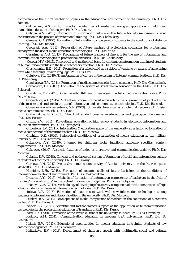competence of the future teacher of physics in the educational environment of the university. Ph.D. Dis. Samara.

Galchenkov, A.S. (2015). Didactic peculiarities of media technologies application in additional humanities education of teenagers. Ph.D. Dis. Rostov.

Galynia, A.V. (2015). Formation of information culture in the future bachelors-engineers of road construction in the process of professional training. Ph.D. Dis. Cheboksary.

Gareeva, G.A. (2010). Formation of information competence of students in the conditions of distance learning. Ph.D. Dis. Izhevsk.

Georgiadi, A.A. (2014). Preparation of future teachers of philological specialties for professional activity with the use of media educational technologies. Ph.D. Dis. Yalta.

Gerasimova, A.G. (2013). Preparation of future teachers of fine arts for the use of information and communication technologies in professional activities. Ph.D. Dis. Cheboksary.

Gerova, N.V. (2015). Theoretical and methodical basis for continuous information training of students of humanitarian profiles in the field of teacher education. Ph.D. Dis. Moscow.

Glushchenko, E.E. (2014). Formation of a schoolchild as a subject of teaching by means of advertising texts while teaching Russian language. Ph.D. Dis. Orel.

Golubeva, S.L. (2016). Transformation of culture in the system of Internet communications. Ph.D. Dis. St. Petersburg.

Goncharova, T.V. (2014). Formation of media competence in future managers. Ph.D. Dis. Chelyabinsk. Gorbatkova, O.I. (2015). Formation of the system of Soviet media education in the 1920s. Ph.D. Dis. Belgorod.

Gorodilina, T.V. (2018). Creative self-fulfillment of teenagers in artistic media education space. Ph.D. Dis. Moscow.

Goryachikh, A.I. (2015). Motivation program-targeted approach to the organization of joint activities of the teacher and students in the use of information and communication technologies. Ph.D. Dis. Barnaul.

Goverdovskaya-Privezentseva, S.A. (2013). University television as a potential resource of Russian media communications. Ph.D. Dis. Tver.

Grebennikova, N.D. (2013). The U.S.A. student press as an educational and typological phenomenon. Ph.D. Dis. Rostov.

Gridin, S.V. (2014). Polycultural education of high school students in electronic information and education environment. Ph.D. Dis. Pyatigorsk.

Grigorieva, I.V. (2014). Information & education space of the university as a factor of formation of media competence of the future teacher. Ph.D. Dis. Moscow.

Grishkin, D.K. (2016). Pedagogical conditions of organization of media education in the military university. Ph.D. Dis. Kostroma.

Gubanova, A.Y. (2016). Internet for children: social functions, audience specifics, content requirements. Ph.D. Dis. Moscow.

Guk, A.A. (2010). Aesthetic features of video as a creative and communication activity. Ph.D. Dis. Moscow.

Gulakin, D.V. (2018). Concept and pedagogical system of formation of social and information culture of students of technical university. Ph.D. Dis. Grozny.

Gureeva, A.N. (2017). Media & communication activity of Russian universities in the Internet space: 2014-2016. Ph.D. Dis. Moscow.

Hamidov, L.Sh. (2018). Formation of research skills of future bachelors in the conditions of information-educational environment. Ph.D. Dis. Makhachkala.

Ilyasova, A.Y. (2016). Methods of formation of information competence of bachelors in the field of training "Physical culture" in the cycle of information disciplines. Ph.D. Dis. Volgograd.

Imanova, O.A. (2010). Methodology of developing the activity component of media competence of high school students by means of information technologies. Ph.D. Dis. Kirov.

Iotova, V.Y. (2013). Formation of readiness to work with new information technologies among students of information and library faculties in the university. Ph.D. Dis. Moscow.

Iskakov, B.A. (2013). Development of media competence of teachers in the conditions of a resource center. Ph.D. Dis. Barnaul.

Ivanov, E.V. (2010). Scientific and methodological support of the application of telecommunication technologies in the professional education of translators. Ph.D. Dis. Kursk.

Ivlev, A.A. (2010). Formation of the screen culture of the university students. Ph.D. Dis. Orenburg.

Kadirov, A.M. (2011). Communication education in modern USA universities. Ph.D. Dis. St. Petersburg.

Kalach, E.V. (2010). Educational opportunities for media education in training students of law enforcement agencies. Ph.D. Dis. Voronezh.

Kalinskaya, E.V. (2013). Development of children's speech with multimedia social and cultural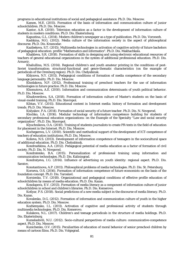programs in educational institutions of social and pedagogical assistance. Ph.D. Dis. Moscow.

Kamen, M.E. (2015). Formation of the basis of information and communication culture of junior schoolchildren. Ph.D. Dis. Moscow.

Kantor, A.R. (2010). Television education as a factor in the development of information culture of students in modern conditions. Ph.D. Dis. Ekaterinburg.

Kapustina, G.L. (2014). Modern children's newspaper as a type of publication. Ph.D. Dis. Voronezh.

Kashkina, M.G. (2012). Media culture of the information society in the aspect of philosophical discourse. Ph.D. Dis. Krasnodar.

Kazibekova, S.T. (2015). Multimedia technologies in activation of cognitive activity of future bachelors of pedagogical education: profile "Mathematics and informatics". Ph.D. Dis. Makhachkala.

Khablieva, S.R. (2018). Formation of skills in designing and using electronic educational resources of teachers of general educational organizations in the system of additional professional education. Ph.D. Dis. Armavir.

Khaliullina, M.S. (2014). Regional children's and youth amateur printing in the conditions of post-Soviet transformation: structural-functional and genre-thematic characteristics (on the example of periodicals of the Orenburg region). Ph.D. Dis. Chelyabinsk.

Khlyzova, N.Y. (2011). Pedagogical conditions of formation of media competence of the secondary language personality. Ph.D. Dis. Moscow.

Khodakova, N.P. (2012). Professional training of preschool teachers for the use of information technologies in future practice. Ph.D. Dis. Moscow.

Khomutova, A.E. (2010). Information and communication determinants of youth political behavior. Ph.D. Dis. Moscow.

Khudoverdova, S.A. (2018). Formation of information culture of Master's students on the basis of visual-model training. Ph.D. Dis. Stavropol.

Kihtan, V.V. (2011). Educational content in Internet media: history of formation and development trends. Ph.D. Dis. Moscow.

Kislyakov, P.A. (2014). Formation of social security of a future teacher. Ph.D. Dis. N. Novgorod.

Klochko, I.A. (2016). Modular technology of information competence building for students of secondary professional education organizations: on the Example of the Specialty "Law and social security organization". Ph.D. Dis. Stavropol.

Klyuchnikova, O.A. (2010). Training of students-journalists to create PR-texts in the field of education for placement in the Internet. Ph.D. Dis. Moscow.

Kochegarova, L.V. (2010). Scientific and methodical support of the development of ICT-competence of teachers of education institutions. Ph.D. Dis. Moscow.

Kolieva, N.S. (2013). Development of information competence of teenagers in the sociocultural space of additional education. Ph.D. Dis. Chelyabinsk.

Kondrashkina, A.A. (2012). Pedagogical potential of media education as a factor of formation of civil society. Ph.D. Dis. N. Novgorod.

Kondratenko, B.A. (2015). Personalization of professional training using information and communication technologies. Ph.D. Dis. Kaliningrad.

Kondratyeva, I.G. (2014). Influence of advertising on youth identity: regional aspect. Ph.D. Dis. Saratov.

Konstantinova, A.P. (2011). Philosophical problems of media technologies. Ph.D. Dis. St. Petersburg.

Korneva, O.S. (2016). Formation of information competence of future economists on the basis of the foundation concept. Ph.D. Dis. Yaroslavl.

Kornienko, T.V. (2018). Organizational and pedagogical conditions of effective profile education of schoolchildren by means of media education. Ph.D. Dis. Kazan.

Kosolapova, E.V. (2013). Formation of media literacy as a component of information culture of junior schoolchildren in school and children's libraries. Ph.D. Dis. Kemerovo.

Kotlyar, P.S. (2018). Social predictions of a new media subject in the discourse of media literacy. Ph.D. Dis. Kazan.

Kovalenko, D.G. (2012). Formation of information and communication culture of youth in the higher education system. Ph.D. Dis. Moscow.

Kozhemyako, I.L. (2011). Activation of cognitive and professional activity of students through multimedia technologies. Ph.D. Dis. Kemerovo.

Kulakova, N.L. (2017). Children's and teenage periodicals in the structure of media holdings. Ph.D. Dis. Ekaterinburg.

Kumelashvili, N.U. (2012). Socio-cultural perspectives of media culture: communicative-competence aspect. Ph.D. Dis. Moscow.

Kunichenko, O.V. (2015). Peculiarities of education of moral behavior of senior preschool children by means of cartoon films. Ph.D. Dis. Volgograd.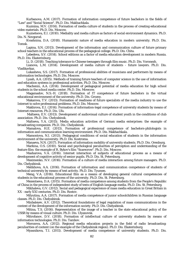Kurbanova, A.M. (2017). Formation of information competence of future bachelors in the fields of "Law" and "Social Science". Ph.D. Dis. Makhachkala.

Kuzmina, M.V. (2014). Formation of media culture of students in the process of creating educational video materials. Ph.D. Dis. Moscow.

Kuznetsova, E.I. (2010). Mediality and media culture as factors of social environment dynamics. Ph.D. Dis. N. Novgorod.

Kvashnina, D.A. (2018). Humanistic nature of media education in modern university. Ph.D. Dis. Tomsk.

Lapina, S.N. (2013). Development of the information and communication culture of future primary school teachers in the educational process of the pedagogical college. Ph.D. Dis. Chita.

Lebedeva, S.V. (2014). School editions as a factor of media education development in modern Russia. Ph.D. Dis. Ekaterinburg.

Li, D. (2018). Teaching tolerance to Chinese teenagers through film music. Ph.D. Dis. Voronezh.

Lianova, L.M. (2014). Development of media culture of students - future lawyers. Ph.D. Dis. Vladikavkaz.

Lukasheva, S.S. (2017). Formation of professional abilities of musicians and performers by means of information technologies. Ph.D. Dis. Moscow.

Lyash, A.A. (2015). Methods of training future teachers of computer science in the use of information and education systems in professional activities. Ph.D. Dis. Moscow.

Machenin, A.A. (2014). Development of pedagogical potential of media education for high school students in the school media center. Ph.D. Dis. Mowcow.

Magamadov, N.S.-H. (2018). Formation of IT competence of future bachelors in the virtual educational environment of the university. Ph.D. Dis. Grozny.

Makarova, T.V. (2013). Formation of readiness of future specialists of the media industry to use the Internet to solve professional problems. Ph.D. Dis. Moscow.

Makhrova, E.I. (2014). Formation of information-legal competence of university students by means of Internet resources. Ph.D. Dis. Ufa.

Maltseva, E.V. (2013). Development of audiovisual culture of student youth in the conditions of club association. Ph.D. Dis. Chelyabinsk.

Maltseva, Y.A. (2015). Media education activities of German media enterprises: the example of broadcasting companies. Ph.D. Dis. Chelyabinsk.

Mamalova, H.E. (2013). Formation of professional competence of bachelors-philologists in information and communication learning environment. Ph.D. Dis. Makhachkala.

Mamontova, N.I. (2013). Pedagogical conditions of social education of students in the information environment of the university. Ph.D. Dis. Kostroma.

Manaeva, N.N. (2017). Formation of information mobility of university students. Ph.D. Dis. Orenburg.

Markina, O.S. (2010). Social and psychological peculiarities of perception and understanding of the feature film: the example of R. Bykov's film "Scarecrow". Ph.D. Dis. Moscow.

Masharova, V.A. (2016). Internet interaction of subjects of educational process as a means of development of cognitive activity of senior pupils. Ph.D. Dis. St. Petersburg.

Maximenko, N.V. (2016). Formation of a culture of media interaction among future managers. Ph.D. Dis. Chelyabinsk.

Melikhova, A.A. (2016). Formation of information and communication competence of students of technical university by means of text activity. Ph.D. Dis. Tyumen.

Meng, V.A. (2016). Educational film as a means of developing general cultural competencies of students in the educational process of the university. Ph.D. Dis. St. Petersburg.

Mezentseva, D.A. (2015). Formation of media competence among students from the People's Republic of China in the process of independent study of texts of English-language media. Ph.D. Dis. St. Petersburg.

Mikhaleva, G.V. (2012). Social and pedagogical experience of mass media education in Great Britain in XX - early XXI centuries. Ph.D. Dis. Rostov.

Milyutina, A.A. (2017). Formation of media competence of junior schoolchildren in Russian language classes. Ph.D. Dis. Chelyabinsk.

Minbaleyev, A.V. (2012). Theoretical foundations of legal regulation of mass communications in the context of the development of the information society. Ph.D. Dis. Chelyabinsk.

Mitina, T.S. (2016). Representation of the image of a teacher in the state educational policy of the USSR by means of visual culture. Ph.D. Dis. Ulyanovsk.

Mitrofanov, D.V. (2018). Formation of intellectual culture of university students by means of information technologies. Ph.D. Dis. Tambov.

Morozova, A.A. (2012). Regional media education projects in the field of radio broadcasting: peculiarities of content (on the example of the Chelyabinsk region). Ph.D. Dis. Ekaterinburg.

Myasnikova, T.I. (2011). Development of media competence of university students. Ph.D. Dis.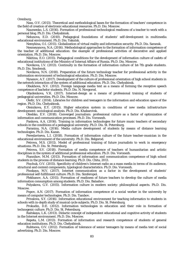Orenburg.

Nass, O.V. (2013). Theoretical and methodological bases for the formation of teachers' competence in the field of creation of electronic educational resources. Ph.D. Dis. Moscow.

Naumenko, L.S. (2016). Formation of professional-technological readiness of a teacher to work with a personal blog. Ph.D. Dis. Chelyabinsk.

Nelunova, E.D. (2010). Pedagogical foundations of students' self-development in multimedia educational environment. Ph.D. Dis. Yakutsk.

Nemykina, O.I. (2011). Globalization of virtual reality and information security. Ph.D. Dis. Saransk.

Nesmeyanova, N.A. (2016). Methodological approaches to the formation of information competence of the teacher of additional education: the example of professional activities of decorative and applied orientation. Ph.D. Dis. Moscow.

Nikitina, E.O. (2015). Pedagogical conditions for the development of information culture of cadets of educational institutions of the Ministry of Internal Affairs of Russia. Ph.D. Dis. Moscow.

Novikova, I.V. (2013). Continuity in the formation of information culture of 1st-7th grade students. Ph.D. Dis. Smolensk.

Novikova, N.N. (2018). Preparation of the future technology teacher for professional activity in the information environment of technological education. Ph.D. Dis. Moscow.

Nysanov, A.T. (2017). Development of the culture of professional orientation of high school students in the network interaction of the system of additional education. Ph.D. Dis. Chelyabinsk.

Obukhova, N.V. (2012). Foreign language media text as a means of forming the receptive speech competence of bachelor students. Ph.D. Dis. N. Novgorod.

Obydenkova, V.K. (2017). Internet-design as a means of professional training of students of pedagogical universities. Ph.D. Dis. Moscow.

Olefir, S.V. (2014). Libraries for children and teenagers in the information and education space of the region. Ph.D. Dis. Chelyabinsk.

Oleinikova, E.Y. (2015). Higher education system in conditions of new media infrastructure development: sociological analysis. Ph.D. Dis. Khabarovsk.

Oleshko, E.V. (2018). Converged journalism: professional culture as a factor of optimization of information and communication processes. Ph.D. Dis. Voronezh.

Pankova, A.A. (2016). Training in information technologies for future music teachers of secondary schools in the conditions of a pedagogical university. Ph.D. Dis. St. Petersburg.

Paranina, N.A. (2016). Media culture development of students by means of distance learning technologies. Ph.D. Dis. Kazan.

Pereslavtseva, L.I. (2018). Formation of information culture of the future teacher-musician in the educational environment of the university. Ph.D. Dis. Belgorod.

Petrova, M.S. (2011). Model of professional training of future journalists to work in emergency situations. Ph.D. Dis. St. Petersburg.

Petrova, S.V. (2018). Formation of media competence of teachers of humanitarian and artistic disciplines in the system of additional professional education. Ph.D. Dis. Voronezh.

Piannikov, M.M. (2013). Formation of information and communication competence of high school students in the process of distance learning. Ph.D. Dis. Chita, 2013.

Pinchuk, O.V. (2015). Specificity of children's Internet radio as a mass media in terms of its audience, structural and content components, typological characteristics. Ph.D. Dis. Voronezh.

Pinskaya, M.V. (2017). Internet communication as a factor in the development of students' professional self-fulfillment culture. Ph.D. Dis. Simferopol.

Plekhanov, A.A. (2011). Formation of readiness of future teachers to develop the culture of media information consumption among students. Ph.D. Dis. Balashov.

Polyakova, G.V. (2015). Information culture in modern society: philosophical aspects. Ph.D. Dis. Moscow.

Popov, A.N. (2017). Formation of information competence of a social worker in the university by means of computer technologies. Ph.D. Dis. Tambov.

Privalova, S.Y. (2016). Information educational environment for teaching informatics to students in schools with in-depth study of musical cycle subjects. Ph.D. Dis. St. Petersburg.

Prokudin, D.E. (2012). Information technologies in education and their role in formation of technogenic culture. Ph.D. Dis. St. Petersburg.

Raitskaya, L.K. (2013). Didactic concept of independent educational and cognitive activity of students in the Internet environment. Ph.D. Dis. Moscow.

Repeta, L.M. (2013). Formation of information and research competence of students of general education institutions. Ph.D. Dis. Chelyabinsk.

Rubtsova, O.V. (2012). Formation of tolerance of senior teenagers by means of media text of social advertising. Ph.D. Dis. Moscow.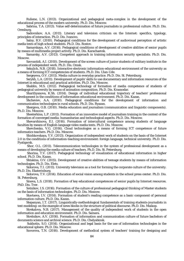Ruliene, L.N. (2013). Organizational and pedagogical meta-complex in the development of the educational process of the modern university. Ph.D. Dis. Moscow.

Sabrina, T.A. (2013). Value self-determination of future journalists in professional culture. Ph.D. Dis. Orenburg.

Sadovnikov, A.A. (2011). Literary and television criticism on the Internet: specifics, typology, principles of interaction. Ph.D. Dis. Ivanovo.

Salny, R.V. (2010). Pedagogical conditions for the development of audiovisual perception of artistic media texts of high school students. Ph.D. Dis. Rostov.

Samarskaya, A.V. (2016). Pedagogical conditions of development of creative abilities of senior pupils by means of multimedia project activity. Ph.D. Dis. Karachaevsk.

Samarsky, A.V. (2013). Competent approach in training information security specialists. Ph.D. Dis. Moscow.

Savvantidi, A.I. (2010). Development of the screen culture of junior students of military institute in the process of independent work. Ph.D. Dis. Omsk.

Sekulich, N.B. (2018). Interactive electronic information-educational environment of the university as a means of forming ICT competencies of students. Ph.D. Dis. Ulan-Ude.

Sergeyeva, O.V. (2011). Media culture in everyday practice. Ph.D. Dis. St. Petersburg.

Serykh, L.A. (2011). Development of pupils' skills to use documentary and information resources of the Internet in educational and practical activities. Ph.D. Dis. Moscow.

Shablin, M.S. (2012). Pedagogical technology of formation of media competence of students of pedagogical university by means of animation composition. Ph.D. Dis. Krasnodar.

Sharifzyanova, K.Sh. (2014). Design of individual educational trajectory of teachers' professional development in the conditions of information educational environment. Ph.D. Dis. Kazan.

Shcheviev, A.A. (2010). Pedagogical conditions for the development of information and communication technologies in rural schools. Ph.D. Dis. Ryazan.

Shergova, O.B. (2010). Media education and journalism (communication and linguistic components). Ph.D. Dis. Moscow.

Shesterkina, L.P. (2011). Formation of an innovative model of journalism training in the context of the formation of converged media: humanitarian and technological aspects. Ph.D. Dis. Moscow.

Shevarshinova, E.I. (2016). Formation of intercultural competence among students of language faculties by means of English-language video media texts. Ph.D. Dis. Moscow.

Shevchenko, V.G. (2016). Cloud technologies as a means of forming ICT competence of future informatics teachers. Ph.D. Dis. Moscow.

Shishkovskaya, Y.V. (2013). Organization of independent work of students on the basis of the Internet 2.0 in the conditions of information-teaching environment: foreign language, technical university. Ph.D. Dis. Pyatigorsk.

Shor, O.L. (2011). Telecommunication technologies in the system of professional development as a means of developing the media culture of teachers. Ph.D. Dis. St. Petersburg.

Shorina, T.V. (2017). Pedagogical technology of visualization of educational information in higher school. Ph.D. Dis. Kazan.

Shtakina, O.V. (2015). Development of creative abilities of teenage students by means of information technologies. Ph.D. Dis. Elets.

Sidorova, T.I. (2011). University television as a tool for forming the corporate culture of the university. Ph.D. Dis. Ekaterinburg.

Sidorova, T.V. (2014). Education of social vision among students in the school press center. Ph.D. Dis. St. Petersburg.

Sineva, L.S. (2018). Formation of key educational competences of senior pupils by Internet resources. PhD. Dis. Tver.

Sotnikov, I.S. (2016). Formation of the culture of professional pedagogical thinking of Master students on the basis of information technologies. Ph.D. Dis. Moscow.

Stavtseva, I.V. (2014). Formation of student's reading competence as a basic component of personal information culture. Ph.D. Dis. Kazan.

Stepanyan, I.T. (2017). Linguistically-methodological fundamentals of training students-journalists in text modeling: on the example of news blocks in the structure of political discourse. Ph.D. Dis. Maikop.

Strekalova, N.B. (2017). Management of the quality of independent work of students in the open information and education environment. Ph.D. Dis. Samara.

Strelnikov, A.V. (2016). Formation of information and communication culture of future bachelors of documents science and archival science. Ph.D. Dis. Chelyabinsk.

Sukhotin, S.O. (2014). Organizational and legal basis for the use of information technologies in the educational sphere. Ph.D. Dis. Moscow.

Suvorova, T.N. (2016). Development of methodical system of teachers' training for designing and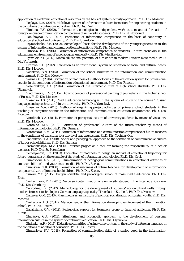application of electronic educational resources on the basis of system-activity approach. Ph.D. Dis. Moscow.

Teplaya, N.A. (2017). Multilevel system of information culture formation for engineering students in the conditions of continuous education. Ph.D. Dis. Orel.

Timkina, Y.Y. (2012). Information technologies in independent work as a means of formation of foreign-language communication competence of university students. Ph.D. Dis. N. Novgorod.

Tonkhoyeva, A.A. (2015). Formation of information competence on the basis of continuity in education at school and university. Ph.D. Dis. Ulan-Ude.

Tsymbalenko, S.B. (2012). Acmeological basis for the development of the younger generation in the system of information and communication interactions. Ph.D. Dis. Moscow.

Tubeeva, F.K. (2016). Formation of information competence of students - future bachelors in the educational environment of a pedagogical university. Ph.D. Dis. Vladikavkaz.

Tyazhlov, Y.I. (2017). Media educational potential of film critics in modern Russian mass media. Ph.D. Dis. Voronezh.

Urazova, S.L. (2012). Television as an institutional system of reflection of social and cultural needs. Ph.D. Dis. Moscow.

Vachkova, S.N. (2014). Formation of the school structure in the information and communication environment. Ph.D. Dis. Moscow.

Vasina O.S. (2016). Formation of readiness of methodologists of the education system for professional activity in the conditions of information-educational environment. Ph.D. Dis. Ryazan.

Veselovskaya, Y.A. (2014). Formation of the Internet culture of high school students. Ph.D. Dis. Ulyanovsk.

Vladimirova, T.N. (2015). Didactic concept of professional training of journalists in the higher school of Russia. Ph.D. Dis. Moscow.

Vlasenko, I.S. (2011). Media education technologies in the system of studying the course "Russian language and speech culture" in the university. Ph.D. Dis. Yaroslavl.

Vlasenko, V.A. (2013). Methods of organizing project activities of primary school students in the teaching of computer science in the information and communication education environment. Ph.D. Dis. Moscow.

Vorokhob, Y.A. (2014). Formation of perceptual culture of university students by means of visual art. Ph.D. Dis. Moscow.

Voronina, M.A. (2018). Formation of professional culture of the future teacher by means of information technologies. Ph.D. Dis. Samara.

Vorontsova, E.M. (2014). Formation of information and communication competence of future teachers in the conditions of transition to a two-level training system. Ph.D. Dis. Yoshkar-Ola.

Yandukova, T.A. (2018). Social and pedagogical approach to the formation of communicative culture of junior schoolchildren. Ph.D. Dis. Samara.

Yarmolinskaya, M.V. (2016). Internet project as a tool for forming the responsibility of a senior teenager. Ph.D. Dis. St. Petersburg.

Yemelyanova, E.Y. (2013). Formation of readiness to design an individual educational trajectory for future journalists: on the example of the study of information technologies. Ph.D. Dis. Orel.

Yumasheva, N.V. (2016). Humanization of pedagogical communications in educational activities of amateur children's and youth mass media. Ph.D. Dis. Barnaul.

Yunusova, G.R. (2018). Formation of readiness of future teachers for development of informationcomputer culture of junior schoolchildren. Ph.D. Dis. Kazan.

Yurova, Y.Y. (2015). Kurgan scientific and pedagogical school of mass media education. Ph.D. Dis. Elets.

Yuzhaninova, E.R. (2015). Value self-determination of a university student in the Internet axiosphere. Ph.D. Dis. Orenburg.

Zabrodina, I.K. (2012). Methodology for the development of students' socio-cultural skills through modern Internet technologies: German language, specialty "Translation Studies". Ph.D. Dis. Moscow.

Zaitseva, O.M. (2013). Mass media as an institute of political socialization of Russian youth. Ph.D. Dis. Moscow.

Zakharova, L.G. (2012). Management of the information developing environment of the innovation school. Ph.D. Dis. Rostov.

Zavalishina, O.V. (2012). Pedagogical support for teenagers prone to Internet addiction. Ph.D. Dis. Kursk.

Zharkova, G.A. (2013). Situational and prognostic approach to the development of personal information culture in the system of continuous education. Ph.D. Dis. Ulyanovsk.

Zhdanko, A.P. (2014). Didactic peculiarities of using video content in the study of a foreign language in the conditions of additional education. Ph.D. Dis. Rostov.

Zhuravleva, S.V. (2018). Formation of communication skills of a senior pupil in the information-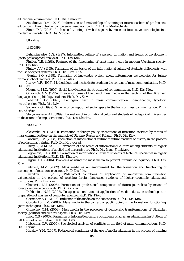educational environment. Ph.D. Dis. Orenburg.

Ziaudinova, O.M. (2013). Information and methodological training of future teachers of professional education in the context of competence based approach. Ph.D. Dis. Makhachkala.

Zimin, D.A. (2016). Professional training of web designers by means of interactive technologies in a modern university. Ph.D. Dis. Moscow.

#### **Ukraine**

*1992-1999*

Dzhincharadze, N.G. (1997). Information culture of a person: formation and trends of development (socio-philosophical analysis). Ph.D. Dis. Kiev.

Finkler, Y.E. (1998). Features of the functioning of print mass media in modern Ukrainian society. Ph.D. Dis. Kiev.

Finkov, A.V. (1995). Formation of the basics of the informational culture of students-philologists with the use of expert systems. Ph.D. Dis. Kiev, 1995.

Gunko, S.O. (1998). Formation of knowledge system about information technologies for future primary school teachers. Ph.D. Dis. Lutsk.

Ivanov, V.F. (1996). Methodology and methods for studying the content of mass communication. Ph.D. Dis. Kiev.

Naumova, M.U. (1999). Social knowledge in the structure of communication. Ph.D. Dis. Kiev.

Onkovych, G.V. (1995). Theoretical basis of the use of mass media in the teaching of the Ukrainian language of non-philology students. Ph.D. Dis. Kiev.

Potiatnik, B.V. (1996). Pathogenic text in mass communication: identification, typology, neutralization. Ph.D. Dis. Lviv.

Soroka, Y.G. (1999). Scheme of perception of social space in the texts of mass communication. Ph.D. Dis. Kharkiv.

Stolyarevskaya, A.L. (1999). Formation of informational culture of students of pedagogical universities in the course of computer science. Ph.D. Dis. Kharkiv.

## *2000-2009*

Alexeenko, N.D. (2001). Formation of foreign policy orientations of transition societies by means of mass communication (on the example of Ukraine, Russia and Poland). Ph.D. Dis. Kiev.

Babenko, T.V. (2008). Formation of informational culture of future teachers of history in the process of professional training. Ph.D. Dis. Kirovograd.

Bliznyuk, M.M. (2000). Formation of the basics of informational culture among students of higher educational institutions of applied and decorative art. Ph.D. Dis. Ivano-Frankivsk.

Bogdanova, T.L. (2007). Formation of information culture of students of technical specialties in higher educational institutions. Ph.D. Dis. Kharkiv.

Bugera, O.I. (2006). Problems of using the mass media to prevent juvenile delinquency. Ph.D. Dis. Kiev.

Butyrina, M.V. (2009). Mass media as an environment for the formation and functioning of stereotypes of mass consciousness. Ph.D. Dis. Kiev.

Buzhikov, R.P. (2006). Pedagogical conditions of application of innovative communication technologies in the process of teaching foreign languages students of higher economic educational institutions. Ph.D. Dis. Kiev.

Chemeris, I.M. (2008). Formation of professional competence of future journalists by means of foreign-language periodicals. Ph.D. Dis. Kiev.

Dukhanina, N.M. (2007). Pedagogical conditions of application of media education technologies in preparation of masters of computer sciences. Ph.D. Dis. Kiev.

Germanov, V.G. (2003). Influence of the media on the subconscious. Ph.D. Dis. Kiev.

Gorodenko, L.M. (2003). Mass media in the context of public opinion: the formation, functioning, genre techniques. Ph.D. Dis. Kiev.

Gritsenko, O.M. (2003). Mass media in the processes of democratic transformations of Ukrainian society (political and cultural aspect). Ph.D. Dis. Kiev.

Ilkov, O.S. (2003). Formation of information culture of students of agrarian educational institutions of І-ІІ levels of accreditation. Ph.D. Dis. Kiev.

Kabachna, O.V. (2000). Sociological analysis of conflicts in the field of mass communication. Ph.D. Dis. Kharkiv.

Kazakov, Y.M. (2007). Pedagogical conditions of the use of media education in the process of training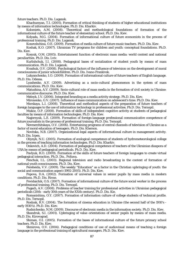future teachers. Ph.D. Dis. Lugansk.

Khachumyan, T.I. (2005). Formation of critical thinking of students of higher educational institutions by means of information technologies. Ph.D. Dis. Kharkiv.

Kolomiets, A.M. (2008). Theoretical and methodological foundations of formation of the informational culture of the future teacher of elementary school. Ph.D. Dis. Kiev.

Kolyada, M.G. (2004). Formation of informational culture of future economists in the process of professional training. Ph.D. Dis. Lugansk.

Konevshchina, O.E. (2009). Formation of media culture of future music teachers. Ph.D. Dis. Kiev.

Koshak, K.O. (2007). Ukrainian TV programs for children and youth: conceptual foundations. Ph.D. Dis. Kiev.

Kosyuk, O.M. (2005). Entertainment function of electronic mass media: world context and national peculiarities. Ph.D. Dis. Lviv.

Kurlishchuk, I.I. (2008). Pedagogical bases of socialization of student youth by means of mass communication. Ph.D. Dis. Lugansk.

Kvashuk, O.V. (2008). Psychological factors of the influence of television on the development of moral consciousness of junior schoolchildren. Ph.D. Dis. Ivano-Frankivsk.

Lukyanchenko, I.O. (2009). Formation of informational culture of future teachers of English language. Ph.D. Dis. Odessa.

Lyashenko, A.V. (2009). Advertising as a socio-cultural phenomenon in the system of mass communications. Ph.D. Dis. Kiev.

Matushina, A.V. (2009). Socio-cultural role of mass media in the formation of civil society in Ukraine: communicative discourse. Ph.D. Dis. Kiev.

Melnyk, I.V. (2006). Integrated branding as a media activity strategy. Ph.D. Dis. Kiev.

Mironenko, G.V. (2007). Influence of mass communication on adolescent's time. Ph.D. Dis. Kiev.

Morskaya, L.I. (2008). Theoretical and methodical aspects of the preparation of future teachers of foreign languages to the use of information technology in professional activities. Ph.D. Dis. Ternopil.

Mukoz, O.P. (2008). Formation of skills of independent cognitive activity at students of pedagogical faculties by means of information technologies. Ph.D. Dis. Kiev.

Nagornyuk, L.E. (2009). Formation of foreign-language professional communicative competence of future journalists in the process of professional training. Ph.D. Dis. Ternopil.

Nevmerzhitskaya, O.V. (2006). Entertaining programs of central channels of television of Ukraine as a factor of moral education of teenagers. Ph.D. Dis. Kherson.

Novitska, N.B. (2007). Organizational-legal aspects of informational culture in management activity. Ph.D. Dis. Irpen.

Oliynyk, N.U. (2005). Formation of ecological competence of students of hydrometeorological college in the process of teaching information technologies. Ph.D. Dis. Kharkiv.

Onkovich, A.D. (2004). Formation of pedagogical competence of teachers of the Ukrainian diaspora of USA by means of pedagogical periodicals. Ph.D. Dis. Kiev.

Pavlyuk, R.O. (2009). Formation of the skills of future teachers of foreign languages to create virtual pedagogical interaction. Ph.D. Dis.. Poltava.

Penchuk, I.L. (2003). Regional television and radio broadcasting in the context of formation of national youth consciousness. Ph.D. Dis. Kiev.

Pereheida, V.V. (2009). The weekly "Education" as a factor in the Christian upbringing of youth: the social and communication aspect (1992-2005). Ph.D. Dis. Kiev.

Popova, D.A. (2002). Formation of universal values in senior pupils by mass media in modern conditions. Ph.D. Dis. Rivne.

Povidaichik, O.S. (2007). Formation of informational culture of the future social worker in the process of professional training. Ph.D. Dis. Ternopil.

Pugach, A.V. (2008). Problems of teacher training for professional activities in Ukrainian pedagogical periodicals (20th - early 30th years of the XXth century). Ph.D. Dis. Kie.

Romanishina, O.Y. (2007). Formation of information culture of college students of technical profile. Ph.D. Dis. Ternopil.

Roslyak, R.V. (2004). The formation of cinema education in Ukraine (the second half of the 1910's early 1930's). Ph.D. Dis. Kiev.

Rudnichenko, N.M. (2009). Discourse of electronic media in the information society. Ph.D. Dis. Kiev.

Shandruk, S.I. (2001). Upbringing of value orientations of senior pupils by means of mass media. Ph.D. Dis. Kirovograd.

Shiman, O.I. (2005). Formation of the bases of informational culture of the future primary school teachers. Ph.D. Dis. Kiev.

Shmirova, O.V. (2004). Pedagogical conditions of use of audiovisual means of teaching a foreign language in the professional training of agricultural managers. Ph.D. Dis. Kiev.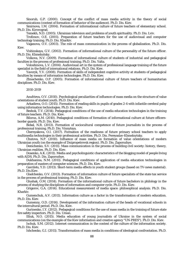Sinorub, G.P. (2000). Concept of the conflict of mass media activity in the theory of social communications (context of formation of behavior of the audience). Ph.D. Dis. Kiev.

Smirnova, I.M. (2004). Formation of informational culture of future teachers of elementary school. Ph.D. Dis. Kirovograd.

Temekh, N.D. (2005). Ukrainian television and problems of youth spirituality. Ph.D. Dis. Lviv.

Trofimov, O.E. (2001). Preparation of future teachers for the use of audiovisual and computer technology training. Ph.D. Dis. Kharkiv.

Vaganova, O.V. (2003). The role of mass communication in the process of globalization. Ph.D. Dis. Kiev.

Vishinskaya, G.V. (2002). Formation of informational culture of the personality of the future officer. Ph.D. Dis. Khmelnitsky.

Volkova, N.V. (2009). Formation of informational culture of students of industrial and pedagogical faculties in the process of professional training. Ph.D. Dis. Yalta.

Voloshinova, L.V. (2004). Audiovisual art in the system of professional language training of the future specialist in the field of international relations. Ph.D. Dis. Kiev.

Yavoryk, Y.V. (2008). Formation of skills of independent cognitive activity at students of pedagogical faculties by means of information technologies. Ph.D. Dis. Kiev.

Zhnachenko, O.P. (2005). Formation of informational culture of future teachers of humanitarian disciplines. Ph.D. Dis. Kiev.

## *2010-2019*

Anufrieva, O.V. (2010). Psychological peculiarities of influence of mass media on the structure of value orientations of student youth. Ph.D. Dis. Kiev.

Arkadieva, O.O. (2015). Formation of reading skills in pupils of grades 2-4 with infantile cerebral palsy using information technologies. Ph.D. Dis. Kiev.

Beshok, T.V. (2014). Pedagogical conditions of the use of media education technologies in the training of future teachers. Ph.D. Dis. Kiev.

Bilorus, A.M. (2010). Pedagogical conditions of formation of informational culture at future officersborder guards. Ph.D. Dis. Kiev.

Bobal, N.R. (2013). Formation of sociocultural competence of future journalists in the process of professional training. Ph.D. Dis. Vinnytsya.

Chernyakova, O.I. (2017). Formation of the readiness of future primary school teachers to apply multimedia technologies in their professional activities. Ph.D. Dis. Pereyaslav-Khmelnytsky.

Chutova, N.P. (2010). Influence of mass media on formation of value orientations of modern Ukrainian youth (on the example of Dnipropetrovsk region). Ph.D. Dis. Zaporozhye.

Demchenko, S.V. (2011). Mass communication in the process of building civil society: history, theory, Ukrainian realities. Ph.D. Dis. Kiev.

Dosenko, A.K. (2011). Media and psycholinguistic characteristics of the blogging model of people living with AIDS. Ph.D. Dis. Zaporozhye.

Dukhanina, N.M. (2011). Pedagogical conditions of application of media education technologies in preparation of masters of computer sciences. Ph.D. Dis. Kiev.

Gavrilets, Y.D. (2013). Short-term media effects in youth student groups (based on TV-news material). Ph.D. Dis.Kiev.

Gladchenko, O.V. (2013). Formation of information culture of future specialists of the state tax service in the process of professional training. Ph.D. Dis. Kiev.

Glushak, O.M. (2014). Formation of the informational culture of future bachelors in philology in the process of studying the disciplines of information and computer cycle. Ph.D. Dis. Kiev.

Grigorov, G.A. (2014). Educational measurement of media space: philosophical analysis. Ph.D. Dis. Kharkiv.

Gumenchuk, A.V. (2011). Information culture as a factor in the transformation of modern education. Ph.D. Dis. Kiev.

Gumenny, O.D. (2014). Development of the information culture of the heads of vocational schools in the intercultural period. Ph.D. Dis. Kiev.

Gurinenko, I.Y. (2012). Pedagogical conditions for the use of mass media in the training of future state fire safety inspectors. Ph.D. Dis. Uman.

Illiuk, N.O. (2015). Media education of young journalists of Ukraine in the system of social communications (on the example of the Kiev information and creative agency "UN-PRES"). Ph.D. Dis. Kiev.

Ischuk, S.M. (2012). Internet communication in the context of the culture of the information society. Ph.D. Dis. Kiev.

Ishchenko, G.I. (2011). Transformation of mass media in conditions of ideological confrontation. Ph.D.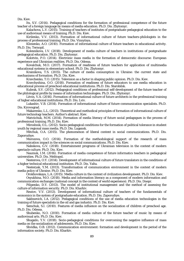Dis. Kiev.

Its, S.V. (2014). Pedagogical conditions for the formation of professional competence of the future teacher of a foreign language by means of media education. Ph.D. Dis. Zhytomyr.

Kalachova, L.V. (2015). Training of teachers of institutes of postgraduate pedagogical education to the use of audiovisual means of training. Ph.D. Dis. Kiev.

Kirilenko, V.V. (2013). Formation of informational culture of future teachers-philologists in the process of professional training. Ph.D. Dis. Vinnytsya.

Klimenko, A.O. (2010). Formation of informational culture of future teachers in educational activity. Ph.D. Dis. Ternopil.

Kolesnikova, I.V. (2018). Development of media culture of teachers in institutions of postgraduate pedagogical education. Ph.D. Dis. Zhytomyr.

Kolotvin, P.O. (2014). Electronic mass media in the formation of democratic discourse: European experience and Ukrainian realities. Ph.D. Dis. Odessa.

Kovalchuk, M.O. (2017). Formation of readiness of future teachers for application of multimedia educational systems in elementary school. Ph.D. Dis. Zhytomyr.

Krainikova, T.S. (2015). The culture of media consumption in Ukraine: the current state and mechanisms of formation. Ph.D. Dis. Kiev.

Kravchenko, T.O. (2015). Television as a factor in shaping public opinion. Ph.D. Dis. Kiev.

Kravchyshina, O.O. (2018). Formation of readiness of future educators to use media education in educational process of preschool educational institutions. Ph.D. Dis. Starobilsk.

Kubrak, S.V. (2012). Pedagogical conditions of professional self-development of the future teacher of the philological profile by means of information technologies. Ph.D. Dis. Zhytomyr.

Litvin, V.A. (2016). Formation of informational culture of future architects in the professional training of higher educational institutions. Ph.D. Dis. Lviv.

Lukashiv, V.B. (2014). Formation of informational culture of future communication specialists. Ph.D. Dis. Kirovograd.

Makarenko, L.L. (2013). Theoretical and methodical principles of formation of informational culture of future technology teachers. Author's abstract. Kiev.

Matviichuk, M.M. (2014). Formation of media literacy of future social pedagogues in the process of professional training. Ph.D. Dis. Kiev.

Miroshnik, O.L. (2012). Socio-pedagogical conditions for the formation of political tolerance in student youth by regional mass media. Ph.D. Dis. Lugansk.

Mitchuk, O.A. (2015). The phenomenon of liberal content in social communications. Ph.D. Dis. Zaporozhye.

Morozova, O.O. (2014). Formation of the methodological support of the research of mass communication impact in the sciences on social communications. Ph.D. Dis. Kiev.

Nabokova, G.V. (2018). Entertainment programs of Ukrainian television in the context of modern spectacle culture. Ph.D. Dis. Kiev.

Naumuk, I.M. (2016). Formation of media competence of future informatics teachers in pedagogical universities. Ph.D. Dis. Melitopol.

Nesterova, O.Y. (2014). Development of informational culture of future translators in the conditions of a higher technical educational institution. Ph.D. Dis. Yalta.

Nesteryak, Y.M. (2013). Transformation of communication environment in the context of modern media policy of Ukraine. Ph.D. Dis. Kiev.

Orokhovskaya, L.A. (2015). Media culture in the context of civilization development. Ph.D. Dis. Kiev.

Osyukhina, M.O. (2018). Media and information literacy as a component of modern information and communication exchanges (national concept in the context of world experience). Ph.D. Dis. Dnepr.

Pilipenko, D.Y. (2013). The model of institutional management and the method of assessing the culture of information security. Ph.D. Dis. Kharkiv.

Reutov, V.V. (2013). Development of informational culture of teachers of the fundamentals of economics in the system of postgraduate education. Ph.D. Dis. Zaporozhye.

Sakhnevich, I.A. (2012). Pedagogical conditions of the use of media education technologies in the training of future specialists in the oil and gas industry. Ph.D. Dis. Kiev.

Semchuk, S.I. (2010). Features of media influence on the socialization of children of preschool age. Ph.D. Dis. Odessa.

Shubenko, N.O. (2010). Formation of media culture of the future teacher of music by means of audiovisual arts. Ph.D. Dis. Kiev.

Shugailo, Y.V. (2018). Socio-pedagogical conditions for overcoming the negative influence of mass media on the socialization of adolescents. Ph.D. Dis. Kiev.

Shvidka, O.B. (2012). Communication environment: formation and development in the period of the information society. Ph.D. Dis. Kharkiv.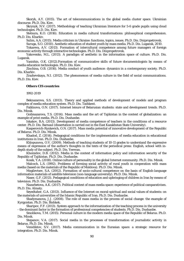Skoryk, A.Y. (2015). The art of telecommunications in the global media cluster space. Ukrainian discourse. Ph.D. Dis. Kiev.

Skrynyk, N.V. (2017). Methodology of teaching Ukrainian literature for 5-6 grade pupils using cloud technologies. Ph.D. Dis. Kiev.

Stetsura, K.O. (2016). Education in media cultural transformations: philosophical comprehension. Ph.D. Dis. Kharkiv.

Sulim, A.A. (2015). Media criticism in Ukraine: functions, topics, issues. Ph.D. Dis. Dnipropetrovsk.

Suruga, S.O. (2010). Aesthetic education of student youth by mass media. Ph.D. Dis. Lugansk, 2010.

Tokareva, A.V. (2013). Formation of intercultural competence among future managers of foreign economic activity through interactive technologies. Ph.D. Dis. Dnipropetrovsk.

Yakovenko, M.L. (2013). A paradigm of aesthetic in the information space of culture. Ph.D. Dis. Lugansk.

Yanishin, O.K. (2012).Formation of communicative skills of future documentologists by means of media education technologies. Ph.D. Dis. Kiev.

Zinchina, O.B. (2016). Media conduct of youth audience: dynamics in a contemporary society. Ph.D. Dis. Kharkiv.

Zrazhevskaya, N.I. (2012). The phenomenon of media culture in the field of social communications. Ph.D. Dis. Kiev.

## **Others CIS countries**

*1992-2019*

Beknazarova, S.S. (2013). Theory and applied methods of development of models and program complex of media education system. Ph.D. Dis. Tashkent.

Fablinova, O.N. (2017). Internet leisure of Belarusian students: state and development trends. Ph.D. Dis. Minsk.

Goibnazarova, T.S. (2014). Mass media and the art of Tajikistan in the context of globalization: an example of print media. Ph.D. Dis. Dushanbe.

Iskakov, B.A. (2013). Development of media competence of teachers in the conditions of a resource center. Ph.D. Dis. Barnaul (dissertation is carried out in the East Kazakhstan State University).

Kasperovich-Rynkevich, O.N. (2017). Mass media potential of innovative development of the Republic of Belarus. Ph.D. Dis. Minsk.

Khadod, Z. (2014). Pedagogical conditions for the implementation of media education in educational institutions in Iran. Ph.D. Dis. Dushanbe.

Khlopunova, O.V. (2009). Methods of teaching students of 10-11 grades to understand the expressive means of expression of the author's thoughts in the texts of the periodical press: English, school with indepth study of the subject. Ph.D. Dis. Yerevan.

Khomidov, D.B. (2012). Media in the context of information policy and information security of the Republic of Tajikistan. Ph.D. Dis. Dushanbe.

Kosik, Y.A. (2018). Online culture of personality in the global Internet community. Ph.D. Dis. Minsk.

Malcoch, L.S. (1992). Problems of forming social activity of rural youth in cooperation with mass media (based on the materials of the Republic of Moldova). Ph.D. Dis. Minsk.

Mogilevtsev, S.A. (2002). Formation of socio-cultural competence on the basis of English-language information materials of satellite television (non-language university). Ph.D. Dis. Minsk.

Naser, G.F. (2013). Pedagogical conditions of education and upbringing of children in Iran by means of television. Ph.D. Dis. Dushanbe.

Nazarbetova, A.K. (2017). Political context of mass media space: experience of political camparativism. Ph.D. Dis. Almaty.

Seyedtaher, G.A. (2013). Influence of the Internet on moral-spiritual and social values of students: on the materials of universities of the Islamic Republic of Iran. Ph.D. Dis. Dushanbe.

Shadymanova, J.J. (2008). The role of mass media in the process of social change: the example of Kyrgyzstan. Ph.D. Dis. Bishkek.

Sharipov, F.F. (2013). System approach to the informatization of the teaching process in the university - the dominant factor in the formation of professional competencies of students. Ph.D. Dis. Dushanbe.

Smolikova, T.M. (2015). Personal culture in the modern media space of the Republic of Belarus. Ph.D. Dis. Minsk.

Stepanov, V.A. (2017). Social media in the processes of transformation of journalistic activity in Belarus. Ph.D. Dis. Minsk.

Venidiktov, S.V. (2017). Media communication in the Eurasian space: a strategic resource for integration. Ph.D. Dis. Minsk.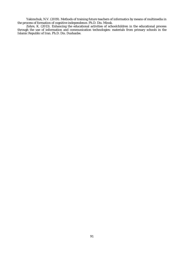Yakimchuk, N.V. (2019). Methods of training future teachers of informatics by means of multimedia in the process of formation of cognitive independence. Ph.D. Dis. Minsk.

Zohre, K. (2013). Enhancing the educational activities of schoolchildren in the educational process through the use of information and communication technologies: materials from primary schools in the Islamic Republic of Iran. Ph.D. Dis. Dushanbe.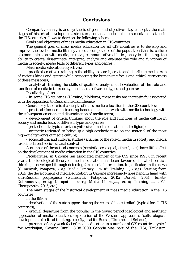## **Conclusions**

Comparative analysis and synthesis of goals and objectives, key concepts, the main stages of historical development, structure, content, models of mass media education in the CIS countries allows to develop the following scheme.

*Goals and objectives of mass media education in CIS countries*

The general goal of mass media education for all CIS countries is to develop and improve the level of media literacy / media competence of the population (that is, culture of communication with media, creative, communicative abilities, analytical thinking, the ability to create, disseminate, interpret, analyze and evaluate the role and functions of media in society, media texts of different types and genres).

*Mass media education objectives:*

- practical-creative (training in the ability to search, create and distribute media texts of various kinds and genres while respecting the humanistic focus and ethical correctness of these messages);

- analytical (training the skills of qualified analysis and evaluation of the role and functions of media in the society, media texts of various types and genres);

*Peculiarity of tasks:*

- in some CIS countries (Ukraine, Moldova), these tasks are increasingly associated with the opposition to Russian media influence.

*General key theoretical concepts of mass media education in the CIS countries:*

- practical (focused on teaching hands-on skills of work with media technology with the subsequent creation and dissemination of media texts);

- development of critical thinking about the role and functions of media culture in society and media texts of different types and genres;

- protectionist (typical for the synthesis of media education and religion);

- aesthetic (oriented to bring up a high aesthetic taste on the material of the most high-quality works of media culture);

- sociocultural and cultural studies (analysis of the role of media in society and media texts in a broad socio-cultural context).

A number of theoretical concepts (semiotic, ecological, ethical, etc.) have little effect on the development of media education in the CIS countries.

*Peculiarities:* in Ukraine (an associated member of the CIS since 1993), in recent years, the ideological theory of media education has been favoured, in which critical thinking is developed through detecting fake media information, in particular, in the news (Gumenyuk, Potapova, 2015; Меdіа Literacy..., 2016; Training ..., 2015). Starting from 2014, the development of media education in Ukraine increasingly goes hand in hand with anti-Russian propaganda (Gumenyuk, Potapova, 2015; Dorosh, 2014; Emets-Dobronosova, 2014; Koropatnik, 2015; Меdia Literacy..., 2016; Training ..., 2015; Cherepovska, 2015, etc.).

*The main stages of the historical development of mass media education in the CIS countries*

*in the 1990s:*

- deprivation of the state support during the years of "perestroika" (typical for all CIS countries);

- gradual departure from the popular in the Soviet period ideological and aesthetic approaches of media education, exploration of the Western approaches (culturological, development of critical thinking, etc.) (typical for Russia, Ukraine and Belarus);

- presence of only weak foci of media education in a number of CIS countries: typical for Azerbaijan, Georgia (until 18.08.2009 Georgia was part of the CIS), Tajikistan,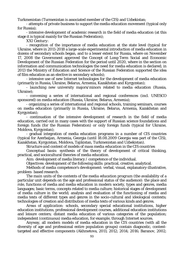Turkmenistan (Turmenistan is associated member of the CIS) and Uzbekistan;

- attempts of private business to support the media education movement (typical only for Russia);

- intensive development of academic research in the field of media education (at this stage it is typical mainly for the Russian Federation);

*XXI Century:*

- recognition of the importance of media education at the state level (typical for Ukraine, where in 2011-2018 a large-scale experimental introduction of media education in dozens of secondary schools began, and to a lesser extent for Russia, where on November 17, 2008 the Government approved the Concept of Long-Term Social and Economic Development of the Russian Federation for the period until 2020, where in the section on information and communication technologies the need for media education is declared; in 2013 the Ministry of Education and Science of the Russian Federation supported the idea of film education as an elective in secondary schools);

- intensive use of new Internet technologies for the development of media education (primarily in Russia, Ukraine, Belarus, Armenia, Kazakhstan and Kyrgyzstan);

- launching new university majors/minors related to media education (Russia, Ukraine);

- convening a series of international and regional conferences (incl. UNESCO sponsored) on media education (Russia, Ukraine, Belarus, Armenia);

- organizing a series of international and regional schools, training seminars, courses on media education (primarily in Russia, Ukraine, Belarus, Armenia, Kazakhstan and Kyrgyzstan);

- continuation of the intensive development of research in the field of media education, carried out in many cases with the support of Russian science foundations and foreign funds (for the Russian Federation) or only foreign funds (typical for Ukraine, Moldova, Kyrgyzstan);

- gradual integration of media education programs in a number of CIS countries (typical for Azerbaijan, Armenia, Georgia (until 18.08.2009 Georgia was part of the CIS), Kazakhstan, Kyrgyzstan, Moldova, Tajikistan, Turkmenistan and Uzbekistan).

*Structure and content of models of mass media education in the CIS countries*

*Conceptual basis:* synthesis of the theory of development of critical thinking, practical, and sociocultural theories of media education.

*Aim:* development of media literacy / competence of the individual.

*Objectives*: development of the following skills: practical, creative, analytical.

*Methods of media competence's development*: verbal, visual, explanatory-illustrative, problem- based research.

*The main units of the contents of the media education program* (the availability of a particular unit depends on the age and professional status of the audience): the place and role, functions of media and media education in modern society, types and genres, media languages; basic terms, concepts related to media culture; historical stages of development of media culture in the world; analysis and evaluation of the functioning of media and media texts of different types and genres in the socio-cultural and ideological contexts; technologies of creation and distribution of media texts of various kinds and genres.

*Areas of application:* schools, secondary special educational institutions, higher education institutions, professional development courses, additional education institutions and leisure centers; distant media education of various categories of the population; independent (continuous) media education, for example, through Internet sources.

Anyway, all modern models of media education in the CIS countries (with all the diversity of age and professional entire population groups) contain diagnostic, contenttargeted and effective components (Akhmetova, 2011; 2012; 2014; 2016; Baranov, 2002;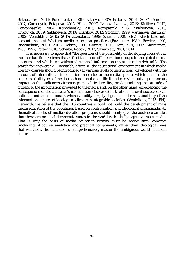Beknazarova, 2011; Bondarenko, 2009; Fateeva, 2007; Fedorov, 2001; 2007; Gendina, 2017; Gumenyuk, Potapova, 2015; Hilko, 2007; Ivanov, Ivanova, 2013; Kirillova, 2012; Korkonosenko, 2004; Korochensky, 2005; Koropatnik, 2015; Naidyonova, 2013; Onkovych, 2009; Sakhnevich, 2010; Sharikov, 2012; Spichkin, 1999; Vartanova, Zasursky, 2003; Venidiktov, 2015; 2017; Zaznobina, 1998; Zhurin, 2009, etc.), which take into account the best Western media education practices (Bazalgette, 1989; Bowker, 1991; Buckingham, 2000; 2003; Debray, 1991; Gonnet, 2001; Hart, 1991; 1997; Masterman, 1985; 1997; Potter, 2016; Scheibe, Rogow, 2012; Silverblatt, 2001; 2014).

It is necessary to agree that "*the question of the possibility of developing cross ethnic media education systems that reflect the needs of integration groups in the global media discourse and which can withstand external information threats is quite debatable. The search for answers will inevitably affect: a) the educational environment in which media literacy courses should be introduced (at various levels of instruction), developed with the account of international information interests; b) the media sphere, which includes the contents of all types of media (both national and allied) and carrying out a spontaneous impact on the audience's citizenship; c) political reality, predetermining the attitude of citizens to the information provided to the media and, on the other hand, experiencing the consequences of the audience's information choice; d) institutions of civil society (local, national and transnational), whose viability largely depends on the sustainability of the information sphere; e) ideological climate in integrable societies*" (Venidiktov, 2015: 194). Herewith, we believe that the CIS countries should not build the development of mass media education of the population based on confrontation and ideological propaganda. All thematical blocks of media education programs should evenly give the audience an idea that there are no ideal democratic states in the world with ideally objective mass media. That is why the basis of media education activity must be sociocultural concepts (including, of course, analytical and practical components) rather than ideological ones that will allow the audience to comprehensively master the ambiguous world of media culture.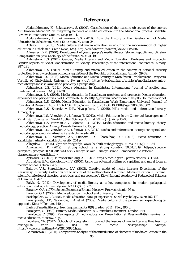## **References**

Abdurakhmanov K., Beknazarova, S. (2010). Classification of the learning objectives of the subject "multimedia education" by integrating elements of media education into the educational process. Scientific Review: Humanitarian Studies, № 4: 12–14.

Abdurakhmanov, K., Beknazarova, S.S. (2011). From the History of the Development of Media Education in Uzbekistan. Media Education, № 2: 20-24.

Ablazov E.E. (2013). Media culture and media education in ensuring the modernization of higher education in Uzbekistan. Credo News, № 4. http://credonew.ru/content/view/1292/68/

Afanasjev, D.M. (2010). Development of young people's media literacy: Slovak Republic and Ukraine: Comparative analysis. Sociology of the future.  $N^{\circ}$  1: 41-49.

Akhmetova, L.S. (2011). Gender, Media Literacy and Media Education: Problems and Prospects. Gender Aspects of Social Modernization of Society: Proceedings of the international conference. Almaty: 287-291.

Akhmetova, L.S. (2012). Media literacy and media education in the context of national security protection. Narrow problems of media legislation of the Republic of Kazakhstan. Almaty: 29-32.

Akhmetova, L.S. (2013). Media Education and Media Security in Kazakhstan: Problems and Prospects. Vestnik of Chelyabinsk University. № 21 (312). [http://cyberleninka.ru/article/n/mediaobrazovanie-i](http://cyberleninka.ru/article/n/mediaobrazovanie-i-mediabezopasnost-v-kazahstane-problemy-i-perspektivy)[mediabezopasnost-v-kazahstane-problemy-i-perspektivy](http://cyberleninka.ru/article/n/mediaobrazovanie-i-mediabezopasnost-v-kazahstane-problemy-i-perspektivy)

Akhmetova, L.S. (2014). Media education in Kazakhstan. International Journal of applied and fundamental research. № 3: 37-38.

Akhmetova, L.S. (2016). Media education in Kazakhstan: problems and prospects. Media education: experience and perspectives. Vol.1. Voronezh: 12-15. [http://jour.vsu.ru/editions/thesis/05\\_16\\_mediaobr.pdf](http://jour.vsu.ru/editions/thesis/05_16_mediaobr.pdf)

Akhmetova, L.S. (2016). Media Education in Kazakhstan: Work Experience. Universal Journal of Educational Research. 4(8): 1753–1756. http://www.hrpub.org DOI: 10.13189/ujer.2016.040802

Akhmetova, L.S., Shorokhov, D.P., Niyazgulova, A. (2015). MIL: media and information literacy. Almaty, 36 p.

Akhmetova, L.S., Verevkin, A., Lifanova, T. (2013). Media Education In the Context of Development of Kazakhstan Journalism. World Applied Sciences Journal. № 25 (11): 1624-1629.

Akhmetova, L.S, Verevkin A.V, Lifanova T.Y. (2015). Media education and media literacy: theory, methodology, practice. Almaty: Kazakh University, 156 p.

Akhmetova, L.S., Verevkin, A.V, Lifanova, T.Y. (2017). Media and information literacy: conceptual and methodological grounds. Almaty: Kazakh University, 48 p.

Akhmetova, L.S., Verevkin, A.V, Lifanova, T.Y., Shorokhov, D.P. (2013). Media education in Kazakhstan. Almaty: Kazakh University, 254 p.

Allagulow, P. (2016). Ylym we fotografiýa: özara bähbitli arabaglanyşyk. Miras, № (63): 21–34.<br>Amonashvili, P. (2019). Strong school is a strong country. 30.01.2019. https://s

Strong school is a strong country. 30.01.2019. [https://sputnik](https://sputnik-georgia.ru/georgia/20190130/244115862/silnaya-shkola---silnaya-strana---amonashvili-o-reforme-obrazovaniya-v-%20gruzii.html)[georgia.ru/georgia/20190130/244115862/silnaya-shkola---silnaya-strana---amonashvili-o-reforme-](https://sputnik-georgia.ru/georgia/20190130/244115862/silnaya-shkola---silnaya-strana---amonashvili-o-reforme-obrazovaniya-v-%20gruzii.html)

[obrazovaniya-v-](https://sputnik-georgia.ru/georgia/20190130/244115862/silnaya-shkola---silnaya-strana---amonashvili-o-reforme-obrazovaniya-v-%20gruzii.html) gruzii.html>

Aptsiauri, G. (2013). Films for thinking. 21.11.2013. https://media.ge/ru/portal/articles/301774>.

Atrihalova, E.V., Ksenofontov, I.V. (2010). Using the potential of films of a spiritual and moral focus at modern school. Kaluga, 64 p.

Bakirov, V.S., Starodubtseva, L.V. (2013). Creative model of media literacy: Experiment of the Karazinsky University. Collection of the articles of the methodological seminar "Mediа education in Ukraine: scientific reflexion of theories, practitices, and perspectives". Kiev: National Academy of Pedagogical Sciences of Ukraine: 45-62.

Balyk, N. (2012). Development of media literacy as a key competence in modern pedagogical education. Edukacja humanistyczna. № 2 (27): 171-177.

Baranov, O.A. (1979). Screen Becomes a Friend. Moscow: Prosveshchenie, 96 p.

Baranov, O.A. (2002). Media education in school and university. Tver.

Barishpolets, O.T. (2008). Media education: foreign experience. Social Psychology. № 3: 162-170.

Barishpolets, O.T., Naidonova, L.A. et al. (2009). Media culture of the person: socio-psychological approach. Kiev: Millenium, 440 p.

Basics of media literacy: teaching manual for 8(9) grades (2014). Kiev, 190 p.

Bazalgette, C. (1989). Primary Media Education: A Curriculum Statement. London: BFI.

Bazalgette, C. (1995). Key aspects of media education. Presentation at Russian-British seminar on media education. Moscow. 51 p.

Begalieva, Zh. (2017). Schools of Kyrgyzstan introduced the lessons of media literacy: they teach to distinguish truth from lies in the media. Nastoyascheje vremya. <https://www.currenttime.tv/a/28450935.html>

Beknazarova, S. (2011). Comparative analysis of the introduction of elements of media education in the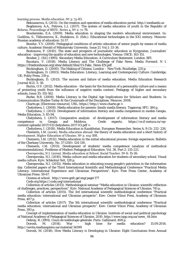learning process. Media education. № 3: 75-83.

Beknazarova, S. (2011). On the creation and operation of media education portal. http://mediaedu.uz

Bogdanova, A.A,. Petrova, L.I. (2017). The system of media education of youth in the Republic of Belarus. Proceedings of BSTU. Series 4, № 2: 71-78.

Bondarenko, E.A. (2009). Media education in shaping the modern educational environment. In: Gudilina, S., Tikhomirova, K., Rudakova, D. (Eds.). Educational technologies in the XXI century. Moscow: Russian academy of education: 51-57.

Bondur, Y.V. (2008). Pedagogical conditions of artistic education of senior pupils by means of media culture. Academic Herald of Mikolaivsky University. Issue 21. Vol.1: 33-36.

Bostonova, P. (2010). The state and prospects of journalistic education in Kyrgyzstan. Journalists' education - improving the quality of education and new technologies. Vienna: OSCE: 143-151.

Bowker, J. (Ed.) (1991). Secondary Media Education: A Curriculum Statement. London: BFI.

Bucataru, V. (2018). Media Literacy and The Challenge of Fake News. Media Forward. N 1. [https://freedomhouse.org/sites/default/files/01-Fake\\_News-EN.pdf](https://freedomhouse.org/sites/default/files/01-Fake_News-EN.pdf)

Buckingham, D. (2000). The Making of Citizens. London – New York: Routledge, 235 p.

Buckingham, D. (2003). Media Education: Literacy, Learning and Contemporary Culture. Cambridge, UK: Polity Press, 219 p.

Buckingham, D. (2013). The success and failure of media education. Media Education Research Journal 4(2): 5–18.

Burim, O.V. (2012). Media education - the basis for the formation of a personality culture and a means of protecting youth from the influence of negative media content. Pedagogy of higher and secondary schools..Issue 35: 155-162.

[Burke, B.R. \(2008\). Media Literacy in the Digital Age Implications for Scholars and Students. In](http://edu.of.ru/attach/17/40358.doc)  [Communication Studies Today At the Crossroads of the Disciplines. Moscow, 2008.](http://edu.of.ru/attach/17/40358.doc)

Charte.ge. [Electronic resource]. URL: https://http://www.charte.ge >.

Chelysheva, I. (2008). Media education for parents: family media literacy. Taganrog: SFU, 184 p.

Chelysheva, I. (2013). Development of information literacy and media competence in moden Geogia. Media Education, 3: 85-94.

Chelysheva, I. (2017). Comparative analysis of development of information literacy and media competence in Geogia and Moldova. Crede experto. https://ce.if-mstuca.ru/wpcontent/uploads/2017/03/chelysheva-2017-03.pdf >.

Chelysheva, I. (2018). Media Education in Kazakhstan. European Researcher. Series A, 9 (3): 212–226.

Chemeris, І.М. (2006). Media education abroad: the theory of media education and a short history of development. Higher Education of Ukraine. № 3: 104-108.

Chemeris, І.М. (2012). Media education in the initial educational process: foreign experience. Bulletin of the Cherkasy University. No. 37 (250): 124-130.

Chemeris, І.М. (2013). Development of students' media competence (analysis of methodical recommendations). Problems of Modern Pedagogical Education. Vol. 38. Part 2: 215-221.

Cherepovska, N.I. (2009). Media education at School. Social Teacher. № 6: 15-26.

Cherepovska, N.I. (2010). Media culture and media education for students of secondary school. Visual media culture. Kyiv: Schkolnyi Svit, 128 p.

Cherepovska, N.I. (2015). Media education in educating young people's patriotism in the information day. Collected papers of the Third International Scientific and Methodological Conference "Practical Media Literacy: International Experience and Ukrainian Perspectives". Kyiv: Free Press Center, Academy of Ukrainian Press: 59-67.

Cinema at school. <http://www.gnfc.ge/eng/page/177>

Code.org https://code.org/international

Collection of articles (2013). Methodological seminar "Media education in Ukraine: scientific reflection of challenges, practices, perspectives". Kyiv: National Academy of Pedagogical Sciences of Ukraine, 741 p.

Collection of articles (2015). The 3rd international scientific methodological conference "Practical media education: international and Ukranian prospects". Kiev: Center Vilnoi Presi, Academy of Ukranian Press, 407 p.

Collection of articles (2017). The 5th international scientific methodological conference "Practical media education: international and Ukranian prospects". Kiev: Center Vilnoi Presi, Academy of Ukranian Press, 393 p.

Concept of implementation of media education in Ukraine. Institute of social and political psychology of National Academy of Pedagogical Sciences of Ukraine. 2010[. http://www.ispp.org.ua/news\\_44.htm](http://www.ispp.org.ua/news_44.htm)

[Debray,](http://www.gallimard.fr/Contributeurs/Regis-Debray) R. (1991). Cours de médiologie générale. Paris: Gallimard, 408 p.

Dorosh, M. (2014). War – high time for media education? 15.09.2014. <http://osvita.mediasapiens.ua/material/34599>

Dorosh, M. (2018). How Media Literacy is Developing in Ukraine: Eight Conclusions from Annual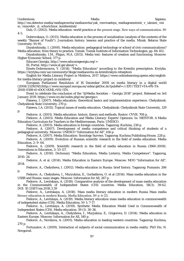Conferences. Media Sapiens. [http://ms.detector.media/mediaprosvita/mediaosvita/yak\\_rozvivaetsya\\_mediagramotnist\\_v\\_ukraini\\_visi](http://ms.detector.media/mediaprosvita/mediaosvita/yak_rozvivaetsya_mediagramotnist_v_ukraini_visim_visnovkiv_zi_schorichnoi_konferentsii/) [m\\_visnovkiv\\_zi\\_schorichnoi\\_konferentsii/](http://ms.detector.media/mediaprosvita/mediaosvita/yak_rozvivaetsya_mediagramotnist_v_ukraini_visim_visnovkiv_zi_schorichnoi_konferentsii/)

Dub, O. (2002). Media education: world practice at the present stage. New ways of communication. № 4-5.

Dubrovskaya, O. (2013). Media education in the process of socialization (analysis of the contents of the weekly "Banner of Youth"). Journalism history: lessons and practice of the media. Minsk: Belarus State University: 91-95.

Dzyaloshinsky, I. (2008). Media education: pedagogical technology or school of civic communications? Media education: from theory to practice. Tomsk: Tomsk Institute of Information Technologies, pp. 84-102.

Dzyaloshinsky, I.M., Pilgun, M.A. (2011). Media text: features of creation and functioning. Мoscow: Higher Economic School, 377 p.

Educare Georgia[. http://www.educaregeorgia.org/>](http://www.educaregeorgia.org/).

EL Portal. [http://www.el.ge/about/>](http://www.el.ge/about/).

Emets-Dobronosova, Y. (2014). "Media Education" according to the Kremlin prescription. Krytyka. <https://krytyka.com/ua/community/blogs/mediaosvita-za-kremlivskym-retseptom>

English for Media Literacy Project in Moldova, 2017. [https://www.onlinelearning.upenn.edu/english](https://www.onlinelearning.upenn.edu/english-for-media-literacy-project-in-moldova/)[for-media-literacy-project-in-moldova/](https://www.onlinelearning.upenn.edu/english-for-media-literacy-project-in-moldova/)

European Parliament Resolution of 16 December 2008 on media literacy in a digital world [\(2008/2129\(INI\)\)](http://www.europarl.europa.eu/oeil/FindByProcnum.do?lang=en&procnum=INI/2008/2129)[http://www.europarl.europa.eu/sides/getDoc.do?pubRef=-//EP//TEXT+TA+P6-TA-](http://www.europarl.europa.eu/sides/getDoc.do?pubRef=-//EP//TEXT+TA+P6-TA-2008-0598+0+DOC+XML+V0//EN)[2008-0598+0+DOC+XML+V0//EN.](http://www.europarl.europa.eu/sides/getDoc.do?pubRef=-//EP//TEXT+TA+P6-TA-2008-0598+0+DOC+XML+V0//EN) 

Event to celebrate [the conclusion of the "@Media Societies –](https://www.irz.de/index.php/en/georgia/2083-event-to-celebrate-the-conclusion-of-the-media-societies-georgia-2018) Georgia 2018" project. Released on 3rd January 2019. [https://www.irz.de/index.php/en/georgia>](https://www.irz.de/index.php/en/georgia).

Fateeva, I. (2007). Media education: theoretical basics and implementation experience. Chelyabinsk: Chelyabinsk State University, 270 p.

Fateeva, I.A. (2015). Topical issues of media education. Chelyabinsk: Chelyabinsk State University, 129 p.

Fedorov, A. (2001). Media education: history, theory and methods. Rostov: CVVR, 708 p.

Fedorov, A. (2003). Media Education and Media Literacy: Experts' Opinions. In: MENTOR. A Media Education Curriculum for Teachers in the Mediterranean. Paris: UNESCO.

Fedorov, A. (2003). Media education in foreign countries. Taganrog: Kuchma, 238 p.

Fedorov, A. (2007). Development of media competence and critical thinking of students of a pedagogical university. Moscow: UNESCO "Information for All", 616 p.

Fedorov, A. (2007). Media Education: Sociology Surveys. Taganrog: Kuchma Publishing House, 228 p. Fedorov, A. (2009). Evolution of Russian scientific research in the field of media education. Media Education, 2: 9–64.

Fedorov, A. (2009). Scientific research in the field of media education in Russia (1960-2008). Innovations in Education, 3: 53-117.

Fedorov, A. (2010). Dictionary "Media Education, Media Lintercy, Media Competence". Taganrog, 2010: 24.

Fedorov, A. et al. (2014). Media Education in Eastern Europe. Moscow: MOO "Information for All", 2014.

Fedorov, A., Chelysheva, I. (2002). Media education in Russia: brief history. Taganrog: Poznanie, 266 p.

Fedorov, A., Chelysheva, I., Muryukina, E., Gorbatkova, O. et al (2014). Mass media education in the USSR and Russia: main stages. Moscow: Information for All, 267 p.

Fedorov, A., Levitskaya, A. (2018). Comparative analysis of the development of mass media education

in the Commonwealth of Independent States (CIS) countries. Media Education, 58(3): 39-62. DOI: [10.13187/me.2018.3.39](http://dx.doi.org/10.13187/me.2018.3.39)

Fedorov, A., Levitskaya, A. (2018). Mass media literacy education in modern Russia Mass media literacy education in modern Russia. Media Education. № 2: 6-23.

Fedorov, A., Levitslaya, A. (2019). [Media literacy education mass media education in commonwealth](https://elibrary.ru/item.asp?id=32581379)  [of independent states \(CIS\).](https://elibrary.ru/item.asp?id=32581379) Media Education, [№](https://elibrary.ru/contents.asp?id=34835914&selid=32581379) 1: 7-17.

Fedorov, A., Levitslaya, A. (2019). Synthetic Media Education Model Used in Commonwealth of Independent States (CIS). Media education, 59 (1): 30-36.

Fedorov, A., Levitskaya, A., Chelysheva, I., Murjukina, E., Grigorova, D. (2014). Media education in Eastern Europe. Moscow: Information for All, 140 p.

Fedorov, A., Novikova, A. (2005). Media education in leading western countries. Taganrog: Kuchma, 270 p.

Fortunatov, A. (2009). Interaction of subjects of social communication in media reality. PhD Dis. N. Novgorod.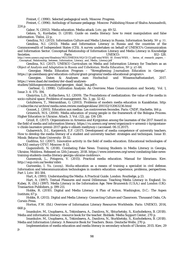Freinet, C. (1990). Selected pedagogical work. Moscow: Progress.

Freinet, C. (1996). Anthology of humane pedagogy. Moscow: Publishing House of Shalva Amonashvili, 224 p.

Gabor, N. (2002). Media education. Media-attack. Lviv, pp. 49-52.

Gelava, S., Kurdadze, D. (2018). Guide on media literacy: how to resist manipulation and false information. Tbilisi, 22 p.

Gendina, N.I. (2013). Information Culture and Media Literacy in Russia. Information Society. Nº 4: 77. Gendina, N.I. (2013). Media and Information Literacy in Russia and the countries of the Commonwealth of Independent States (CIS). A survey undertaken on behalf of UNESCO's Communication and Information Sector. Conceptual Relationship of Information Literacy and Media Literacy in Knowledge

Societies. Paris: UNESCO: 102–128. [http://www.unesco.org/new/fileadmin/MULTIMEDIA/HQ/CI/CI/pdf/wsis/WSIS\\_10\\_Event/WSIS\\_–\\_Series\\_of\\_research\\_papers\\_–](http://www.unesco.org/new/fileadmin/MULTIMEDIA/HQ/CI/CI/pdf/wsis/WSIS_10_Event/WSIS_%E2%80%93_Series_of_research_papers_%E2%80%93_Conceptual_Relationship_between_Information_Literacy_and_Media_Literacy.pdf) [\\_Conceptual\\_Relationship\\_between\\_Information\\_Literacy\\_and\\_Media\\_Literacy.pdf](http://www.unesco.org/new/fileadmin/MULTIMEDIA/HQ/CI/CI/pdf/wsis/WSIS_10_Event/WSIS_%E2%80%93_Series_of_research_papers_%E2%80%93_Conceptual_Relationship_between_Information_Literacy_and_Media_Literacy.pdf)

Gendina, N.I. (2017). UNESCO Curriculum on Media and Information Literacy for Teachers as an Object of Analysis and Adaptation in Russia and Uzbekistan. Media Education, № 3: 27-44.

Georgian Media Education Program – "Strengthening Journalism Education in Georgia". https://ge.usembassy.gov/education-culture/grant-programs/media-educational-program>.

Georgien. Daten & Analysen zum Hochschul- und Wissenschaftsstandort, 2017. [https://www.daad.de/medien/der-daad/analysen-](https://www.daad.de/medien/der-daad/analysen-studien/bildungssystemanalyse/georgien_daad_bsa.pdf)

[studien/bildungssystemanalyse/georgien\\_daad\\_bsa.pdf>](https://www.daad.de/medien/der-daad/analysen-studien/bildungssystemanalyse/georgien_daad_bsa.pdf).

Gerbner, G. (1998). Cultivation Analysis: An Overview. Mass Communication and Society, Vol. 1, Issue 3–4: 175–194.

Glazyrina, L.D., Kolbycheva, S.I. (2009). The Foundations of mediatization: the value of the media in socio-cultural space. Problems of management. No. 3, pp. 32-42.

Golubtsova, T., Meiramkhan, G. (2003). Problems of modern media education in Kazakhstan. http: //subscribe.ru/archive/media.news.review.mediaproklass/200312/02063236.html

Gonnet, J. (2001). Education aux medias: Les controverses fecondes. Paris: CNDP, Hachette, 144 p.

Grinevich, M.S. (2008). Media education of young people in the framework of the Bologna Process. Higher Education in Ukraine. Attach. 3. Vol. (12), pp. 134-139.

Grizzl, E. (2017). Organizations in Armenia and Kyrgyzstan among the laureates of the 2017 Award in the field of media and information literacy. [https://ru.unesco.org/news/organizacii-v-armenii-i-kyrgyzstane](https://ru.unesco.org/news/organizacii-v-armenii-i-kyrgyzstane-v-chisle-laureatov-premii-2017-goda-v-oblasti-mediynoy-i)[v-chisle-laureatov-premii-2017-goda-v-oblasti-mediynoy-i](https://ru.unesco.org/news/organizacii-v-armenii-i-kyrgyzstane-v-chisle-laureatov-premii-2017-goda-v-oblasti-mediynoy-i) (accessed: 06.11.2017).

Gubarevich, D.I., Karpievich, E.F. (2017). Development of media competence of university teachers. How to develop the media literacy of a student and university teacher: strategies and techniques. Issue 10. Minsk: Belarus State University: 19-32.

Gudilina, S.I. (2007). Innovative activity in the field of media education. Educational technologies of the XXI century OT'07. Moscow: 8-13.

Gugunishvili, N. (2018). Combating Fake News: Training Students in Media Literacy in Georgia, Ukraine, Moldova. Released on 12th January, 2018. [https://www.internews.org/news/combating-fake-news](https://www.internews.org/news/combating-fake-news-training-students-media-literacy-georgia-ukraine-moldova)[training-students-media-literacy-georgia-ukraine-moldova>](https://www.internews.org/news/combating-fake-news-training-students-media-literacy-georgia-ukraine-moldova).

Gumenyuk, L., Potapova, V. (2015). Practical media education. Manual for librarians. Kiev. <http://aup.com.ua/books/mbm>

Gurinenko, I. Yu. (2009). Mediа-education as a means of training a specialist in civil defense. Information and telecommunication technologies in modern education: experience, problems, perspectives. Part 1. Lviv: 181-184.

Hart, A. (1991). Understanding the Media: A Practical Guide. London: Routledge, p.13.

Hart, A. (1997). Textual Pleasures and moral Dillemmas: Teaching Media Literacy in England. In: Kubey, R. (Ed.) (1997). Media Literacy in the Information Age. New Brunswick (U.S.A.) and London (UK): Transaction Publishers, p. 199-211.

Hobbs, R. (2010). Digital and Media Literacy: A Plan of Action. Washington, D.C.: The Aspen Institute, 67 p.

Hobbs, R. (2011). Digital and Media Literacy: Connecting Culture and Classroom. Thousand Oaks, CA: Corwin Press.

Horton, F.W. (Ed.) Overview of Information Literacy Resources Worldwide. Paris: UNESCO, 2014, 668 p.

Imankulov, M., Usupbaeva, A., Tekimbaeva, A., Danilova, N., Shturhetsky, S., Kozhobekova, B. (2018). Media and information literacy: resource book for the teacher. Bishkek: Media Support Center, 270 p.

Imankulov, M., Usupbaeva, A., Tekimbaeva, A., Danilova, N., Sturkhetsky, S., Kozhobekova, B. (2018). Media and Information Literacy: A Resource Book for Teachers. Bonn: Deutsche Welle, 270 p.

Implementation of media education and media literacy in secondary schools of Ukraine, 2015. Kiev, 29 p.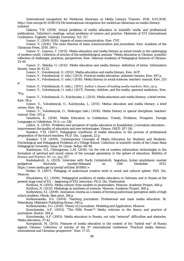International recognition for Moldovan librarians as Media Literacy Trainers, 2018, 4.05.2018. [http://irex-europe.fr/2018/05/04/international-recognition-for-moldovan-librarians-as-media-literacy](http://irex-europe.fr/2018/05/04/international-recognition-for-moldovan-librarians-as-media-literacy-trainers/)[trainers/](http://irex-europe.fr/2018/05/04/international-recognition-for-moldovan-librarians-as-media-literacy-trainers/)

Isakova, T.B. (2019). Actual problems of media education in scientific works and professional publications. Tatischev's readings: actual problems of science and practice. Materials of XVI International Conference. Togliatti: Volzhsky University: 113–117.

Ivanov, V. (2009-2010). Aspects of mass communication. Kiev: CVP.

Ivanov, V. (2010). The main theories of mass communication and journalism. Kiev: Academy of the Ukrainian Press, 2010. 260 c.

Ivanov, V., Ivanova, Т. (2013). Media education and media literacy as actual trends in the upbringing of modern youth. Collection of articles of the methodological seminar "Media education in Ukraine: scientific reflection of challenges, practices, perspectives. Kiev: National Academy of Pedagogical Sciences of Ukraine: 25-44.

Ivanov, V., Shkoba, O. (2012). Media education and media literacy: definition of terms. Information Society. Issue 16: 41-52.

Ivanov, V., Voloshenyuk, O. (2012). Media education and media literacy. Kiev: AUP.

Ivanov, V., Voloshenyuk, O. (eds.) (2013). Practical media education: authentic lessons. Kiev, 447 p.

Ivanov, V., Voloshenyuk, O. (eds.) (2016). Media literacy in social sciences: teachers' manual. Kiev, 253

p.

Ivanov, V., Voloshenyuk, O. (eds.). (2017). Author's classes of leading media teachers. Кiev, 50 p.

Ivanov, V., Voloshenyuk, O. (eds.) (2017). Parents, children, and the media: parental mediation. Kiev, 79 p.

Ivanov, V., Voloshenyuk, O., Kulchynska, L. (2011). Media education and media literacy: a brief review. Kiev: 58 p.

Ivanov, V., Voloshenyuk, O., Kulchynska, L. (2011). Medua education and media literacy: a brief review. Kiev: 58 p.

Ivanov, V., Voloshenyuk, O., Mokroguz (eds.) (2016). Media literacy in special disciplines: teachers' manual. Kiev, 201 p.

Izmailova, K. (2016). Media Education in Uzbekistan: Trends, Problems, Prospects. Foreign Languages in Uzbekistan. № 6: 121-126.

Jalilov, A. (2010). Problems and prospects of media education in Kazakhstan. Journalism education improvement the quality of education and new technologies. Vienna: OSCE: 107-116.

Kazakov, Y.M. (2007). Pedagogical conditions of media education in the process of professional preparation of the future teachers. Ph.D. Dis.. Lugansk, 22 p.

Kazakov, Y.M. (2009). Contemporary Concepts of Media Education for Students and Students. Psychological and Pedagogical Problems of a Village School: Collection of scientific works of the Uman State Pedagogical University. Issue 29. Uman: Sofiya: 88-94.

Kazdanyan, S.S., Chilingaryan, L.M. (2016). On the role of modern information technologies in the formation of spiritual and moral values of the younger generation in the sphere of education. Bulletin of Science and Practice. №. 10: 353-357.

Keshelashvili, A. (2013). Interview with Dachi Grdzelishvili. Segodnya, lyuboi grazhdanin mozhet podgotovit khoroshii syuzhet.Released on 25th December 2013. https://www.media.ge/ru/portal/articles/301980/>.

Khilko, N. (2007). Pedagogy of audiovisual creative work in social and cultural sphere. PhD. Dis. Moscow.

Khudoleeva, E.I. (2006). Pedagogical problems of media education in Germany and in Russia at the present stage (end of XX – beginning of XXI centuries). Ph.D. Dis. Vladivostok.

Kirillova, N. (2005). Media culture: from modern to postmodern. Moscow: Academic Project, 448 p.

Kirillova, N. (2012). Medialogy as synthesis of sciences. Moscow: Academic Project, 368 p.

Kolbysheva, S.I. (2009). Animation cinema as a means of forming audiovisual perception skills of high school students. Minsk: Best print, 194 p.

Korkonosenko, S.G. (2004). Teaching journalism. Professional and mass media education. St. Petersburg: Mikhailov Publishing House, 240 p.

Korkonosenko, S.G. (2010). Theory of Journalism: Modeling and Application. Moscow.

Korochensky, A.P. (2003). "The Fifth Power"? Media criticism in the theory and practice of journalism. Rostov, 284 p.

Korochensky, A.P. (2005). Media education in Russia: not only "external" difficulties and obstacles. Media education: 37-42.

Koropatnik, M. (2015). Features of media education in the context of the "hybrid war" of Russia against Ukraine. Collection of articles of the 3<sup>rd</sup> international conference "Practical media literacy: international and Ukranian prospective". Kiev: 17-25.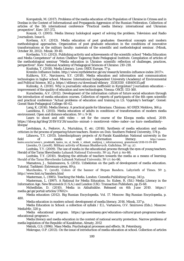Koropatnik, M. (2017). Problems of the media education of the Population of Ukraine in Crimea and in Donbas in the Context of Informational and Propaganda Aggression of the Russian Federation. Collection of articles of the 5th international conference "Practical media literacy: international and Ukranian prospective". Kiev: 357-372.

Kosyuk, O. (2005). Media literacy ludological aspect of solving the problem. Television and Radio Journalism. Issue 6.

Kovbasa, A.V. (2013). Media education of post graduates: theoretical concepts and modern methodological approaches. Organization of post graduate education in the conditions of innovative transformations at the military faculty: materials of the scientific and methodological seminar. (Minsk, October 30, 2012). Minsk: 39-40.

Kovbasko, Y.O. (2013). Publishing activity and achievements of the scientific school "Media Education and Media Competence" of Anton Chekhov Taganrog State Pedagogical Institute. Compilation of articles of the methodological seminar "Media education in Ukraine: scientific reflection of challenges, practices, perspectives". Kiev: National Academy of Pedagogical Sciences of Ukraine: 210-218.

Kozitska, T. (2018). Media Literacy. Lyon: IREX Europe, 77 p.

Kremlin Influence Index. [http://www.mythdetector.ge/en/research/kremlin-influence-index-2017>](http://www.mythdetector.ge/en/research/kremlin-influence-index-2017).

Kulikova, S.V., Narcissova, S.Y. (2018). Media education and information and communication technologies in higher school. Moscow: International Independent University (Academy) of Environmental and Political Science, 162 p. https://elibrary.ru/download/elibrary\_35383150\_61840035.pdf

Kulinsky, A. (2010). Why is journalistic education inefficient in Kyrgyzstan? Journalism education – improvement of the quality of education and new technologies. Vienna: OSCE: 153-160.

Kurachenko, A.V. (2012). Development of the information culture of future social educators through the introduction of media education courses. Collection of reports of participants of the 4th open scientific and practical conference "Actual problems of education and training in LS. Vygotsky's heritage". Gomel: Gomel State Pedagogical College: 60-62.

Lang, K. (2016). Media literacy. A practical guide for librarians. Chisinau: AO IREX Moldova, 166 p.

Lazutkina, E. (2015). Media education of adults in conditions of transformation of modern media environment. Open and distance education. № 1: 9-14.

Learn to shoot and edit video – set for the course of the Kloopa media school. 2019. https://kloop.kg/blog/2019/03/26/nauchis–snimat–i–montirovat–video–nabor–na–kurs–mediashkoly– kloopa/

Levitskaya, A., Fedorov, A., Muriukina, E. etc. (2016). Synthesis of media education and media criticism in the process of preparing future teachers. Rostov-on-Don: Southern Federal University, 574 p.

Lifanova, T.Y. (2015). Interdisciplinary projects of Al-Farabi Kazakhstan National university in the field of media and information literacy. [http://unesco](http://unesco-kaznu.ucoz.kz/news/o_proektakh_kaznu_im_al_farabi_v_oblasti_medijnoj_i_informacionnoj_gramotnosti/2018-01-09-499)[kaznu.ucoz.kz/news/o\\_proektakh\\_kaznu\\_im\\_al\\_farabi\\_v\\_oblasti\\_medijnoj\\_i\\_informacionnoj\\_gramotnosti/2018-01-09-499](http://unesco-kaznu.ucoz.kz/news/o_proektakh_kaznu_im_al_farabi_v_oblasti_medijnoj_i_informacionnoj_gramotnosti/2018-01-09-499)

Lisenko, O. (2008). Military activity of Roman Shukhevych. Galichina. № 14: 27.

Lozitska, T.Y. (2009). The use of media in the educational process through the eyes of young teachers. Herald of the Taras Shevchenko Luhansk National University. № 23. Part 2: 60-66.

Lozitska, T.Y. (2010). Studying the attitude of teachers towards the media as a means of learning. Herald of the Taras Shevchenko Luhansk National University. № 17: 60-66.

Mamatova, J., Sulaimanova, S. (2015). Uzbekistan on the path of development of media education. Tutorial. Tashkent: Extremum-press, 89 p.

Marchenko, V. (2018). Colors of the banner of Stepan Bandera. Labyrinth of Times. № 5. <http://www.hist.ru/bandera.html>

Masterman, L. (1985). Teaching the Media. London: Comedia Publishing Group, 341 p.

Masterman, L. (1997). A Rational for Media Education. In: Kubey, R. (Ed.) Media Literacy in the Information Age. New Brunswick (U.S.A.) and London (UK): Transaction Publishers, pp.15-68.

Mchedlidze, D. (2010). Media in Akhaltsikhe. Released on 6th June 2010. https:// media.ge/ge/portal/articles/37602>.

Media education (2012). Big Russian Encyclopedia. Vol. 17. Moscow: Big Russian Encyclopedia, p. 480.

Media education in modern school: development of media literacy, 2016. Minsk, 337 p.

Media Education in School: a collection of syllabi / E.L. Vartanova, O.V. Smirnova (Eds.). Moscow: MediaMir, 320 p.

Media educational program. https://ge.usembassy.gov/education-culture/grant-programs/mediaeducational-program>.

Media literacy and media education in the context of national security protection. Narrow problems of media legislation of the Republic of Kazakhstan. Almaty, 2012

Melnik, G.S. (1996). Mass Media. Psychological processes and effects. St. Petersburg.

Mokroguz, O.P. (2013). On the issue of introduction of media education at school. Collection of articles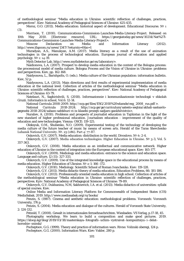of methodological seminar "Media education in Ukraine: scientific reflection of challenges, practices, perspectives". Kiev: National Academy of Pedagogical Sciences of Ukraine: 425-435.

Moroz, O.O. (2011). Media education: historical aspect of development. Educational Discourse. № 1 (3).

Morrison, T. (2010). Communications-Commission-Launches-Media-Literacy-Project. Released on 10th May 2010. [Electronic resource]. URL: https://georgiatoday.ge/news/10214/Nat%27l-Communications-Commission-Launches-Media-Literacy-Project>.

Moscow Declaration on Media and Information Literacy (2012). <http://www.ifapcom.ru/news/1347/?returnto=0&n=1>

Muradyan, A.S., Manukyan, A.M. (2017). Media literacy as a result of the use of animation technologies in the process of technological education. European journal of education and applied psychology. № 1: 14-19.

Myth Detector Lab. [http://www.mythdetector.ge/en/laboratory>](http://www.mythdetector.ge/en/laboratory).

Naidionova, L.A. (2007). Prospect to develop media education in the context of the Bologna process: the processional model of media culture. Bologna Process and the Vision of Ukraine in Ukraine: problems and perspectives. Kiev, pp. 162-168.

Naidyonova, L., Barishpolts, O. (eds.). Media culture of the Ukranian population: information bulletin. Kiev, 52 p.

Naidyonova, L.A. (2013). Main directions and first results of experimental implementation of media education at the national level. Collection of articles of the methodological seminar "Media education in Ukraine: scientific reflection of challenges, practices, perspectives". Kiev: National Academy of Pedagogical Sciences of Ukraine: 63-79.

Natelauri, N., Saghirishvili, S. (2018). Informazionnie i kommunikazionnie technologii v shkolah Gruzii. Informatics in school, Vol.6: 12-14.

National Curricula 2008-2009. [http://ncp.ge/files/ESG/2010%20wlamde/esg\\_2008\\_rus.pdf](http://ncp.ge/files/ESG/2010%20wlamde/esg_2008_rus.pdf) >.

National Curricula 2018-2024. [http://ncp.ge/ge/curriculum/satesto-seqtsia/akhali-sastsavlo](http://ncp.ge/ge/curriculum/satesto-seqtsia/akhali-sastsavlo-gegmebi-2018-2024/sabazo-safekhuri-vi-ix-klasebi-proeqti-sadjaro-gankhilvistvis)[gegmebi-2018-2024/sabazo-safekhuri-vi-ix-klasebi-proeqti-sadjaro-gankhilvistvis>](http://ncp.ge/ge/curriculum/satesto-seqtsia/akhali-sastsavlo-gegmebi-2018-2024/sabazo-safekhuri-vi-ix-klasebi-proeqti-sadjaro-gankhilvistvis).

Nuraliev, A. (2010). Problems and prospects of journalist education in Tajikistan in the light of the new standard of higher professional education. Journalism education - improvement of the quality of education and new technologies. Vienna: OSCE: 119-125.

Oleksyuk, O.M., Shubenko, N.O. (2009). Experimental testing of the technology of developing the media culture of the future teacher of music by means of screen arts. Herald of the Taras Shevchenko Luhansk National University. №. 23 (186). Part 4: 77-87.

Onkovich, G.V. (2007). Media education: distribution in the world. Divoslovo. № 6: 2-4.

Onkovych, G.V. (2007). Media education technologies. Higher Education in Ukraine. № 3-3, Vol. 5: 357-363.

Onkovych, G.V. (2008). Media education as an intellectual and communicative network. Higher education of Ukraine in the context of integration into the European educational space. Kiev: 165-177.

Onkovych, G.V. (2009). Mediology and media education: entrance to the science and education space. Language and culture, 12 (11): 327-333.

Onkovych, G.V. (2009). Use of the integrated knowledge space in the educational process by means of media education. Higher Education of Ukraine. № 2-1: 166 -172.

Onkovych, G.V. (2010). Mediology. Scientific School of Roman Ivanchenko. Kiev: 119-128.

Onkovych, G.V. (2011). Media didactic theory of media education. Education Problems, 66: 181-186.

Onkovych, G.V. (2013). Professionally oriented media education in high school. Collection of articles of the methodological seminar "Media education in Ukraine: scientific reflection of challenges, practices, perspectives. Kyiv: National Academy of Pedagogical Sciences of Ukraine: 79-89.

Onkovych, G.V, Dukhanina, N.M, Sakhnevich, I.A. et al. (2013). Media didactics of universities: syllabi of special courses. Kiev.

Online Media and Information Literacy Platform for Commonwealth of Independent States (СIS) MediaSabak. 2019. http://www.mediasabak.org/ru/books/

Penzin, S. (1987). Cinema and aesthetic education: methodological problems. Voronezh: Voronezh University, 176 p.

Penzin, S. (2004). Media education and dialogue of the cultures. Herald of Voronezh State University, 2: 124-132.

Petzold, T. (2008). Gewalt in internationalen fernsehnachrichten. Wiesbaden: VS Verlag, p.17-18, 45.

Photography workshop. We learn to build a composition and make good pictures. 2019. https://kloop.kg/blog/2019/03/18/masterskaya–fotografii–uchim–vystraivat–kompozitsiyu–i–delat– horoshie–snimki/

Pocheptsov, G.G. (1999). Theory and practice of information wars. Rivne: Volinski oberegi, 124 p. Pocheptsov, G.G. (2000). Information Wars. Kiev: Vakler, 280 p.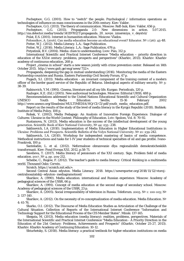Pocheptsov, G.G. (2001). How to "switch" the people. Psychological / information operations as technologies of influence on mass consciousness in the 20th century. Kiev: Vakler.

Pocheptsov, G.G. (2011). The theory of communication. Moscow: Refl-buk; Kiev: Vakler, 656 p.

Pocheptsov, G.G. (2015). Propaganda 2.0: New dimensions in action. 5.07.2015.

[http://ms.detector.media/trends/1411978127/propaganda\\_20\\_novye\\_izmereniya\\_v\\_deystvii/](http://ms.detector.media/trends/1411978127/propaganda_20_novye_izmereniya_v_deystvii/) Polat, E.S. (2001). Internet in humanities education. Moscow: Vlados.

Polonnikov, A. (2016). Can media education become an educational event? Educator. Nº 1 (26): 45-48.

Potter, W.J. (2012). Media Literacy. L.A.: Sage Publication.

Potter, W.J. (2016). Media Literacy. L.A.: Sage Publication, 676 p.

Potyatinik, B.V. (2004). Media: clues to understanding. Lvov: Pais, 312 p.

International Scientific and Practical Internet Conference "Media education – priority direction in education of the XXIst century: problems, prospects and perspectives" (Kharkiv, 2013). Kharkiv: Kharkiv academy of continuous education, 268 p.

Project "cinema in school" starts a new season jointly with crime prevention center. Released on 14th October 2015. [http://www.gnfc.ge/eng/news/732>](http://www.gnfc.ge/eng/news/732).

Propaganda, deepening the gap in mutual understanding (2016). Monitoring the media of the Eastern Partnership countries and Russia. Eastern Partnership Civil Society Forum, 47 p.

Pugach, S.I. (2011). Media education - an invariant component of the training content of a modern officer of the border guard service of the Republic of Belarus. Ideological aspects of military security.  $N^{\circ}$  3: 38-39.

Rabinovich, Y.M. (1991). Cinema, literature and all my life. Kurgan: Periodicals, 120 p.

Razlogov, K.E. (Ed.) (2005). New audiovisual technologies. Moscow: Editorial URSS, 488 p.

Recommendations addressed to the United Nations Educational Scientific and Cultural Organization<br>UNESCO Youth Media Education Seville, 15-16 February 2002 UNESCO Youth Media Education Seville, 15-16 February 2002 http://www.unesco.org/fileadmin/MULTIMEDIA/HQ/CI/CI/pdf/youth\_media\_education.pdf.

Report on the results of the study of the level of media literacy in the Kyrgyz Republic (2018). Bishkek: Institute of Media Policy, 108 p.

Robak, V. (2002). Media Pedagogy: An Analysis of Innovative Foreign Experience. Dialogue of Cultures: Ukraine in the World Context: Philosophy of Education. Lviv: Spolom, Vol. 8: 70-92.

Rustamova, N. (2013). Media education is the success of the intellectual development of the young generation. Scientific Book of Kiev National University, № 44: 235–238.

Sakhnevich, I.A. (2010). Implementation of Media Education in Higher Educational Institutions in Ukraine: Problems and Prospects. Scientific Bulletin of the Volyn National University. № 21: 239-242.

Sakhnevich, I.A. (2010). Workshop for independent mastering of basics of media competence. Methodical instructions and tasks for I-IV year students of technical specialties of oil and gas profile. Ivano-Frankivsk, 100 p.

Santeladze, L. et al. (2012). Neformalnoe obrazovanie dlya regionalinikh demokraticheskikh transformazii. Kiev: Fond Evropa XXI, 2012, p.58-71.

Savelieva, T. (2017). Media literacy of pensioners of the XXI century. Sign. Problem field of media education. 2017. № 4, pp. 209-212.

Scheibe, C., Rogow, F. (2012). The teacher's guide to media literacy: Critical thinking in a multimedia world. Thousand Oaks: Corwin.

Scratch. https://scratch.mit.edu>.

Second Central Asian edyuton. Media Literacy. 2018. https://newreporter.org/2018/11/12/vtoroj– centralnoaziatskij–edyuton–mediagramotnost/

Sharikov, A. (1990). Media education: international and Russian experience. Moscow: Academy of pedagogical sciences of the USSR, 66 p.

Sharikov, A. (1991). Concept of media education at the second stage of secondary school. Moscow: Academy of pedagogical sciences of the USSR, 23 p.

Sharikov, A. (2005). Social irresponsibility of television in Russia. Teleforum. 2005. № 1: 100-105; № 2: 137-140.

Sharikov, A. (2012). On the necessity of re-conceptualization of media education. Media Education. Nº 4: 61-76.

Sharko, O.I. (2012). The Discourse of Media Education Studies as Articulation of the Challenge of the Cultural Situation. Collection of Reports of the International Internet Conference "Information and Technology Support for the Educational Process of the CIS Member States". Minsk: 137-145.

Sheguta, M. (2013). Media education (media literacy): realities, problems, perspectives. Materials of the International Scientific and Practical Internet Conference "Media Education - A Priority Direction in the Education of the 21st Century: Problems, Achievements and Prospects" (Kharkiv, October 25-27, 2013). Kharkiv: Kharkiv Academy of Continuing Education: 10-12.

Shturhetsky, S. (2018). Media literacy: a practical textbook for higher education institutions on media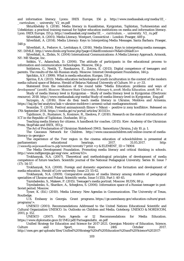and information literacy. Lyons: IREX Europe, 156 p. [http://www.mediasabak.org/media/IE\\_-](http://www.mediasabak.org/media/IE_-_curriculum_-_university_V2_en.pdf) [\\_curriculum\\_-\\_university\\_V2\\_en.pdf](http://www.mediasabak.org/media/IE_-_curriculum_-_university_V2_en.pdf)

Shturkhetsky S. (2018). Media literacy in Kazakhstan, Kyrgyzstan, Tajikistan, Turkmenistan and Uzbekistan: a practical training manual for higher education institutions on media and information literacy. Lyon: IREX Europe, 155 p. [http://mediasabak.org/media/IE\\_–\\_curriculum\\_–\\_university\\_V2\\_ru.pdf](http://mediasabak.org/media/IE_-_curriculum_-_university_V2_ru.pdf)

Silverblatt, A. (2001). Media Literacy. Westport, Connecticut – London: Praeger, 449 p.

Silverblatt, A. (2014). Media Literacy: Keys to Interpreting Media Messages. Santa Barbara: Praeger, 548 p.

Silverblatt, A., Fedorov A., Levitskaya A. (2016). Media literacy. Keys to interpreting media messages. NY: DIMLE. [http://www.dimle.org/home.php?page=13&idEccezione=76&id=28&idCo=](http://www.dimle.org/home.php?page=13&idEccezione=76&id=28&idCo)

Silverblatt, A., Zlobin, N. (2004) International Communications: A Media Literacy Approach. Armonk, NY: ME Sharpe, Inc.

Sobkin, V., Adamchuk, D. (2006). The attitude of participants in the educational process to information and communication technologies. Moscow, 156 p.

Soldatova, G., Nestik, T., Rasskazova, E., Zotova, E. (2013). Digital competence of teenagers and parents. The results of the All-Russian study. Moscow: Internet Development Foundation, 144 p.

Spichkin, A.V. (1999). What is media education. Kurgan, 114 p.

Spirina, E.A. (2013). Media education technologies of youth inculturation in the context of the modern media cultural space of Belarus. Herald of Belarus National University of Culture. № 2: 27-33.

Statement from the resolution of the round table "Media Education: problems and ways of development" (2008). Moscow: Moscow State University, February 6, 2008. Media Education. 2008. № 2.

Study of media literacy level in Kyrgyzstan – Study of media literacy level in Kyrgyzstan (Electronic resource). 2018. http://www.mediasabak.org/media/Study-of-media-literacy-level-in-Kyrgyzstan\_Eng.pdf

Suryapin, A. (2016). How do they teach media literacy in Ukraine, Moldova and Armenia. <https://baj.by/be/analytics/kak-v-ukraine-moldove-i-armenii-uchat-mediagramotnosti>

Svanidze, T. (2014). Festival animazionnih filmov v Nikozi – positive iz zony konfliktov. Released on 17th September 2014. https://media.ge/ru/portal/articles/303113>.

Tajidinnov, D., Rustamov, S., Kosimov, R., Ibodova, P. (2010). Research on the state of introduction of ICT in the Republic of Tajikistan. Dushanbe, 101 p.

Teaching media literacy for citizens. A handbook for coaches. (2015). Kiev: Academy of the Ukrainian Press, StopFake and IREX, 193 p.

The Act of Proclamation of Ukrainian Statehood (1941). Samostiyna Ukraina, July 10, p. 1.

The Caucasus Network for Children. http://www.caucasuschildren.net/online-course-of-medialiteracy-in-georgia>

The experience of the Tver region in the cinema education of schoolchildren is presented at parliamentary educational hearings, 2017. 31.05.2017. http: //минобр.верскаяобласть.рф/novosti/novosti/? print = y & ELEMENT\_ID = 74904

The Media Development Foundation. Promoting media literacy and critical thinking in schools. [http://www.mdfgeorgia.ge/eng/view\\_actives/63>](http://www.mdfgeorgia.ge/eng/view_actives/63).

Trokhanyak, N.A. (2007). Theoretical and methodological principles of development of media competence of future teachers. Scientific journal of the National Pedagogical University. Series 16. Issue 7 (17): 54-57.

Trokhanyak, N.A. (2008). Foreign and domestic experience of the formation and development of media education. Herald of Lviv university. Issue 23: 55-62.

Trokhanyak, N.A. (2009). Comparative analysis of media literacy among students of pedagogical specialties of Ukraine and Poland. Scientific works. Issue 5 (155). Part I: 40-45.

Tsymbalenko, S., Makeev, P. (2015). Teenager's media portrait. Moscow: RUDN, 88 p.

Tsymbalenko, S., Sharikov, A., Scheglova, S. (2006). Information space of a Russian teenager in post-Soviet period. Moscow.

Tyner, K. (Ed.) (2010). Media Literacy: New Agendas in Communication. The University of Texas, Routledge.

U.S. Embassy in Georgia. Grant programs. [https://ge.usembassy.gov/education-culture/grant](https://ge.usembassy.gov/education-culture/grant-programs/)[programs/>](https://ge.usembassy.gov/education-culture/grant-programs/).

UNESCO (2001). Recommendations Addressed to the United Nations Educational Scientific and Cultural Organization UNESCO. In: Outlooks on Children and Media. Goteborg: UNESCO & NORDICOM, 2001, p. 152.

UNESCO (2007). Paris Agenda or 12 Recommendations for Media Education. [https://www.diplomatie.gouv.fr/IMG/pdf/Parisagendafin\\_en.pdf](https://www.diplomatie.gouv.fr/IMG/pdf/Parisagendafin_en.pdf)

Unified Strategy for Education and Science for 2017-2021. Georgian Ministry of Education, Science, Culture and Sport, from 24th October 2017. http://mes.gov.ge/uploads/files/Unified%20Strategy%20of%20Education%20and%20Science%202017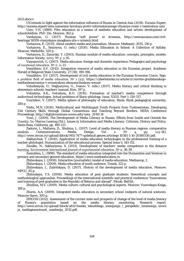2021.docx>.

US intends to fight against the information influence of Russia in Central Asia (2018). Eurasia-Expert. <http://eurasia.expert/ssha-namereny-borotsya-protiv-informatsionnogo-vliyaniya-rossii-v-tsentralnoy-azii/>

Usov, Y.N. (1989). Film education as a means of aesthetic education and artistic development of schoolchildren. PhD. Dis. Moscow, 362 p.

Vardanyan, G. (2017). Russian "soft power" in Armenia. [http://newcaucasus.com/civil](http://newcaucasus.com/civil-hearings/16559-rossiyskaya-myagkaya-sila-v-armenii.html)[hearings/16559-rossiyskaya-myagkaya-sila-v-armenii.html](http://newcaucasus.com/civil-hearings/16559-rossiyskaya-myagkaya-sila-v-armenii.html)

Vartanova, E. (2015). About modern media and journalism. Moscow: Mediamir, 2015, 136 p.

Vartanova, E., Smirnova, O. (eds.) (2010). Media Education in School: A Collection of Syllaby. Moscow: MediaMir, 320 p.

Vartanova, E., Zasursky, Y. (2003). Russian module of media education: concepts, principles, models. Information Society. 2003. № 3: 5-10.

Vasyanovich, G. (2007). Media educaion: foreign and domestic experience. Pedagogics and psychology of vocational education. № 2: 11-21.

Venidiktov, S.V. (2015). Integration resource of media education in the Eurasian project. Academic Herald of Belgorod State University. 27 (18): 190-196.

Venidiktov, S.V. (2017). Development of civil media education in the Eurasian Economic Union. Sign: a problem field of media education. № 1 (23). [https://cyberleninka.ru/article/n/razvitie-grazhdanskogo](https://cyberleninka.ru/article/n/razvitie-grazhdanskogo-mediaobrazovaniya-v-evraziyskom-ekonomicheskom-soyuze)[mediaobrazovaniya-v-evraziyskom-ekonomicheskom-soyuze](https://cyberleninka.ru/article/n/razvitie-grazhdanskogo-mediaobrazovaniya-v-evraziyskom-ekonomicheskom-soyuze)

Voloshenyuk, O., Degtyaryova, G., Ivanov, V. (eds.) (2017). Media literacy and critical thinking in elementary schools: teachers' manual. Kiev, 197 p.

Voloshina, A.K., Voloshina, K.O. (2010). Formation of teacher's media competence through audiovisual technologies. Actual problems of Slavic philology. Issue. XXIII. Part 1: 510-517.

Vozchikov, V. (2007). Media sphere of philosophy of education. Biysk: Biysk pedagogical university, 284 p.

Yildiz, M.N. (2010). Multicultural and Multilingual Youth Projects from Turkmenistan: Developing 21st Century Skills through Global Connections and Teaching Beyond Borders. NERA Conference Proceedings. http://digitalcommons.uconn.edu/nera\_2010/14

[Yoon, J. \(2009\). The Development of Media Literacy in Russia: Efforts from Inside and Outside the](http://edu.of.ru/mediaeducation/default.asp?ob_no=61604)  [Country. In: Marcus Leaning \(Ed.\). Issues in Information and Media Literacy: Criticism, History and Policy.](http://edu.of.ru/mediaeducation/default.asp?ob_no=61604)  [Santa Rosa, California, pp. 189-213.](http://edu.of.ru/mediaeducation/default.asp?ob_no=61604)

Zadorin, I., Maltseva, D., Shubina, L. (2017). Level of media literacy in Russian regions: comparative analysis. Communications. Media. Design. Vol. 2. № 4, pp. 123-141.

http://www.zircon.ru/upload/iblock/945/7477-qcdefault.genres.articleqa-10381-1-10-20180330.pdf.

Zakharchuk, T. (2010). Application of media education technologies in the professional training of a teacher-philologist. Humanization of the educational process. Special Issue 5: 145-151.

Zavalko, N., Sakhariyeva, S. (2013). Development of teachers' media competence in the distance learning. Environment international journal of experimental education. № 2: 36-39.

Zaznobina, L. (1998). The standard of media education integrated into the Humanities and Sciences in primary and secondary general education. https://www.mediaeducation.ru

Zhilavskaya, I. (2008). Interactive (journalistic) model of media education. Mediascop, 2.

Zhilavskaya, I. (2009). Media education of youth audience. Tomsk, 322 p.

Zhilavskaya, I., Zubritskaya, D. (2017). History of the development of media education. Moscow: MPGU, 85 p.

Zhilinskaya, Т.S. (2008). Media education of post graduate students: theoretical concepts and methodological approaches. Proceedings of the international scientific and practical conference "Innovations and training of post graduates in the Republic of Belarus and abroad". Minsk: BelISA.

Zhizhina, M.V. (2009). Media culture: cultural and psychological aspects. Moscow: Vuzovskaya Kniga, 188 p.

Zhurin, A.A. (2009). Integrated media education in secondary school (subjects of natural sciences). Moscow-Sarov, 300 p.

ZIRCON (2012). Assessment of the current state and prospects of change of the level of media literacy of Russia's population based on the media literacy monitoring. Research report. [http://www.zircon.ru/upload/iblock/a83/Ocenka\\_tekushhego\\_sostojanija\\_i\\_perspektiv\\_izmenenija\\_urovn](http://www.zircon.ru/upload/iblock/a83/Ocenka_tekushhego_sostojanija_i_perspektiv_izmenenija_urovnja_mediagramotnosti_naselenija_2012.pdf) [ja\\_mediagramotnosti\\_naselenija\\_2012.pdf.](http://www.zircon.ru/upload/iblock/a83/Ocenka_tekushhego_sostojanija_i_perspektiv_izmenenija_urovnja_mediagramotnosti_naselenija_2012.pdf)